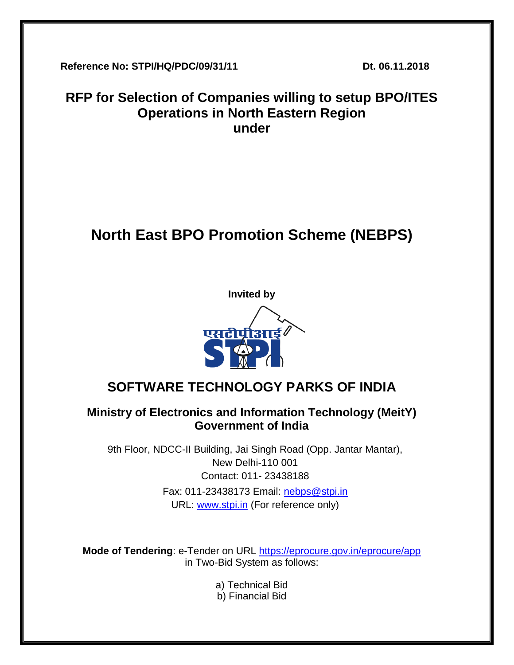**Reference No: STPI/HQ/PDC/09/31/11 Dt. 06.11.2018**

# **RFP for Selection of Companies willing to setup BPO/ITES Operations in North Eastern Region under**

# **North East BPO Promotion Scheme (NEBPS)**



# **SOFTWARE TECHNOLOGY PARKS OF INDIA**

# **Ministry of Electronics and Information Technology (MeitY) Government of India**

9th Floor, NDCC-II Building, Jai Singh Road (Opp. Jantar Mantar), New Delhi-110 001 Contact: 011- 23438188 Fax: 011-23438173 Email: [nebps@stpi.in](mailto:nebps@stpi.in) URL: [www.stpi.in](http://www.stpi.in/) (For reference only)

**Mode of Tendering**: e-Tender on URL<https://eprocure.gov.in/eprocure/app> in Two-Bid System as follows:

- a) Technical Bid
- b) Financial Bid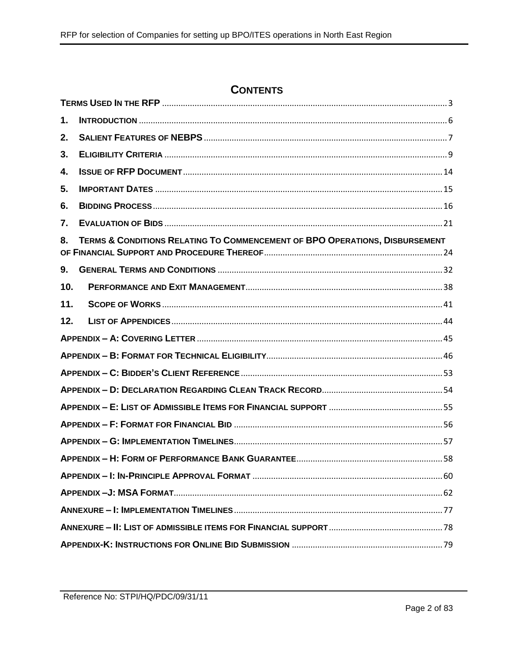# **CONTENTS**

| 1.  |                                                                             |  |  |  |
|-----|-----------------------------------------------------------------------------|--|--|--|
| 2.  |                                                                             |  |  |  |
| 3.  |                                                                             |  |  |  |
| 4.  |                                                                             |  |  |  |
| 5.  |                                                                             |  |  |  |
| 6.  |                                                                             |  |  |  |
| 7.  |                                                                             |  |  |  |
| 8.  | TERMS & CONDITIONS RELATING TO COMMENCEMENT OF BPO OPERATIONS, DISBURSEMENT |  |  |  |
| 9.  |                                                                             |  |  |  |
| 10. |                                                                             |  |  |  |
| 11. |                                                                             |  |  |  |
| 12. |                                                                             |  |  |  |
|     |                                                                             |  |  |  |
|     |                                                                             |  |  |  |
|     |                                                                             |  |  |  |
|     |                                                                             |  |  |  |
|     |                                                                             |  |  |  |
|     |                                                                             |  |  |  |
|     |                                                                             |  |  |  |
|     |                                                                             |  |  |  |
|     |                                                                             |  |  |  |
|     |                                                                             |  |  |  |
|     |                                                                             |  |  |  |
|     |                                                                             |  |  |  |
|     |                                                                             |  |  |  |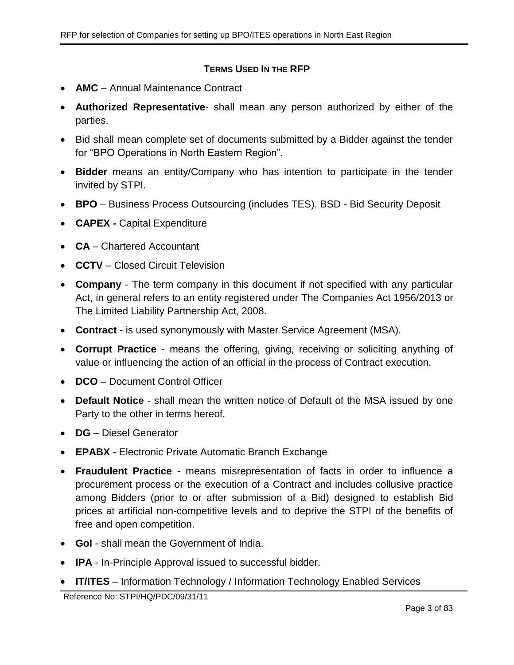### **TERMS USED IN THE RFP**

- <span id="page-2-0"></span>• **AMC** – Annual Maintenance Contract
- **Authorized Representative** shall mean any person authorized by either of the parties.
- Bid shall mean complete set of documents submitted by a Bidder against the tender for "BPO Operations in North Eastern Region".
- **Bidder** means an entity/Company who has intention to participate in the tender invited by STPI.
- **BPO** Business Process Outsourcing (includes TES). BSD Bid Security Deposit
- **CAPEX -** Capital Expenditure
- **CA** Chartered Accountant
- **CCTV** Closed Circuit Television
- **Company** The term company in this document if not specified with any particular Act, in general refers to an entity registered under The Companies Act 1956/2013 or The Limited Liability Partnership Act, 2008.
- **Contract**  is used synonymously with Master Service Agreement (MSA).
- **Corrupt Practice** means the offering, giving, receiving or soliciting anything of value or influencing the action of an official in the process of Contract execution.
- **DCO** Document Control Officer
- **Default Notice** shall mean the written notice of Default of the MSA issued by one Party to the other in terms hereof.
- **DG** Diesel Generator
- **EPABX** Electronic Private Automatic Branch Exchange
- **Fraudulent Practice** means misrepresentation of facts in order to influence a procurement process or the execution of a Contract and includes collusive practice among Bidders (prior to or after submission of a Bid) designed to establish Bid prices at artificial non-competitive levels and to deprive the STPI of the benefits of free and open competition.
- **GoI** shall mean the Government of India.
- **IPA** In-Principle Approval issued to successful bidder.
- **IT/ITES** Information Technology / Information Technology Enabled Services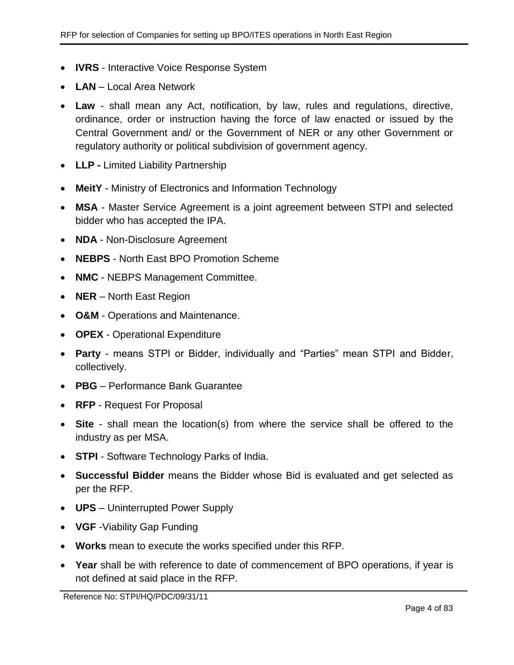- **IVRS** Interactive Voice Response System
- **LAN** Local Area Network
- **Law** shall mean any Act, notification, by law, rules and regulations, directive, ordinance, order or instruction having the force of law enacted or issued by the Central Government and/ or the Government of NER or any other Government or regulatory authority or political subdivision of government agency.
- **LLP -** Limited Liability Partnership
- **MeitY** Ministry of Electronics and Information Technology
- **MSA** Master Service Agreement is a joint agreement between STPI and selected bidder who has accepted the IPA.
- **NDA** Non-Disclosure Agreement
- **NEBPS** North East BPO Promotion Scheme
- **NMC** NEBPS Management Committee.
- **NER** North East Region
- **O&M** Operations and Maintenance.
- **OPEX** Operational Expenditure
- **Party** means STPI or Bidder, individually and "Parties" mean STPI and Bidder, collectively.
- **PBG** Performance Bank Guarantee
- **RFP** Request For Proposal
- **Site** shall mean the location(s) from where the service shall be offered to the industry as per MSA.
- **STPI** Software Technology Parks of India.
- **Successful Bidder** means the Bidder whose Bid is evaluated and get selected as per the RFP.
- **UPS** Uninterrupted Power Supply
- **VGF** -Viability Gap Funding
- **Works** mean to execute the works specified under this RFP.
- **Year** shall be with reference to date of commencement of BPO operations, if year is not defined at said place in the RFP.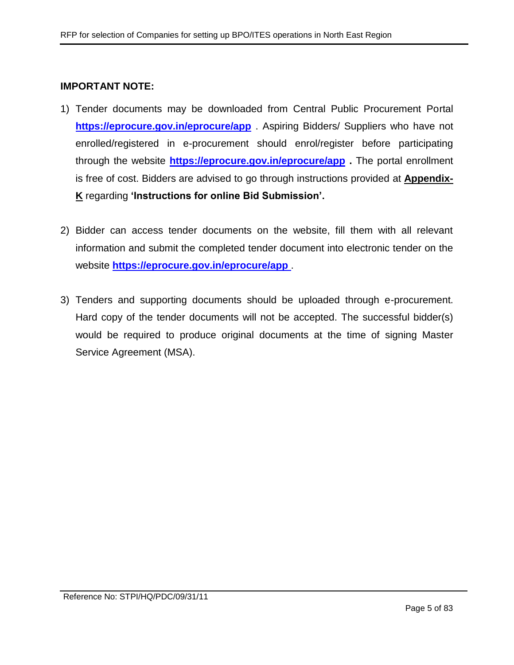#### **IMPORTANT NOTE:**

- 1) Tender documents may be downloaded from Central Public Procurement Portal **<https://eprocure.gov.in/eprocure/app>** . Aspiring Bidders/ Suppliers who have not enrolled/registered in e-procurement should enrol/register before participating through the website **<https://eprocure.gov.in/eprocure/app> .** The portal enrollment is free of cost. Bidders are advised to go through instructions provided at **[Appendix-](#page-77-1)[K](#page-77-1)** regarding **'Instructions for online Bid Submission'.**
- 2) Bidder can access tender documents on the website, fill them with all relevant information and submit the completed tender document into electronic tender on the website **<https://eprocure.gov.in/eprocure/app>** .
- 3) Tenders and supporting documents should be uploaded through e-procurement. Hard copy of the tender documents will not be accepted. The successful bidder(s) would be required to produce original documents at the time of signing Master Service Agreement (MSA).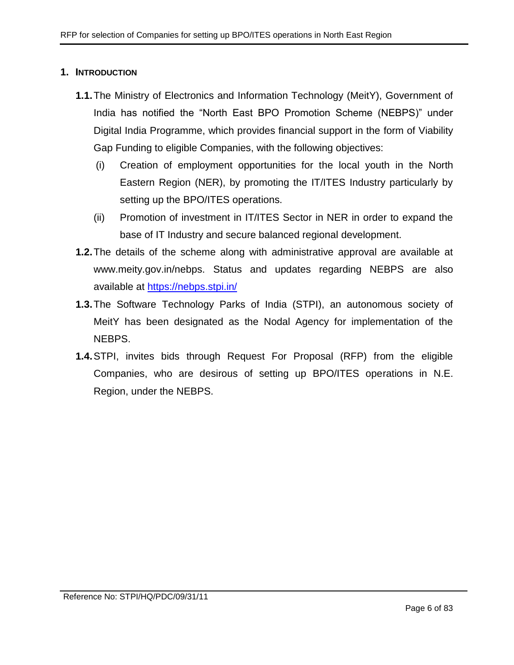### <span id="page-5-0"></span>**1. INTRODUCTION**

- **1.1.**The Ministry of Electronics and Information Technology (MeitY), Government of India has notified the "North East BPO Promotion Scheme (NEBPS)" under Digital India Programme, which provides financial support in the form of Viability Gap Funding to eligible Companies, with the following objectives:
	- (i) Creation of employment opportunities for the local youth in the North Eastern Region (NER), by promoting the IT/ITES Industry particularly by setting up the BPO/ITES operations.
	- (ii) Promotion of investment in IT/ITES Sector in NER in order to expand the base of IT Industry and secure balanced regional development.
- **1.2.**The details of the scheme along with administrative approval are available at www.meity.gov.in/nebps. Status and updates regarding NEBPS are also available at [https://nebps.stpi.in/](https://ibps.stpi.in/)
- **1.3.**The Software Technology Parks of India (STPI), an autonomous society of MeitY has been designated as the Nodal Agency for implementation of the NEBPS.
- **1.4.**STPI, invites bids through Request For Proposal (RFP) from the eligible Companies, who are desirous of setting up BPO/ITES operations in N.E. Region, under the NEBPS.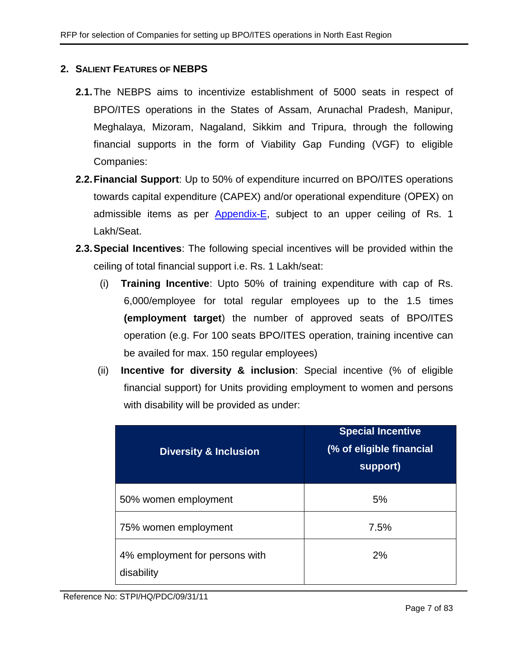# <span id="page-6-0"></span>**2. SALIENT FEATURES OF NEBPS**

- **2.1.**The NEBPS aims to incentivize establishment of 5000 seats in respect of BPO/ITES operations in the States of Assam, Arunachal Pradesh, Manipur, Meghalaya, Mizoram, Nagaland, Sikkim and Tripura, through the following financial supports in the form of Viability Gap Funding (VGF) to eligible Companies:
- **2.2.Financial Support**: Up to 50% of expenditure incurred on BPO/ITES operations towards capital expenditure (CAPEX) and/or operational expenditure (ОРЕХ) on admissible items as per [Appendix-E,](#page-54-0) subject to an upper ceiling of Rs. 1 Lakh/Seat.
- <span id="page-6-1"></span>**2.3.Special Incentives**: The following special incentives will be provided within the ceiling of total financial support i.e. Rs. 1 Lakh/seat:
	- (i) **Training Incentive**: Upto 50% of training expenditure with cap of Rs. 6,000/employee for total regular employees up to the 1.5 times **(employment target**) the number of approved seats of BPO/ITES operation (e.g. For 100 seats BPO/ITES operation, training incentive can be availed for max. 150 regular employees)
	- (ii) **Incentive for diversity & inclusion**: Special incentive (% of eligible financial support) for Units providing employment to women and persons with disability will be provided as under:

| <b>Diversity &amp; Inclusion</b>             | <b>Special Incentive</b><br>(% of eligible financial<br>support) |  |  |
|----------------------------------------------|------------------------------------------------------------------|--|--|
| 50% women employment                         | 5%                                                               |  |  |
| 75% women employment                         | 7.5%                                                             |  |  |
| 4% employment for persons with<br>disability | 2%                                                               |  |  |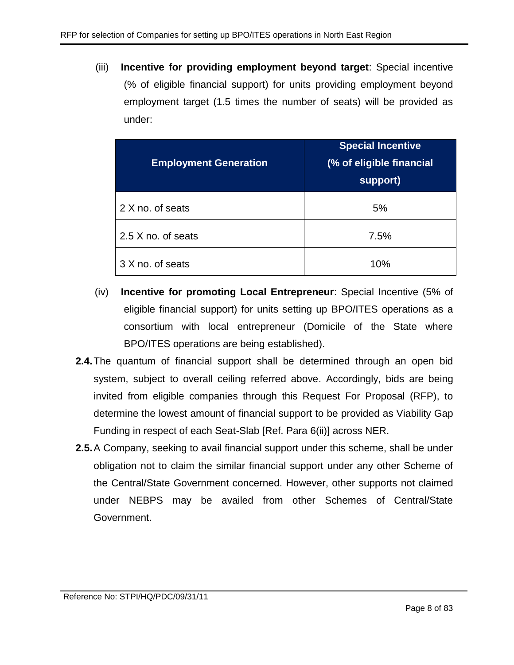(iii) **Incentive for providing employment beyond target**: Special incentive (% of eligible financial support) for units providing employment beyond employment target (1.5 times the number of seats) will be provided as under:

| <b>Employment Generation</b> | <b>Special Incentive</b><br>(% of eligible financial<br>support) |
|------------------------------|------------------------------------------------------------------|
| 2 X no. of seats             | 5%                                                               |
| 2.5 X no. of seats           | 7.5%                                                             |
| 3 X no. of seats             | 10%                                                              |

- (iv) **Incentive for promoting Local Entrepreneur**: Special Incentive (5% of eligible financial support) for units setting up BPO/ITES operations as a consortium with local entrepreneur (Domicile of the State where BPO/ITES operations are being established).
- **2.4.**The quantum of financial support shall be determined through an open bid system, subject to overall ceiling referred above. Accordingly, bids are being invited from eligible companies through this Request For Proposal (RFP), to determine the lowest amount of financial support to be provided as Viability Gap Funding in respect of each Seat-Slab [Ref. Para [6\(ii\)\]](#page-15-1) across NER.
- **2.5.**A Company, seeking to avail financial support under this scheme, shall be under obligation not to claim the similar financial support under any other Scheme of the Central/State Government concerned. However, other supports not claimed under NEBPS may be availed from other Schemes of Central/State Government.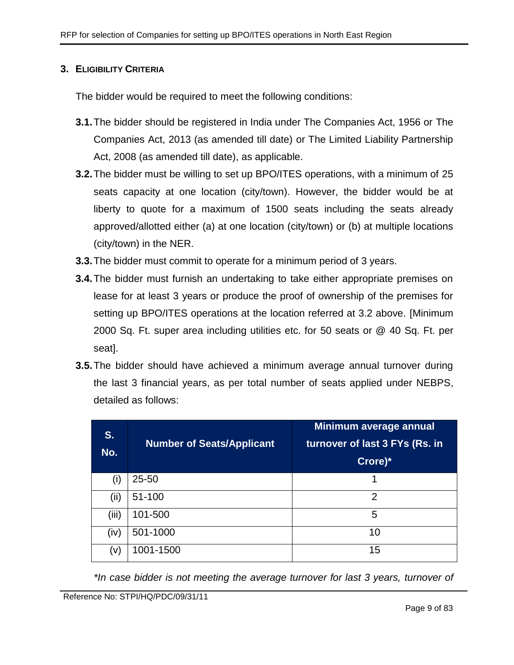### <span id="page-8-0"></span>**3. ELIGIBILITY CRITERIA**

The bidder would be required to meet the following conditions:

- **3.1.**The bidder should be registered in India under The Companies Act, 1956 or The Companies Act, 2013 (as amended till date) or The Limited Liability Partnership Act, 2008 (as amended till date), as applicable.
- **3.2.**The bidder must be willing to set up BPO/ITES operations, with a minimum of 25 seats capacity at one location (city/town). However, the bidder would be at liberty to quote for a maximum of 1500 seats including the seats already approved/allotted either (a) at one location (city/town) or (b) at multiple locations (city/town) in the NER.
- **3.3.**The bidder must commit to operate for a minimum period of 3 years.
- **3.4.**The bidder must furnish an undertaking to take either appropriate premises on lease for at least 3 years or produce the proof of ownership of the premises for setting up BPO/ITES operations at the location referred at 3.2 above. [Minimum 2000 Sq. Ft. super area including utilities etc. for 50 seats or @ 40 Sq. Ft. per seat].
- **3.5.**The bidder should have achieved a minimum average annual turnover during the last 3 financial years, as per total number of seats applied under NEBPS, detailed as follows:

| S.<br>No. | <b>Number of Seats/Applicant</b> | Minimum average annual<br>turnover of last 3 FYs (Rs. in<br>Crore)* |
|-----------|----------------------------------|---------------------------------------------------------------------|
| (i)       | $25 - 50$                        | 1                                                                   |
| (ii)      | 51-100                           | 2                                                                   |
| (iii)     | 101-500                          | 5                                                                   |
| (iv)      | 501-1000                         | 10                                                                  |
| (v)       | 1001-1500                        | 15                                                                  |

*\*In case bidder is not meeting the average turnover for last 3 years, turnover of*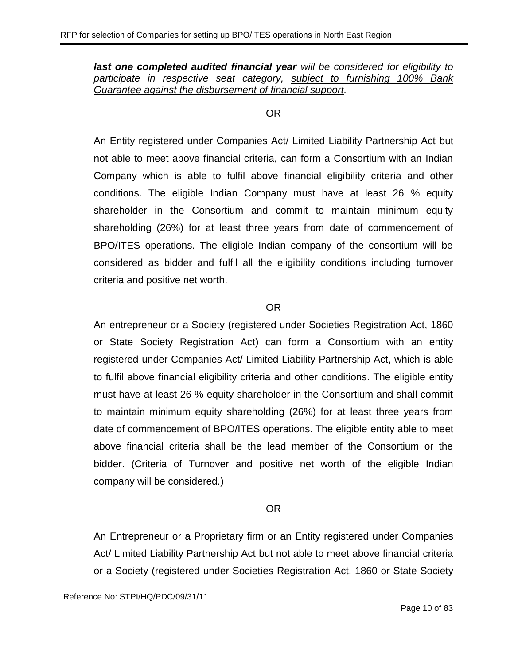*last one completed audited financial year will be considered for eligibility to participate in respective seat category, subject to furnishing 100% Bank Guarantee against the disbursement of financial support.*

#### OR

An Entity registered under Companies Act/ Limited Liability Partnership Act but not able to meet above financial criteria, can form a Consortium with an Indian Company which is able to fulfil above financial eligibility criteria and other conditions. The eligible Indian Company must have at least 26 % equity shareholder in the Consortium and commit to maintain minimum equity shareholding (26%) for at least three years from date of commencement of BPO/ITES operations. The eligible Indian company of the consortium will be considered as bidder and fulfil all the eligibility conditions including turnover criteria and positive net worth.

#### OR

An entrepreneur or a Society (registered under Societies Registration Act, 1860 or State Society Registration Act) can form a Consortium with an entity registered under Companies Act/ Limited Liability Partnership Act, which is able to fulfil above financial eligibility criteria and other conditions. The eligible entity must have at least 26 % equity shareholder in the Consortium and shall commit to maintain minimum equity shareholding (26%) for at least three years from date of commencement of BPO/ITES operations. The eligible entity able to meet above financial criteria shall be the lead member of the Consortium or the bidder. (Criteria of Turnover and positive net worth of the eligible Indian company will be considered.)

# OR

An Entrepreneur or a Proprietary firm or an Entity registered under Companies Act/ Limited Liability Partnership Act but not able to meet above financial criteria or a Society (registered under Societies Registration Act, 1860 or State Society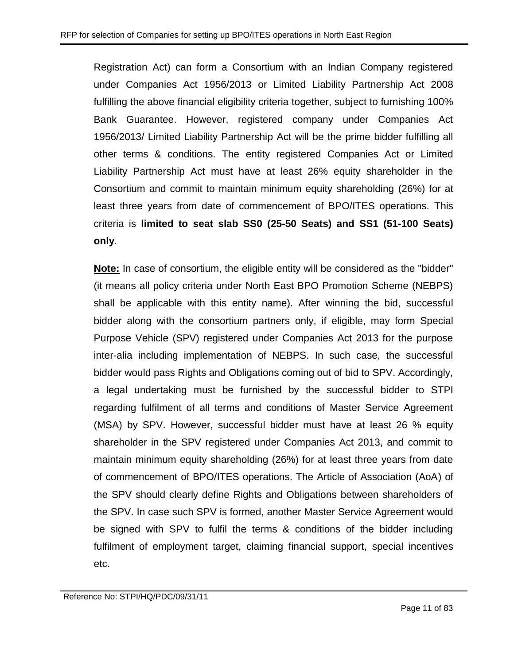Registration Act) can form a Consortium with an Indian Company registered under Companies Act 1956/2013 or Limited Liability Partnership Act 2008 fulfilling the above financial eligibility criteria together, subject to furnishing 100% Bank Guarantee. However, registered company under Companies Act 1956/2013/ Limited Liability Partnership Act will be the prime bidder fulfilling all other terms & conditions. The entity registered Companies Act or Limited Liability Partnership Act must have at least 26% equity shareholder in the Consortium and commit to maintain minimum equity shareholding (26%) for at least three years from date of commencement of BPO/ITES operations. This criteria is **limited to seat slab SS0 (25-50 Seats) and SS1 (51-100 Seats) only**.

**Note:** In case of consortium, the eligible entity will be considered as the "bidder" (it means all policy criteria under North East BPO Promotion Scheme (NEBPS) shall be applicable with this entity name). After winning the bid, successful bidder along with the consortium partners only, if eligible, may form Special Purpose Vehicle (SPV) registered under Companies Act 2013 for the purpose inter-alia including implementation of NEBPS. In such case, the successful bidder would pass Rights and Obligations coming out of bid to SPV. Accordingly, a legal undertaking must be furnished by the successful bidder to STPI regarding fulfilment of all terms and conditions of Master Service Agreement (MSA) by SPV. However, successful bidder must have at least 26 % equity shareholder in the SPV registered under Companies Act 2013, and commit to maintain minimum equity shareholding (26%) for at least three years from date of commencement of BPO/ITES operations. The Article of Association (AoA) of the SPV should clearly define Rights and Obligations between shareholders of the SPV. In case such SPV is formed, another Master Service Agreement would be signed with SPV to fulfil the terms & conditions of the bidder including fulfilment of employment target, claiming financial support, special incentives etc.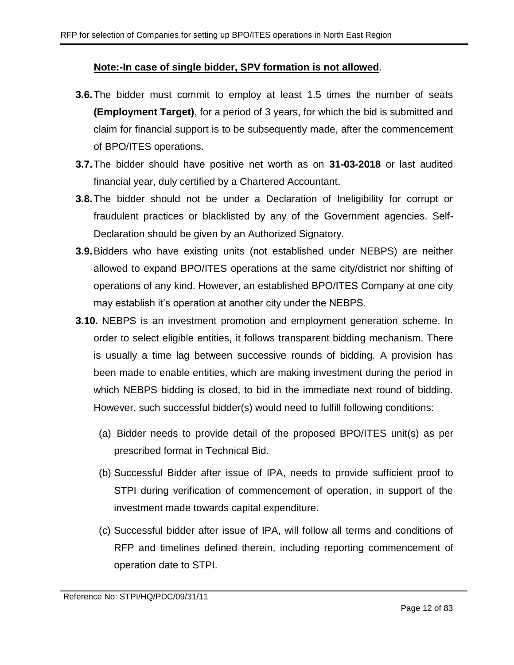#### **Note:-In case of single bidder, SPV formation is not allowed**.

- **3.6.**The bidder must commit to employ at least 1.5 times the number of seats **(Employment Target)**, for a period of 3 years, for which the bid is submitted and claim for financial support is to be subsequently made, after the commencement of BPO/ITES operations.
- **3.7.**The bidder should have positive net worth as on **31-03-2018** or last audited financial year, duly certified by a Chartered Accountant.
- **3.8.**The bidder should not be under a Declaration of Ineligibility for corrupt or fraudulent practices or blacklisted by any of the Government agencies. Self-Declaration should be given by an Authorized Signatory.
- **3.9.**Bidders who have existing units (not established under NEBPS) are neither allowed to expand BPO/ITES operations at the same city/district nor shifting of operations of any kind. However, an established BPO/ITES Company at one city may establish it's operation at another city under the NEBPS.
- <span id="page-11-0"></span>**3.10.** NEBPS is an investment promotion and employment generation scheme. In order to select eligible entities, it follows transparent bidding mechanism. There is usually a time lag between successive rounds of bidding. A provision has been made to enable entities, which are making investment during the period in which NEBPS bidding is closed, to bid in the immediate next round of bidding. However, such successful bidder(s) would need to fulfill following conditions:
	- (a) Bidder needs to provide detail of the proposed BPO/ITES unit(s) as per prescribed format in Technical Bid.
	- (b) Successful Bidder after issue of IPA, needs to provide sufficient proof to STPI during verification of commencement of operation, in support of the investment made towards capital expenditure.
	- (c) Successful bidder after issue of IPA, will follow all terms and conditions of RFP and timelines defined therein, including reporting commencement of operation date to STPI.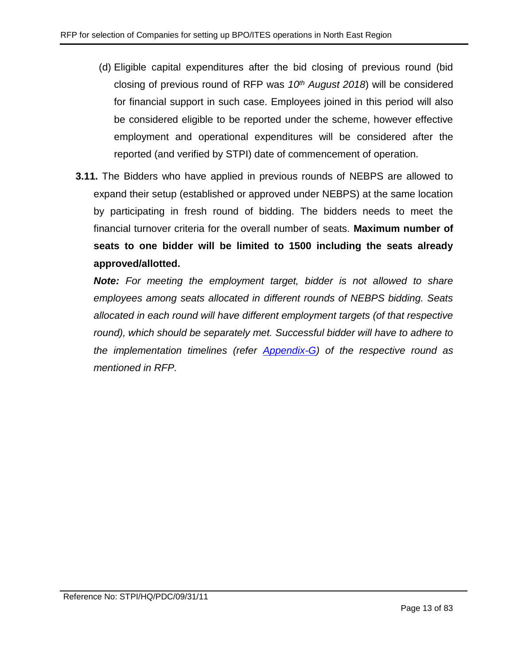- (d) Eligible capital expenditures after the bid closing of previous round (bid closing of previous round of RFP was *10th August 2018*) will be considered for financial support in such case. Employees joined in this period will also be considered eligible to be reported under the scheme, however effective employment and operational expenditures will be considered after the reported (and verified by STPI) date of commencement of operation.
- **3.11.** The Bidders who have applied in previous rounds of NEBPS are allowed to expand their setup (established or approved under NEBPS) at the same location by participating in fresh round of bidding. The bidders needs to meet the financial turnover criteria for the overall number of seats. **Maximum number of seats to one bidder will be limited to 1500 including the seats already approved/allotted.**

*Note: For meeting the employment target, bidder is not allowed to share employees among seats allocated in different rounds of NEBPS bidding. Seats allocated in each round will have different employment targets (of that respective*  round), which should be separately met. Successful bidder will have to adhere to *the implementation timelines (refer [Appendix-G\)](#page-56-0) of the respective round as mentioned in RFP.*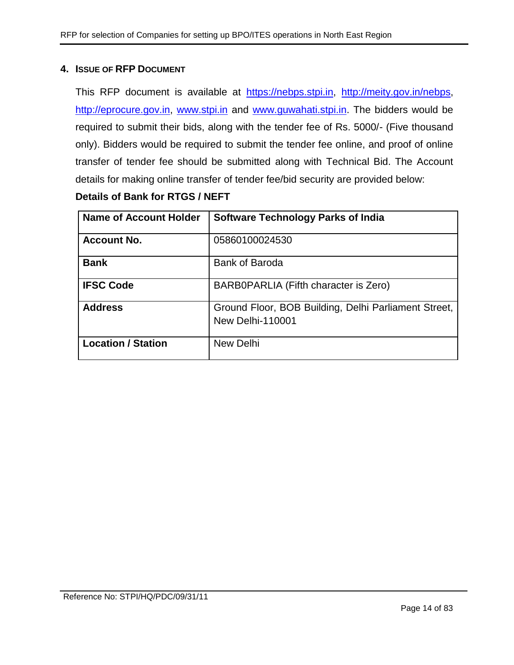### <span id="page-13-0"></span>**4. ISSUE OF RFP DOCUMENT**

This RFP document is available at [https://nebps.stpi.in,](https://nebps.stpi.in/) [http://meity.gov.in/nebps,](http://meity.gov.in/nebps) [http://eprocure.gov.in,](http://eprocure.gov.in/) [www.stpi.in](http://www.stpi.in/) and [www.guwahati.stpi.in.](http://www.guwahati.stpi.in/) The bidders would be required to submit their bids, along with the tender fee of Rs. 5000/- (Five thousand only). Bidders would be required to submit the tender fee online, and proof of online transfer of tender fee should be submitted along with Technical Bid. The Account details for making online transfer of tender fee/bid security are provided below:

# **Details of Bank for RTGS / NEFT**

| <b>Name of Account Holder</b> | <b>Software Technology Parks of India</b>                                       |
|-------------------------------|---------------------------------------------------------------------------------|
| <b>Account No.</b>            | 05860100024530                                                                  |
| <b>Bank</b>                   | <b>Bank of Baroda</b>                                                           |
| <b>IFSC Code</b>              | BARB0PARLIA (Fifth character is Zero)                                           |
| <b>Address</b>                | Ground Floor, BOB Building, Delhi Parliament Street,<br><b>New Delhi-110001</b> |
| <b>Location / Station</b>     | New Delhi                                                                       |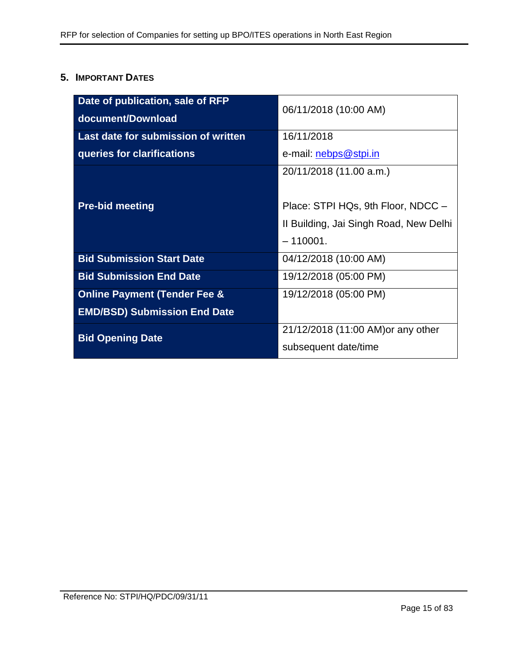# <span id="page-14-0"></span>**5. IMPORTANT DATES**

| Date of publication, sale of RFP<br>document/Download | 06/11/2018 (10:00 AM)                  |
|-------------------------------------------------------|----------------------------------------|
| Last date for submission of written                   | 16/11/2018                             |
| queries for clarifications                            | e-mail: <b>nebps@stpi.in</b>           |
|                                                       | 20/11/2018 (11.00 a.m.)                |
| <b>Pre-bid meeting</b>                                | Place: STPI HQs, 9th Floor, NDCC -     |
|                                                       | II Building, Jai Singh Road, New Delhi |
|                                                       | $-110001.$                             |
| <b>Bid Submission Start Date</b>                      | 04/12/2018 (10:00 AM)                  |
| <b>Bid Submission End Date</b>                        | 19/12/2018 (05:00 PM)                  |
| <b>Online Payment (Tender Fee &amp;</b>               | 19/12/2018 (05:00 PM)                  |
| <b>EMD/BSD) Submission End Date</b>                   |                                        |
| <b>Bid Opening Date</b>                               | 21/12/2018 (11:00 AM) or any other     |
|                                                       | subsequent date/time                   |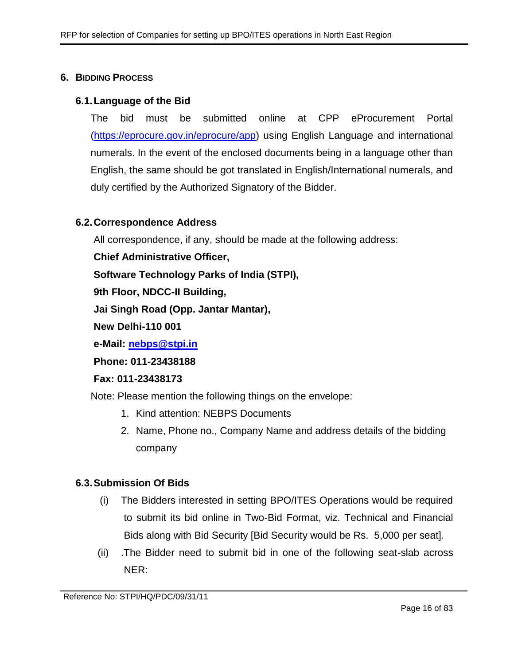#### <span id="page-15-0"></span>**6. BIDDING PROCESS**

#### **6.1.Language of the Bid**

The bid must be submitted online at CPP eProcurement Portal [\(https://eprocure.gov.in/eprocure/app\)](https://eprocure.gov.in/eprocure/app) using English Language and international numerals. In the event of the enclosed documents being in a language other than English, the same should be got translated in English/International numerals, and duly certified by the Authorized Signatory of the Bidder.

#### **6.2.Correspondence Address**

All correspondence, if any, should be made at the following address:

**Chief Administrative Officer,**

**Software Technology Parks of India (STPI),**

**9th Floor, NDCC-II Building,** 

**Jai Singh Road (Opp. Jantar Mantar),**

**New Delhi-110 001**

**e-Mail: [nebps@stpi.in](mailto:nebps@stpi.in)**

**Phone: 011-23438188**

#### **Fax: 011-23438173**

Note: Please mention the following things on the envelope:

- 1. Kind attention: NEBPS Documents
- 2. Name, Phone no., Company Name and address details of the bidding company

#### **6.3.Submission Of Bids**

- (i) The Bidders interested in setting BPO/ITES Operations would be required to submit its bid online in Two-Bid Format, viz. Technical and Financial Bids along with Bid Security [Bid Security would be Rs. 5,000 per seat].
- <span id="page-15-1"></span>(ii) .The Bidder need to submit bid in one of the following seat-slab across NER: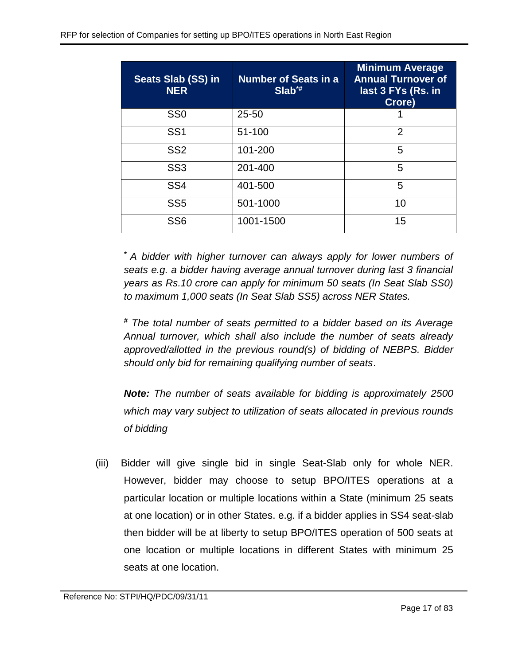| Seats Slab (SS) in<br><b>NER</b> | <b>Number of Seats in a</b><br>$Slab^*$ | <b>Minimum Average</b><br><b>Annual Turnover of</b><br>last 3 FYs (Rs. in<br>Crore) |
|----------------------------------|-----------------------------------------|-------------------------------------------------------------------------------------|
| SS <sub>0</sub>                  | $25 - 50$                               |                                                                                     |
| SS <sub>1</sub>                  | 51-100                                  | $\overline{2}$                                                                      |
| SS <sub>2</sub>                  | 101-200                                 | 5                                                                                   |
| SS <sub>3</sub>                  | 201-400                                 | 5                                                                                   |
| SS <sub>4</sub>                  | 401-500                                 | 5                                                                                   |
| SS <sub>5</sub>                  | 501-1000                                | 10                                                                                  |
| SS <sub>6</sub>                  | 1001-1500                               | 15                                                                                  |

*\* A bidder with higher turnover can always apply for lower numbers of seats e.g. a bidder having average annual turnover during last 3 financial years as Rs.10 crore can apply for minimum 50 seats (In Seat Slab SS0) to maximum 1,000 seats (In Seat Slab SS5) across NER States.*

*# The total number of seats permitted to a bidder based on its Average Annual turnover, which shall also include the number of seats already approved/allotted in the previous round(s) of bidding of NEBPS. Bidder should only bid for remaining qualifying number of seats*.

*Note: The number of seats available for bidding is approximately 2500 which may vary subject to utilization of seats allocated in previous rounds of bidding*

(iii) Bidder will give single bid in single Seat-Slab only for whole NER. However, bidder may choose to setup BPO/ITES operations at a particular location or multiple locations within a State (minimum 25 seats at one location) or in other States. e.g. if a bidder applies in SS4 seat-slab then bidder will be at liberty to setup BPO/ITES operation of 500 seats at one location or multiple locations in different States with minimum 25 seats at one location.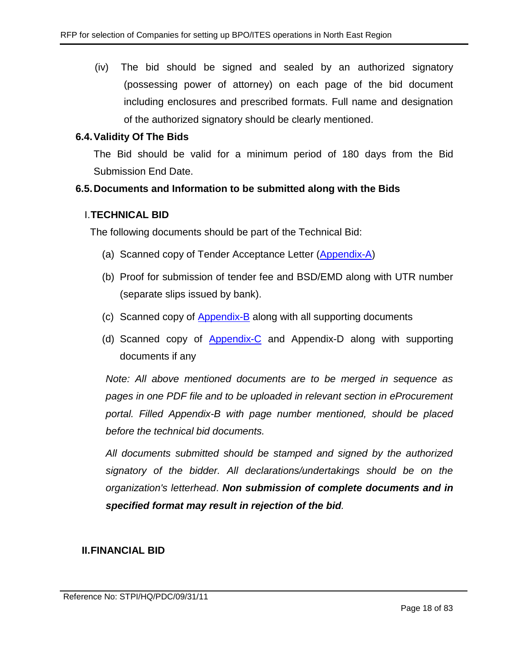(iv) The bid should be signed and sealed by an authorized signatory (possessing power of attorney) on each page of the bid document including enclosures and prescribed formats. Full name and designation of the authorized signatory should be clearly mentioned.

## **6.4.Validity Of The Bids**

The Bid should be valid for a minimum period of 180 days from the Bid Submission End Date.

## **6.5.Documents and Information to be submitted along with the Bids**

#### I.**TECHNICAL BID**

The following documents should be part of the Technical Bid:

- (a) Scanned copy of Tender Acceptance Letter [\(Appendix-A\)](#page-44-0)
- (b) Proof for submission of tender fee and BSD/EMD along with UTR number (separate slips issued by bank).
- (c) Scanned copy of [Appendix-B](#page-45-0) along with all supporting documents
- (d) Scanned copy of [Appendix-C](#page-52-0) and Appendix-D along with supporting documents if any

*Note: All above mentioned documents are to be merged in sequence as pages in one PDF file and to be uploaded in relevant section in eProcurement portal. Filled Appendix-B with page number mentioned, should be placed before the technical bid documents.* 

*All documents submitted should be stamped and signed by the authorized signatory of the bidder. All declarations/undertakings should be on the organization's letterhead*. *Non submission of complete documents and in specified format may result in rejection of the bid.*

# **II.FINANCIAL BID**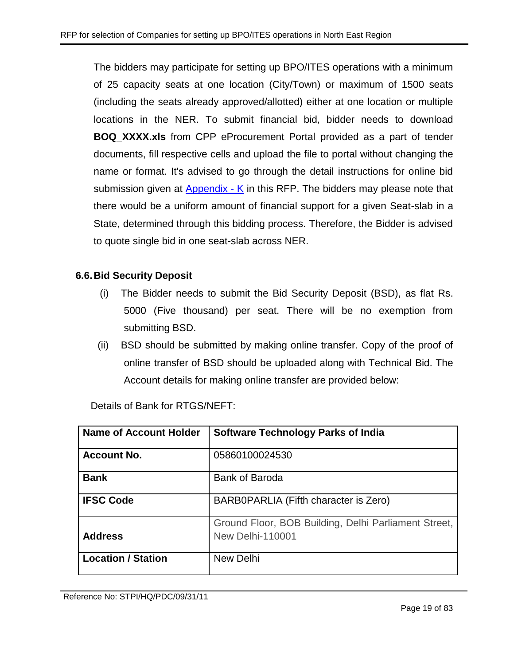The bidders may participate for setting up BPO/ITES operations with a minimum of 25 capacity seats at one location (City/Town) or maximum of 1500 seats (including the seats already approved/allotted) either at one location or multiple locations in the NER. To submit financial bid, bidder needs to download **BOQ\_XXXX.xls** from CPP eProcurement Portal provided as a part of tender documents, fill respective cells and upload the file to portal without changing the name or format. It's advised to go through the detail instructions for online bid submission given at [Appendix -](#page-77-1) K in this RFP. The bidders may please note that there would be a uniform amount of financial support for a given Seat-slab in a State, determined through this bidding process. Therefore, the Bidder is advised to quote single bid in one seat-slab across NER.

# **6.6.Bid Security Deposit**

- (i) The Bidder needs to submit the Bid Security Deposit (BSD), as flat Rs. 5000 (Five thousand) per seat. There will be no exemption from submitting BSD.
- (ii) BSD should be submitted by making online transfer. Copy of the proof of online transfer of BSD should be uploaded along with Technical Bid. The Account details for making online transfer are provided below:

| <b>Name of Account Holder</b> | <b>Software Technology Parks of India</b>                                       |
|-------------------------------|---------------------------------------------------------------------------------|
| <b>Account No.</b>            | 05860100024530                                                                  |
| <b>Bank</b>                   | <b>Bank of Baroda</b>                                                           |
| <b>IFSC Code</b>              | BARB0PARLIA (Fifth character is Zero)                                           |
| <b>Address</b>                | Ground Floor, BOB Building, Delhi Parliament Street,<br><b>New Delhi-110001</b> |
| <b>Location / Station</b>     | <b>New Delhi</b>                                                                |

Details of Bank for RTGS/NEFT: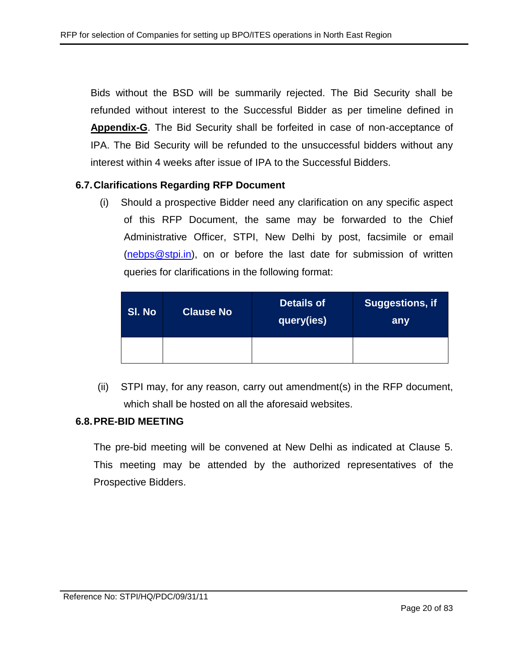Bids without the BSD will be summarily rejected. The Bid Security shall be refunded without interest to the Successful Bidder as per timeline defined in **Appendix-G**. The Bid Security shall be forfeited in case of non-acceptance of IPA. The Bid Security will be refunded to the unsuccessful bidders without any interest within 4 weeks after issue of IPA to the Successful Bidders.

#### **6.7.Clarifications Regarding RFP Document**

(i) Should a prospective Bidder need any clarification on any specific aspect of this RFP Document, the same may be forwarded to the Chief Administrative Officer, STPI, New Delhi by post, facsimile or email [\(nebps@stpi.in\)](mailto:nebps@stpi.in), on or before the last date for submission of written queries for clarifications in the following format:

| SI. No | <b>Clause No</b> | <b>Details of</b><br> query(ies) <sup> </sup> | Suggestions, if<br>any |
|--------|------------------|-----------------------------------------------|------------------------|
|        |                  |                                               |                        |

(ii) STPI may, for any reason, carry out amendment(s) in the RFP document, which shall be hosted on all the aforesaid websites.

#### **6.8.PRE-BID MEETING**

The pre-bid meeting will be convened at New Delhi as indicated at Clause 5. This meeting may be attended by the authorized representatives of the Prospective Bidders.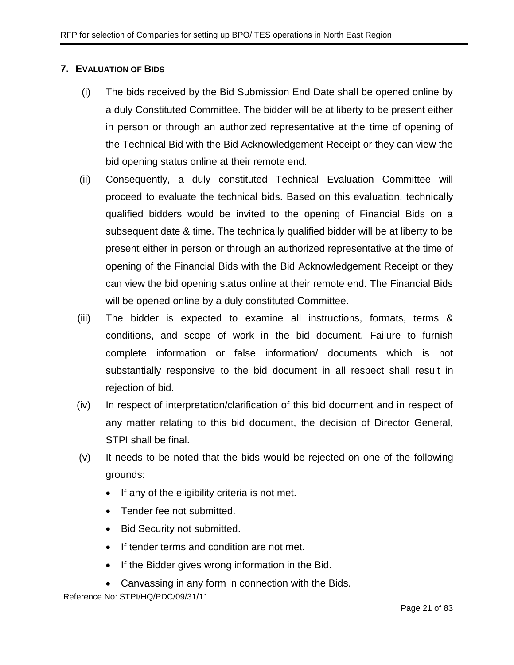# <span id="page-20-0"></span>**7. EVALUATION OF BIDS**

- (i) The bids received by the Bid Submission End Date shall be opened online by a duly Constituted Committee. The bidder will be at liberty to be present either in person or through an authorized representative at the time of opening of the Technical Bid with the Bid Acknowledgement Receipt or they can view the bid opening status online at their remote end.
- (ii) Consequently, a duly constituted Technical Evaluation Committee will proceed to evaluate the technical bids. Based on this evaluation, technically qualified bidders would be invited to the opening of Financial Bids on a subsequent date & time. The technically qualified bidder will be at liberty to be present either in person or through an authorized representative at the time of opening of the Financial Bids with the Bid Acknowledgement Receipt or they can view the bid opening status online at their remote end. The Financial Bids will be opened online by a duly constituted Committee.
- (iii) The bidder is expected to examine all instructions, formats, terms & conditions, and scope of work in the bid document. Failure to furnish complete information or false information/ documents which is not substantially responsive to the bid document in all respect shall result in rejection of bid.
- (iv) In respect of interpretation/clarification of this bid document and in respect of any matter relating to this bid document, the decision of Director General, STPI shall be final.
- (v) It needs to be noted that the bids would be rejected on one of the following grounds:
	- If any of the eligibility criteria is not met.
	- Tender fee not submitted.
	- Bid Security not submitted.
	- If tender terms and condition are not met.
	- If the Bidder gives wrong information in the Bid.
	- Canvassing in any form in connection with the Bids.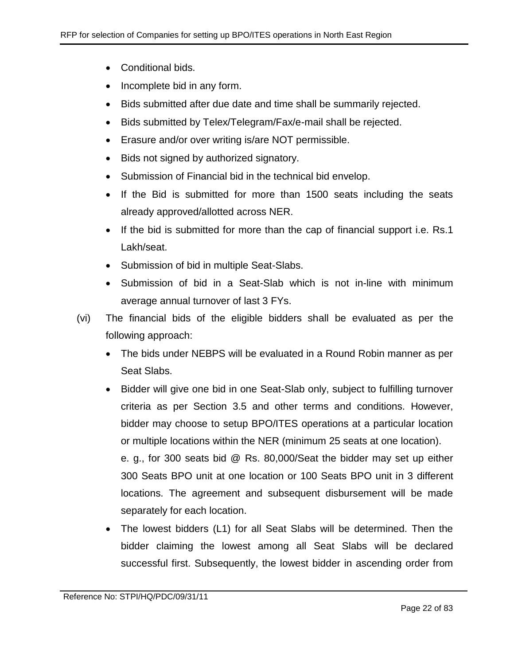- Conditional bids.
- Incomplete bid in any form.
- Bids submitted after due date and time shall be summarily rejected.
- Bids submitted by Telex/Telegram/Fax/e-mail shall be rejected.
- Erasure and/or over writing is/are NOT permissible.
- Bids not signed by authorized signatory.
- Submission of Financial bid in the technical bid envelop.
- If the Bid is submitted for more than 1500 seats including the seats already approved/allotted across NER.
- If the bid is submitted for more than the cap of financial support i.e. Rs.1 Lakh/seat.
- Submission of bid in multiple Seat-Slabs.
- Submission of bid in a Seat-Slab which is not in-line with minimum average annual turnover of last 3 FYs.
- (vi) The financial bids of the eligible bidders shall be evaluated as per the following approach:
	- The bids under NEBPS will be evaluated in a Round Robin manner as per Seat Slabs.
	- Bidder will give one bid in one Seat-Slab only, subject to fulfilling turnover criteria as per Section 3.5 and other terms and conditions. However, bidder may choose to setup BPO/ITES operations at a particular location or multiple locations within the NER (minimum 25 seats at one location). e. g., for 300 seats bid @ Rs. 80,000/Seat the bidder may set up either 300 Seats BPO unit at one location or 100 Seats BPO unit in 3 different locations. The agreement and subsequent disbursement will be made separately for each location.
	- The lowest bidders (L1) for all Seat Slabs will be determined. Then the bidder claiming the lowest among all Seat Slabs will be declared successful first. Subsequently, the lowest bidder in ascending order from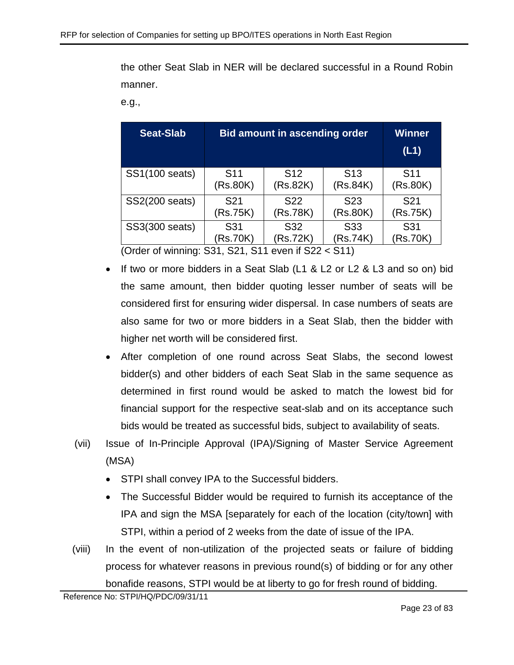the other Seat Slab in NER will be declared successful in a Round Robin manner.

e.g.,

| <b>Seat-Slab</b> | <b>Bid amount in ascending order</b> | <b>Winner</b><br>(L1)       |                 |                 |
|------------------|--------------------------------------|-----------------------------|-----------------|-----------------|
| SS1(100 seats)   | S <sub>11</sub>                      | S <sub>12</sub>             | S <sub>13</sub> | S <sub>11</sub> |
|                  | (Rs.80K)                             | (Rs.82K)                    | (Rs.84K)        | (Rs.80K)        |
| SS2(200 seats)   | S <sub>21</sub>                      | S <sub>22</sub>             | S <sub>23</sub> | S <sub>21</sub> |
|                  | (Rs.75K)                             | (Rs.78K)                    | (Rs.80K)        | (Rs.75K)        |
| SS3(300 seats)   | S31<br>(Rs.70K)                      | S <sub>31</sub><br>(Rs.70K) |                 |                 |

(Order of winning: S31, S21, S11 even if S22 < S11)

- If two or more bidders in a Seat Slab (L1 & L2 or L2 & L3 and so on) bid the same amount, then bidder quoting lesser number of seats will be considered first for ensuring wider dispersal. In case numbers of seats are also same for two or more bidders in a Seat Slab, then the bidder with higher net worth will be considered first.
- After completion of one round across Seat Slabs, the second lowest bidder(s) and other bidders of each Seat Slab in the same sequence as determined in first round would be asked to match the lowest bid for financial support for the respective seat-slab and on its acceptance such bids would be treated as successful bids, subject to availability of seats.
- (vii) Issue of In-Principle Approval (IPA)/Signing of Master Service Agreement (MSA)
	- STPI shall convey IPA to the Successful bidders.
	- The Successful Bidder would be required to furnish its acceptance of the IPA and sign the MSA [separately for each of the location (city/town] with STPI, within a period of 2 weeks from the date of issue of the IPA.
- (viii) In the event of non-utilization of the projected seats or failure of bidding process for whatever reasons in previous round(s) of bidding or for any other bonafide reasons, STPI would be at liberty to go for fresh round of bidding.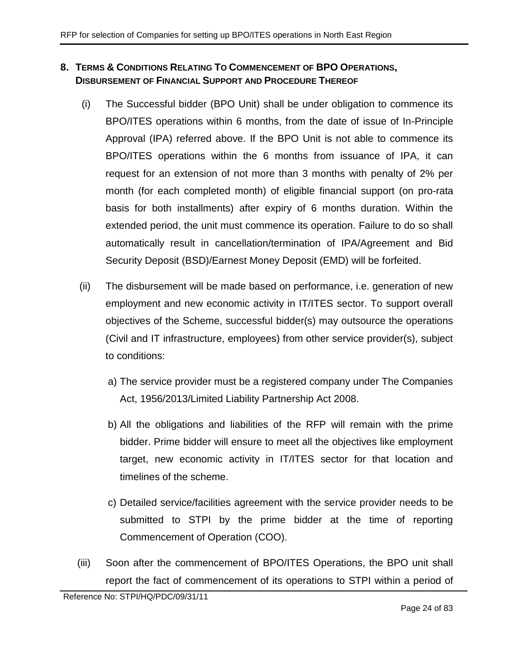# <span id="page-23-0"></span>**8. TERMS & CONDITIONS RELATING TO COMMENCEMENT OF BPO OPERATIONS, DISBURSEMENT OF FINANCIAL SUPPORT AND PROCEDURE THEREOF**

- <span id="page-23-2"></span>(i) The Successful bidder (BPO Unit) shall be under obligation to commence its BPO/ITES operations within 6 months, from the date of issue of In-Principle Approval (IPA) referred above. If the BPO Unit is not able to commence its BPO/ITES operations within the 6 months from issuance of IPA, it can request for an extension of not more than 3 months with penalty of 2% per month (for each completed month) of eligible financial support (on pro-rata basis for both installments) after expiry of 6 months duration. Within the extended period, the unit must commence its operation. Failure to do so shall automatically result in cancellation/termination of IPA/Agreement and Bid Security Deposit (BSD)/Earnest Money Deposit (EMD) will be forfeited.
- (ii) The disbursement will be made based on performance, i.e. generation of new employment and new economic activity in IT/ITES sector. To support overall objectives of the Scheme, successful bidder(s) may outsource the operations (Civil and IT infrastructure, employees) from other service provider(s), subject to conditions:
	- a) The service provider must be a registered company under The Companies Act, 1956/2013/Limited Liability Partnership Act 2008.
	- b) All the obligations and liabilities of the RFP will remain with the prime bidder. Prime bidder will ensure to meet all the objectives like employment target, new economic activity in IT/ITES sector for that location and timelines of the scheme.
	- c) Detailed service/facilities agreement with the service provider needs to be submitted to STPI by the prime bidder at the time of reporting Commencement of Operation (COO).
- <span id="page-23-1"></span>(iii) Soon after the commencement of BPO/ITES Operations, the BPO unit shall report the fact of commencement of its operations to STPI within a period of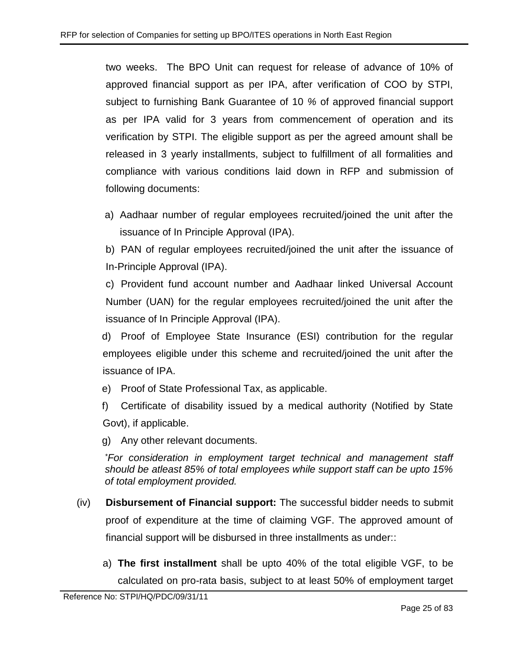two weeks. The BPO Unit can request for release of advance of 10% of approved financial support as per IPA, after verification of COO by STPI, subject to furnishing Bank Guarantee of 10 *%* of approved financial support as per IPA valid for 3 years from commencement of operation and its verification by STPI. The eligible support as per the agreed amount shall be released in 3 yearly installments, subject to fulfillment of all formalities and compliance with various conditions laid down in RFP and submission of following documents:

a) Aadhaar number of regular employees recruited/joined the unit after the issuance of In Principle Approval (IPA).

b) PAN of regular employees recruited/joined the unit after the issuance of In-Principle Approval (IPA).

c) Provident fund account number and Aadhaar linked Universal Account Number (UAN) for the regular employees recruited/joined the unit after the issuance of In Principle Approval (IPA).

d) Proof of Employee State Insurance (ESI) contribution for the regular employees eligible under this scheme and recruited/joined the unit after the issuance of IPA.

e) Proof of State Professional Tax, as applicable.

f) Certificate of disability issued by a medical authority (Notified by State Govt), if applicable.

g) Any other relevant documents.

*\*For consideration in employment target technical and management staff should be atleast 85% of total employees while support staff can be upto 15% of total employment provided.*

- (iv) **Disbursement of Financial support:** The successful bidder needs to submit proof of expenditure at the time of claiming VGF. The approved amount of financial support will be disbursed in three installments as under::
	- a) **The first installment** shall be upto 40% of the total eligible VGF, to be calculated on pro-rata basis, subject to at least 50% of employment target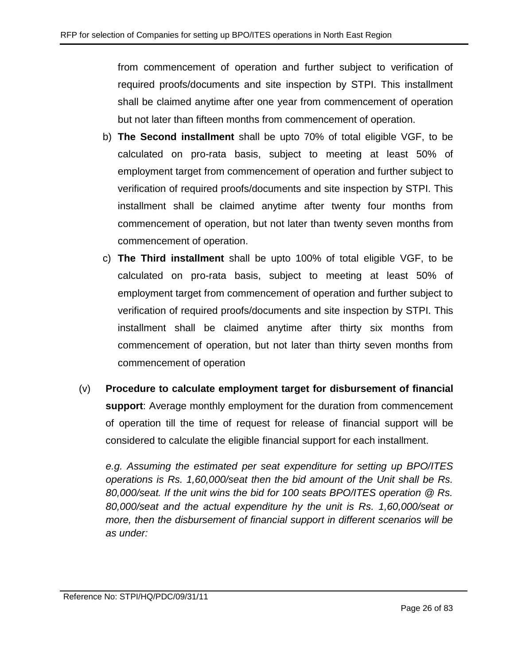from commencement of operation and further subject to verification of required proofs/documents and site inspection by STPI. This installment shall be claimed anytime after one year from commencement of operation but not later than fifteen months from commencement of operation.

- b) **The Second installment** shall be upto 70% of total eligible VGF, to be calculated on pro-rata basis, subject to meeting at least 50% of employment target from commencement of operation and further subject to verification of required proofs/documents and site inspection by STPI. This installment shall be claimed anytime after twenty four months from commencement of operation, but not later than twenty seven months from commencement of operation.
- c) **The Third installment** shall be upto 100% of total eligible VGF, to be calculated on pro-rata basis, subject to meeting at least 50% of employment target from commencement of operation and further subject to verification of required proofs/documents and site inspection by STPI. This installment shall be claimed anytime after thirty six months from commencement of operation, but not later than thirty seven months from commencement of operation
- (v) **Procedure to calculate employment target for disbursement of financial support**: Average monthly employment for the duration from commencement of operation till the time of request for release of financial support will be considered to calculate the eligible financial support for each installment.

*e.g. Assuming the estimated per seat expenditure for setting up BPO/ITES operations is Rs. 1,60,000/seat then the bid amount of the Unit shall be Rs. 80,000/seat. If the unit wins the bid for 100 seats BPO/ITES operation @ Rs. 80,000/seat and the actual expenditure hy the unit is Rs. 1,60,000/seat or more, then the disbursement of financial support in different scenarios will be as under:*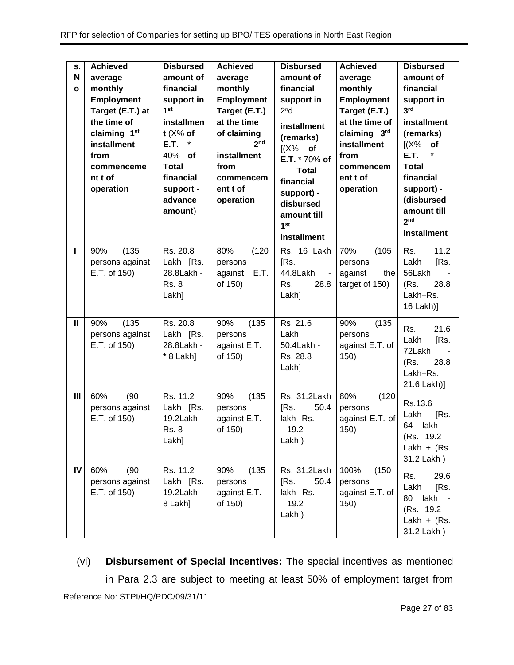| S.<br>N<br>$\mathbf{o}$ | <b>Achieved</b><br>average<br>monthly<br>Employment<br>Target (E.T.) at<br>the time of<br>claiming 1st<br>installment<br>from<br>commenceme<br>nt t of<br>operation | <b>Disbursed</b><br>amount of<br>financial<br>support in<br>1 <sup>st</sup><br>installmen<br>$t$ ( $X\%$ of<br>E.T.<br>$\ast$<br>40% of<br><b>Total</b><br>financial<br>support -<br>advance<br>amount) | <b>Achieved</b><br>average<br>monthly<br>Employment<br>Target (E.T.)<br>at the time<br>of claiming<br>2 <sub>nd</sub><br>installment<br>from<br>commencem<br>ent t of<br>operation | <b>Disbursed</b><br>amount of<br>financial<br>support in<br>2 <sup>n</sup> d<br>installment<br>(remarks)<br>$[(X\%$ of<br>E.T. * 70% of<br><b>Total</b><br>financial<br>support) -<br>disbursed<br>amount till<br>1 <sup>st</sup><br>installment | <b>Achieved</b><br>average<br>monthly<br><b>Employment</b><br>Target (E.T.)<br>at the time of<br>claiming 3rd<br>installment<br>from<br>commencem<br>ent t of<br>operation | <b>Disbursed</b><br>amount of<br>financial<br>support in<br>3 <sup>rd</sup><br>installment<br>(remarks)<br>$K^2$<br>of<br><b>E.T.</b><br><b>Total</b><br>financial<br>support) -<br>(disbursed<br>amount till<br>2 <sub>nd</sub><br><b>installment</b> |
|-------------------------|---------------------------------------------------------------------------------------------------------------------------------------------------------------------|---------------------------------------------------------------------------------------------------------------------------------------------------------------------------------------------------------|------------------------------------------------------------------------------------------------------------------------------------------------------------------------------------|--------------------------------------------------------------------------------------------------------------------------------------------------------------------------------------------------------------------------------------------------|----------------------------------------------------------------------------------------------------------------------------------------------------------------------------|--------------------------------------------------------------------------------------------------------------------------------------------------------------------------------------------------------------------------------------------------------|
| ı                       | (135)<br>90%<br>persons against<br>E.T. of 150)                                                                                                                     | Rs. 20.8<br>Lakh [Rs.<br>28.8Lakh -<br><b>Rs. 8</b><br>Lakh]                                                                                                                                            | 80%<br>(120)<br>persons<br>E.T.<br>against<br>of 150)                                                                                                                              | Rs. 16 Lakh<br>[Rs.<br>44.8Lakh<br>$\blacksquare$<br>Rs.<br>28.8<br>Lakh]                                                                                                                                                                        | 70%<br>(105)<br>persons<br>against<br>the<br>target of 150)                                                                                                                | 11.2<br>Rs.<br>Lakh<br>[Rs.<br>56Lakh<br>(Rs.<br>28.8<br>Lakh+Rs.<br>16 Lakh)]                                                                                                                                                                         |
| Ш                       | (135)<br>90%<br>persons against<br>E.T. of 150)                                                                                                                     | $\overline{R}$ s. 20.8<br>Lakh [Rs.<br>28.8Lakh -<br>* 8 Lakh]                                                                                                                                          | 90%<br>(135)<br>persons<br>against E.T.<br>of 150)                                                                                                                                 | Rs. 21.6<br>Lakh<br>50.4Lakh -<br>Rs. 28.8<br>Lakh]                                                                                                                                                                                              | 90%<br>(135)<br>persons<br>against E.T. of<br>150)                                                                                                                         | 21.6<br>Rs.<br>[Rs.<br>Lakh<br>72Lakh<br>(Rs.<br>28.8<br>Lakh+Rs.<br>21.6 Lakh)]                                                                                                                                                                       |
| III                     | 60%<br>(90)<br>persons against<br>E.T. of 150)                                                                                                                      | Rs. 11.2<br>Lakh [Rs.<br>19.2Lakh -<br><b>Rs. 8</b><br>Lakh]                                                                                                                                            | (135)<br>90%<br>persons<br>against E.T.<br>of 150)                                                                                                                                 | Rs. 31.2Lakh<br>50.4<br>[Rs.<br>lakh - Rs.<br>19.2<br>Lakh)                                                                                                                                                                                      | 80%<br>(120)<br>persons<br>against E.T. of<br>150)                                                                                                                         | Rs.13.6<br>Lakh<br>[Rs.<br>64<br>lakh<br>(Rs. 19.2)<br>Lakh + $(Rs.$<br>31.2 Lakh)                                                                                                                                                                     |
| IV                      | 60%<br>(90)<br>persons against<br>E.T. of 150)                                                                                                                      | Rs. 11.2<br>Lakh [Rs.<br>19.2Lakh -<br>8 Lakh]                                                                                                                                                          | (135)<br>90%<br>persons<br>against E.T.<br>of 150)                                                                                                                                 | Rs. 31.2Lakh<br>[Rs.<br>50.4<br>lakh - Rs.<br>19.2<br>Lakh)                                                                                                                                                                                      | 100%<br>(150)<br>persons<br>against E.T. of<br>150)                                                                                                                        | Rs.<br>29.6<br>Lakh<br>[Rs.<br>80<br>lakh -<br>(Rs. 19.2)<br>Lakh + $(Rs.$<br>31.2 Lakh)                                                                                                                                                               |

(vi) **Disbursement of Special Incentives:** The special incentives as mentioned in Para [2.3](#page-6-1) are subject to meeting at least 50% of employment target from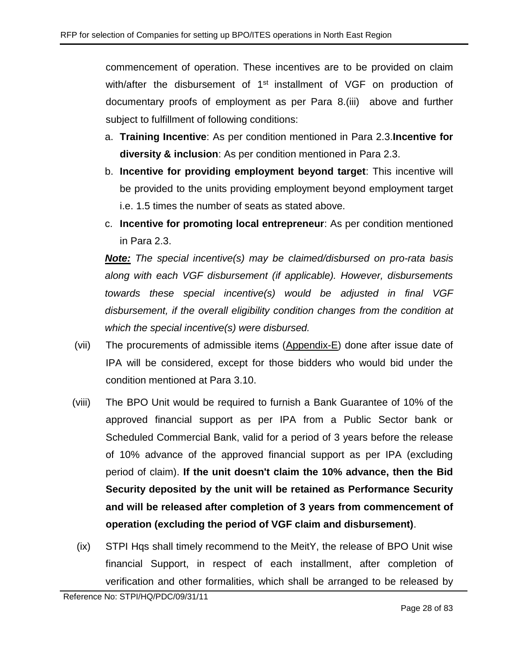commencement of operation. These incentives are to be provided on claim with/after the disbursement of 1<sup>st</sup> installment of VGF on production of documentary proofs of employment as per Para 8[.\(iii\)](#page-23-1) above and further subject to fulfillment of following conditions:

- a. **Training Incentive**: As per condition mentioned in Para [2.3.](#page-6-1)**Incentive for diversity & inclusion**: As per condition mentioned in Para [2.3.](#page-6-1)
- b. **Incentive for providing employment beyond target**: This incentive will be provided to the units providing employment beyond employment target i.e. 1.5 times the number of seats as stated above.
- c. **Incentive for promoting local entrepreneur**: As per condition mentioned in Para [2.3.](#page-6-1)

*Note: The special incentive(s) may be claimed/disbursed on pro-rata basis along with each VGF disbursement (if applicable). However, disbursements towards these special incentive(s) would be adjusted in final VGF disbursement, if the overall eligibility condition changes from the condition at which the special incentive(s) were disbursed.*

- (vii) The procurements of admissible items [\(Appendix-E\)](#page-54-0) done after issue date of IPA will be considered, except for those bidders who would bid under the condition mentioned at Para [3.10.](#page-11-0)
- (viii) The BPO Unit would be required to furnish a Bank Guarantee of 10% of the approved financial support as per IPA from a Public Sector bank or Scheduled Commercial Bank, valid for a period of 3 years before the release of 10% advance of the approved financial support as per IPA (excluding period of claim). **If the unit doesn't claim the 10% advance, then the Bid Security deposited by the unit will be retained as Performance Security and will be released after completion of 3 years from commencement of operation (excluding the period of VGF claim and disbursement)**.
- (ix) STPI Hqs shall timely recommend to the MeitY, the release of BPO Unit wise financial Support, in respect of each installment, after completion of verification and other formalities, which shall be arranged to be released by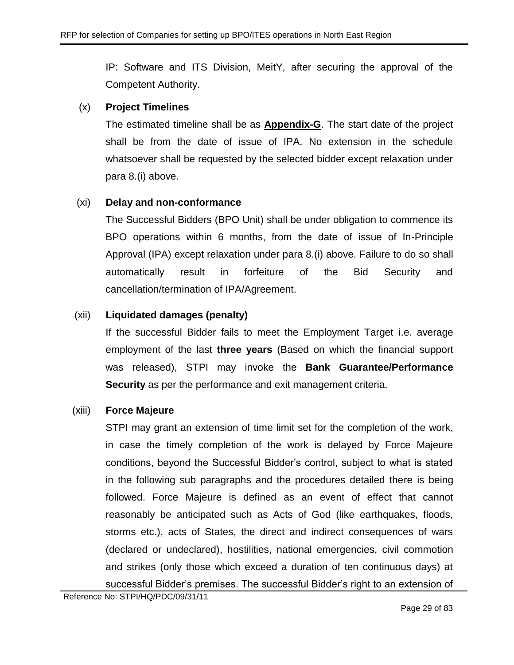IP: Software and ITS Division, MeitY, after securing the approval of the Competent Authority.

# (x) **Project Timelines**

The estimated timeline shall be as **[Appendix-G](#page-56-0)**. The start date of the project shall be from the date of issue of IPA. No extension in the schedule whatsoever shall be requested by the selected bidder except relaxation under para 8[.\(i\)](#page-23-2) above.

# (xi) **Delay and non-conformance**

The Successful Bidders (BPO Unit) shall be under obligation to commence its BPO operations within 6 months, from the date of issue of In-Principle Approval (IPA) except relaxation under para 8[.\(i\)](#page-23-2) above. Failure to do so shall automatically result in forfeiture of the Bid Security and cancellation/termination of IPA/Agreement.

# (xii) **Liquidated damages (penalty)**

If the successful Bidder fails to meet the Employment Target i.e. average employment of the last **three years** (Based on which the financial support was released), STPI may invoke the **Bank Guarantee/Performance Security** as per the performance and exit management criteria.

# (xiii) **Force Majeure**

STPI may grant an extension of time limit set for the completion of the work, in case the timely completion of the work is delayed by Force Majeure conditions, beyond the Successful Bidder's control, subject to what is stated in the following sub paragraphs and the procedures detailed there is being followed. Force Majeure is defined as an event of effect that cannot reasonably be anticipated such as Acts of God (like earthquakes, floods, storms etc.), acts of States, the direct and indirect consequences of wars (declared or undeclared), hostilities, national emergencies, civil commotion and strikes (only those which exceed a duration of ten continuous days) at successful Bidder's premises. The successful Bidder's right to an extension of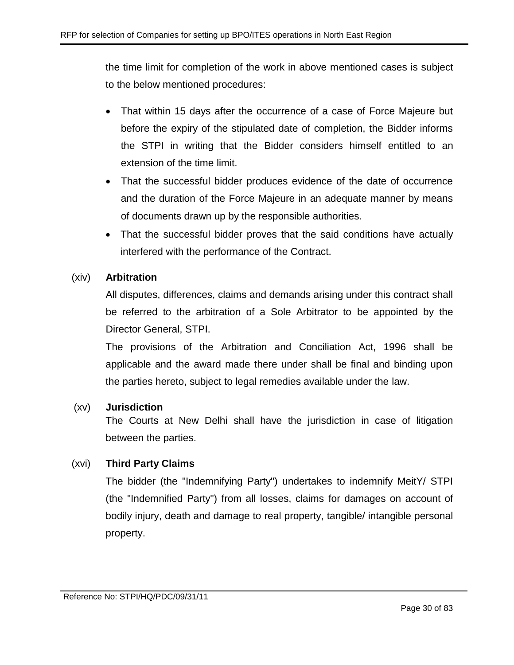the time limit for completion of the work in above mentioned cases is subject to the below mentioned procedures:

- That within 15 days after the occurrence of a case of Force Majeure but before the expiry of the stipulated date of completion, the Bidder informs the STPI in writing that the Bidder considers himself entitled to an extension of the time limit.
- That the successful bidder produces evidence of the date of occurrence and the duration of the Force Majeure in an adequate manner by means of documents drawn up by the responsible authorities.
- That the successful bidder proves that the said conditions have actually interfered with the performance of the Contract.

# (xiv) **Arbitration**

All disputes, differences, claims and demands arising under this contract shall be referred to the arbitration of a Sole Arbitrator to be appointed by the Director General, STPI.

The provisions of the Arbitration and Conciliation Act, 1996 shall be applicable and the award made there under shall be final and binding upon the parties hereto, subject to legal remedies available under the law.

# (xv) **Jurisdiction**

The Courts at New Delhi shall have the jurisdiction in case of litigation between the parties.

# (xvi) **Third Party Claims**

The bidder (the "Indemnifying Party") undertakes to indemnify MeitY/ STPI (the "Indemnified Party") from all losses, claims for damages on account of bodily injury, death and damage to real property, tangible/ intangible personal property.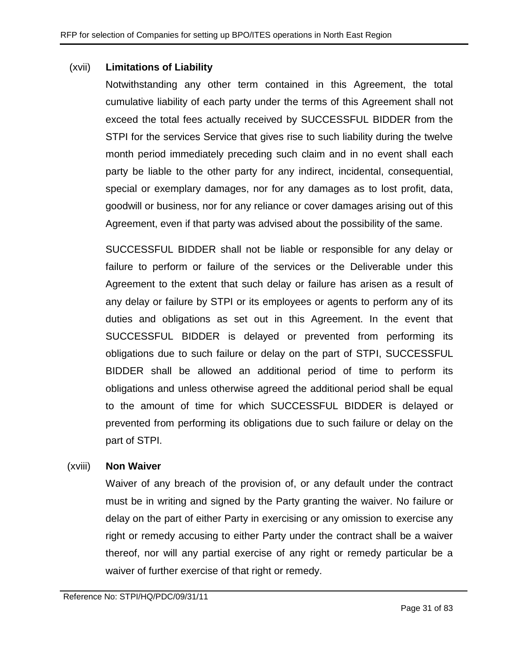#### (xvii) **Limitations of Liability**

Notwithstanding any other term contained in this Agreement, the total cumulative liability of each party under the terms of this Agreement shall not exceed the total fees actually received by SUCCESSFUL BIDDER from the STPI for the services Service that gives rise to such liability during the twelve month period immediately preceding such claim and in no event shall each party be liable to the other party for any indirect, incidental, consequential, special or exemplary damages, nor for any damages as to lost profit, data, goodwill or business, nor for any reliance or cover damages arising out of this Agreement, even if that party was advised about the possibility of the same.

SUCCESSFUL BIDDER shall not be liable or responsible for any delay or failure to perform or failure of the services or the Deliverable under this Agreement to the extent that such delay or failure has arisen as a result of any delay or failure by STPI or its employees or agents to perform any of its duties and obligations as set out in this Agreement. In the event that SUCCESSFUL BIDDER is delayed or prevented from performing its obligations due to such failure or delay on the part of STPI, SUCCESSFUL BIDDER shall be allowed an additional period of time to perform its obligations and unless otherwise agreed the additional period shall be equal to the amount of time for which SUCCESSFUL BIDDER is delayed or prevented from performing its obligations due to such failure or delay on the part of STPI.

#### (xviii) **Non Waiver**

Waiver of any breach of the provision of, or any default under the contract must be in writing and signed by the Party granting the waiver. No failure or delay on the part of either Party in exercising or any omission to exercise any right or remedy accusing to either Party under the contract shall be a waiver thereof, nor will any partial exercise of any right or remedy particular be a waiver of further exercise of that right or remedy.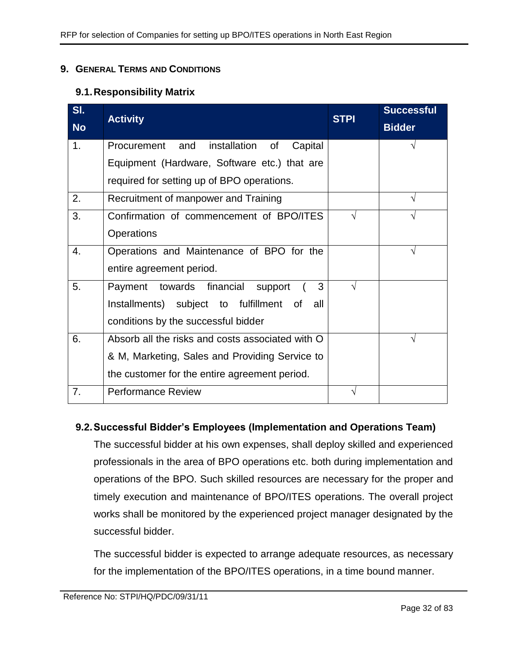### <span id="page-31-0"></span>**9. GENERAL TERMS AND CONDITIONS**

## **9.1.Responsibility Matrix**

| SI.       | <b>Activity</b>                                  | <b>STPI</b> | <b>Successful</b> |
|-----------|--------------------------------------------------|-------------|-------------------|
| <b>No</b> |                                                  |             | <b>Bidder</b>     |
| 1.        | installation of<br>Procurement and<br>Capital    |             |                   |
|           | Equipment (Hardware, Software etc.) that are     |             |                   |
|           | required for setting up of BPO operations.       |             |                   |
| 2.        | Recruitment of manpower and Training             |             |                   |
| 3.        | Confirmation of commencement of BPO/ITES         |             |                   |
|           | <b>Operations</b>                                |             |                   |
| 4.        | Operations and Maintenance of BPO for the        |             | V                 |
|           | entire agreement period.                         |             |                   |
| 5.        | 3<br>Payment towards financial<br>support        | V           |                   |
|           | Installments) subject to fulfillment of<br>all   |             |                   |
|           | conditions by the successful bidder              |             |                   |
| 6.        | Absorb all the risks and costs associated with O |             |                   |
|           | & M, Marketing, Sales and Providing Service to   |             |                   |
|           | the customer for the entire agreement period.    |             |                   |
| 7.        | <b>Performance Review</b>                        |             |                   |

# **9.2.Successful Bidder's Employees (Implementation and Operations Team)**

The successful bidder at his own expenses, shall deploy skilled and experienced professionals in the area of BPO operations etc. both during implementation and operations of the BPO. Such skilled resources are necessary for the proper and timely execution and maintenance of BPO/ITES operations. The overall project works shall be monitored by the experienced project manager designated by the successful bidder.

The successful bidder is expected to arrange adequate resources, as necessary for the implementation of the BPO/ITES operations, in a time bound manner.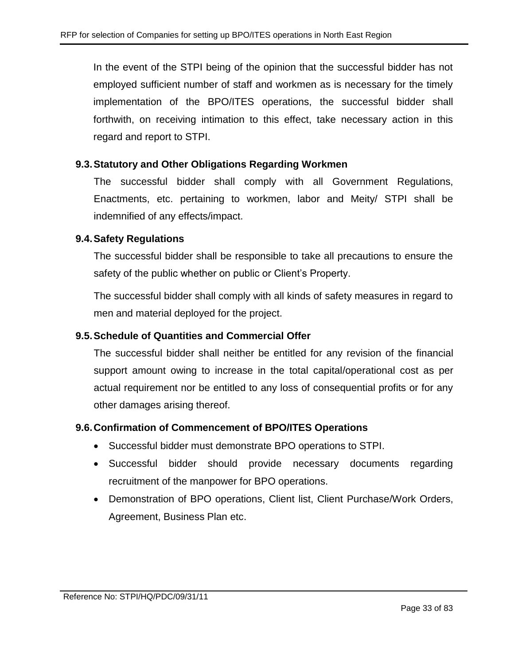In the event of the STPI being of the opinion that the successful bidder has not employed sufficient number of staff and workmen as is necessary for the timely implementation of the BPO/ITES operations, the successful bidder shall forthwith, on receiving intimation to this effect, take necessary action in this regard and report to STPI.

# **9.3.Statutory and Other Obligations Regarding Workmen**

The successful bidder shall comply with all Government Regulations, Enactments, etc. pertaining to workmen, labor and Meity/ STPI shall be indemnified of any effects/impact.

## **9.4.Safety Regulations**

The successful bidder shall be responsible to take all precautions to ensure the safety of the public whether on public or Client's Property.

The successful bidder shall comply with all kinds of safety measures in regard to men and material deployed for the project.

# **9.5.Schedule of Quantities and Commercial Offer**

The successful bidder shall neither be entitled for any revision of the financial support amount owing to increase in the total capital/operational cost as per actual requirement nor be entitled to any loss of consequential profits or for any other damages arising thereof.

#### **9.6.Confirmation of Commencement of BPO/ITES Operations**

- Successful bidder must demonstrate BPO operations to STPI.
- Successful bidder should provide necessary documents regarding recruitment of the manpower for BPO operations.
- Demonstration of BPO operations, Client list, Client Purchase/Work Orders, Agreement, Business Plan etc.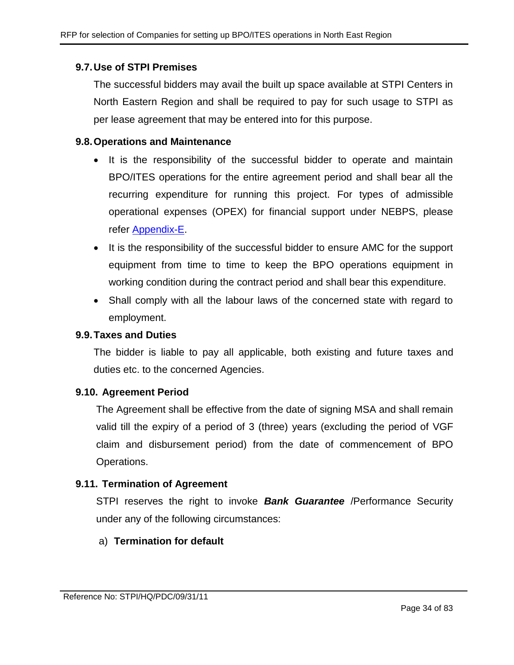# **9.7.Use of STPI Premises**

The successful bidders may avail the built up space available at STPI Centers in North Eastern Region and shall be required to pay for such usage to STPI as per lease agreement that may be entered into for this purpose.

#### **9.8.Operations and Maintenance**

- It is the responsibility of the successful bidder to operate and maintain BPO/ITES operations for the entire agreement period and shall bear all the recurring expenditure for running this project. For types of admissible operational expenses (OPEX) for financial support under NEBPS, please refer [Appendix-E.](#page-54-0)
- It is the responsibility of the successful bidder to ensure AMC for the support equipment from time to time to keep the BPO operations equipment in working condition during the contract period and shall bear this expenditure.
- Shall comply with all the labour laws of the concerned state with regard to employment.

#### **9.9.Taxes and Duties**

The bidder is liable to pay all applicable, both existing and future taxes and duties etc. to the concerned Agencies.

#### **9.10. Agreement Period**

The Agreement shall be effective from the date of signing MSA and shall remain valid till the expiry of a period of 3 (three) years (excluding the period of VGF claim and disbursement period) from the date of commencement of BPO Operations.

# **9.11. Termination of Agreement**

STPI reserves the right to invoke *Bank Guarantee* /Performance Security under any of the following circumstances:

# a) **Termination for default**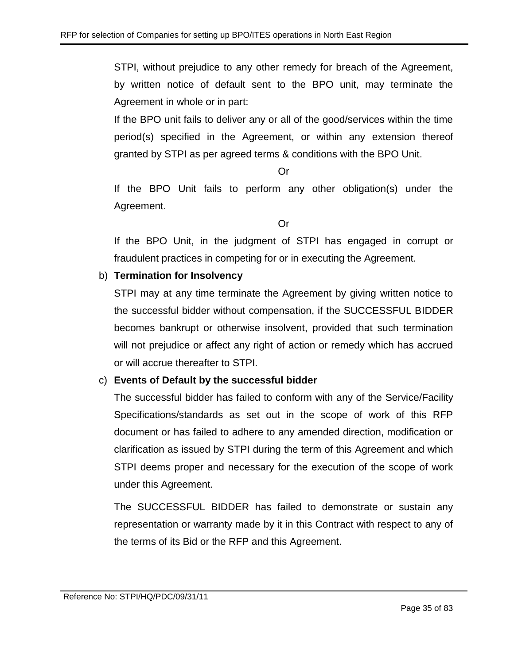STPI, without prejudice to any other remedy for breach of the Agreement, by written notice of default sent to the BPO unit, may terminate the Agreement in whole or in part:

If the BPO unit fails to deliver any or all of the good/services within the time period(s) specified in the Agreement, or within any extension thereof granted by STPI as per agreed terms & conditions with the BPO Unit.

Or

If the BPO Unit fails to perform any other obligation(s) under the Agreement.

Or

If the BPO Unit, in the judgment of STPI has engaged in corrupt or fraudulent practices in competing for or in executing the Agreement.

# b) **Termination for Insolvency**

STPI may at any time terminate the Agreement by giving written notice to the successful bidder without compensation, if the SUCCESSFUL BIDDER becomes bankrupt or otherwise insolvent, provided that such termination will not prejudice or affect any right of action or remedy which has accrued or will accrue thereafter to STPI.

# c) **Events of Default by the successful bidder**

The successful bidder has failed to conform with any of the Service/Facility Specifications/standards as set out in the scope of work of this RFP document or has failed to adhere to any amended direction, modification or clarification as issued by STPI during the term of this Agreement and which STPI deems proper and necessary for the execution of the scope of work under this Agreement.

The SUCCESSFUL BIDDER has failed to demonstrate or sustain any representation or warranty made by it in this Contract with respect to any of the terms of its Bid or the RFP and this Agreement.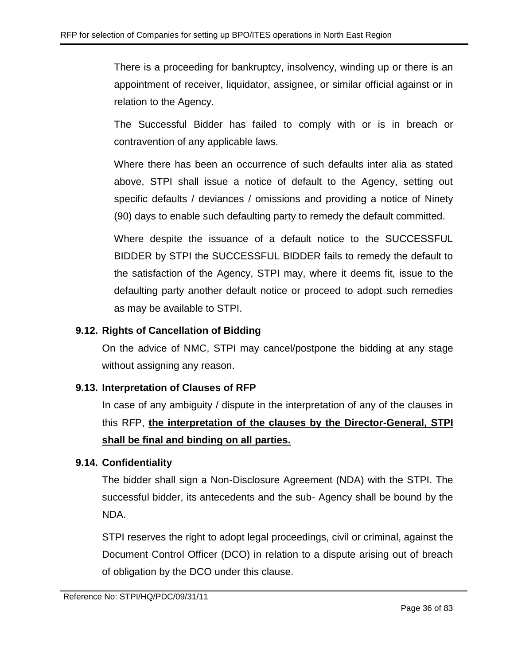There is a proceeding for bankruptcy, insolvency, winding up or there is an appointment of receiver, liquidator, assignee, or similar official against or in relation to the Agency.

The Successful Bidder has failed to comply with or is in breach or contravention of any applicable laws.

Where there has been an occurrence of such defaults inter alia as stated above, STPI shall issue a notice of default to the Agency, setting out specific defaults / deviances / omissions and providing a notice of Ninety (90) days to enable such defaulting party to remedy the default committed.

Where despite the issuance of a default notice to the SUCCESSFUL BIDDER by STPI the SUCCESSFUL BIDDER fails to remedy the default to the satisfaction of the Agency, STPI may, where it deems fit, issue to the defaulting party another default notice or proceed to adopt such remedies as may be available to STPI.

# **9.12. Rights of Cancellation of Bidding**

On the advice of NMC, STPI may cancel/postpone the bidding at any stage without assigning any reason.

# **9.13. Interpretation of Clauses of RFP**

In case of any ambiguity / dispute in the interpretation of any of the clauses in this RFP, **the interpretation of the clauses by the Director-General, STPI shall be final and binding on all parties.**

# **9.14. Confidentiality**

The bidder shall sign a Non-Disclosure Agreement (NDA) with the STPI. The successful bidder, its antecedents and the sub- Agency shall be bound by the NDA.

STPI reserves the right to adopt legal proceedings, civil or criminal, against the Document Control Officer (DCO) in relation to a dispute arising out of breach of obligation by the DCO under this clause.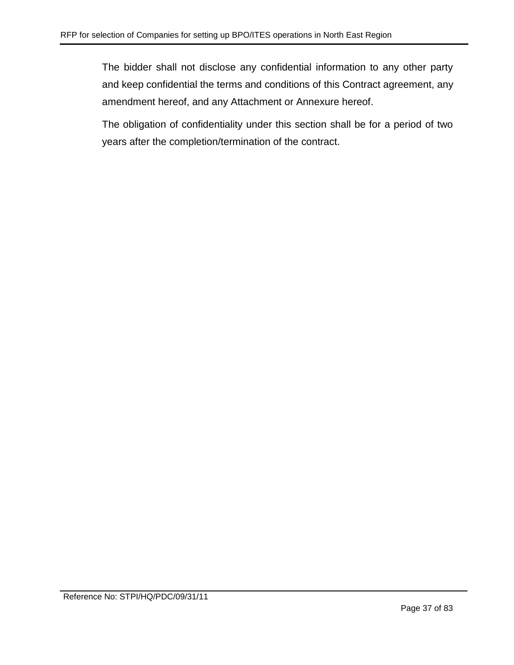The bidder shall not disclose any confidential information to any other party and keep confidential the terms and conditions of this Contract agreement, any amendment hereof, and any Attachment or Annexure hereof.

The obligation of confidentiality under this section shall be for a period of two years after the completion/termination of the contract.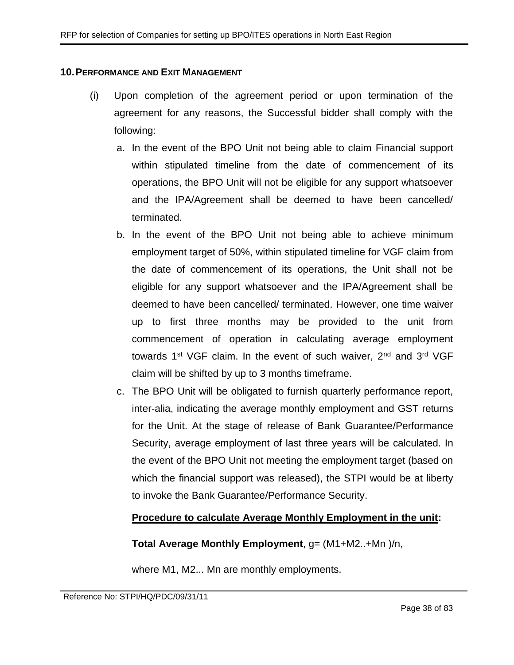#### **10.PERFORMANCE AND EXIT MANAGEMENT**

- (i) Upon completion of the agreement period or upon termination of the agreement for any reasons, the Successful bidder shall comply with the following:
	- a. In the event of the BPO Unit not being able to claim Financial support within stipulated timeline from the date of commencement of its operations, the BPO Unit will not be eligible for any support whatsoever and the IPA/Agreement shall be deemed to have been cancelled/ terminated.
	- b. In the event of the BPO Unit not being able to achieve minimum employment target of 50%, within stipulated timeline for VGF claim from the date of commencement of its operations, the Unit shall not be eligible for any support whatsoever and the IPA/Agreement shall be deemed to have been cancelled/ terminated. However, one time waiver up to first three months may be provided to the unit from commencement of operation in calculating average employment towards  $1<sup>st</sup> VGF claim. In the event of such wavier,  $2<sup>nd</sup>$  and  $3<sup>rd</sup> VGF$$ claim will be shifted by up to 3 months timeframe.
	- c. The BPO Unit will be obligated to furnish quarterly performance report, inter-alia, indicating the average monthly employment and GST returns for the Unit. At the stage of release of Bank Guarantee/Performance Security, average employment of last three years will be calculated. In the event of the BPO Unit not meeting the employment target (based on which the financial support was released), the STPI would be at liberty to invoke the Bank Guarantee/Performance Security.

## **Procedure to calculate Average Monthly Employment in the unit:**

## **Total Average Monthly Employment**, g= (M1+M2..+Mn )/n,

where M1, M2... Mn are monthly employments.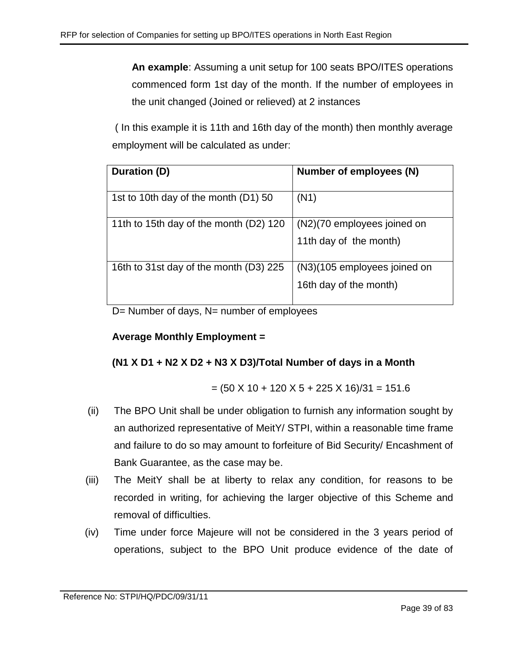**An example**: Assuming a unit setup for 100 seats BPO/ITES operations commenced form 1st day of the month. If the number of employees in the unit changed (Joined or relieved) at 2 instances

( In this example it is 11th and 16th day of the month) then monthly average employment will be calculated as under:

| Duration (D)                           | Number of employees (N)      |
|----------------------------------------|------------------------------|
| 1st to 10th day of the month (D1) 50   | (N1)                         |
| 11th to 15th day of the month (D2) 120 | (N2)(70 employees joined on  |
|                                        | 11th day of the month)       |
| 16th to 31st day of the month (D3) 225 | (N3)(105 employees joined on |
|                                        | 16th day of the month)       |

D= Number of days, N= number of employees

# **Average Monthly Employment =**

# **(N1 X D1 + N2 X D2 + N3 X D3)/Total Number of days in a Month**

$$
= (50 \times 10 + 120 \times 5 + 225 \times 16)/31 = 151.6
$$

- (ii) The BPO Unit shall be under obligation to furnish any information sought by an authorized representative of MeitY/ STPI, within a reasonable time frame and failure to do so may amount to forfeiture of Bid Security/ Encashment of Bank Guarantee, as the case may be.
- (iii) The MeitY shall be at liberty to relax any condition, for reasons to be recorded in writing, for achieving the larger objective of this Scheme and removal of difficulties.
- (iv) Time under force Majeure will not be considered in the 3 years period of operations, subject to the BPO Unit produce evidence of the date of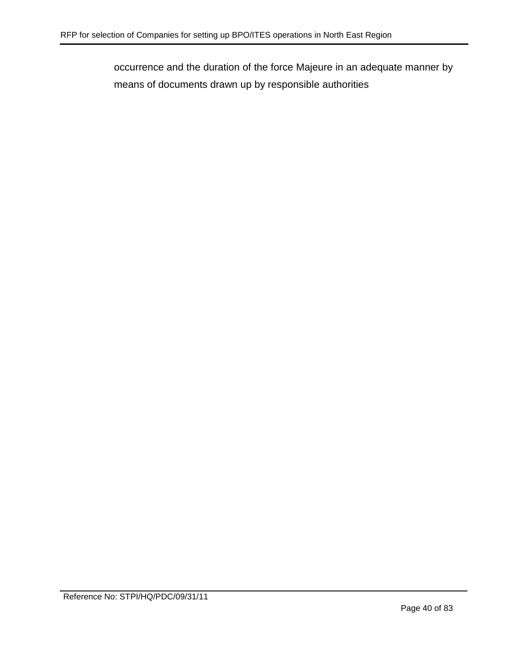occurrence and the duration of the force Majeure in an adequate manner by means of documents drawn up by responsible authorities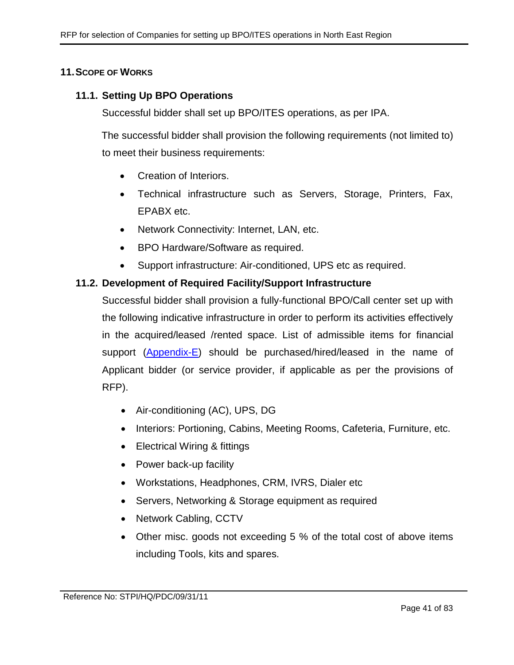## **11.SCOPE OF WORKS**

## **11.1. Setting Up BPO Operations**

Successful bidder shall set up BPO/ITES operations, as per IPA.

The successful bidder shall provision the following requirements (not limited to) to meet their business requirements:

- Creation of Interiors.
- Technical infrastructure such as Servers, Storage, Printers, Fax, EPABX etc.
- Network Connectivity: Internet, LAN, etc.
- BPO Hardware/Software as required.
- Support infrastructure: Air-conditioned, UPS etc as required.

## **11.2. Development of Required Facility/Support Infrastructure**

Successful bidder shall provision a fully-functional BPO/Call center set up with the following indicative infrastructure in order to perform its activities effectively in the acquired/leased /rented space. List of admissible items for financial support [\(Appendix-E\)](#page-54-0) should be purchased/hired/leased in the name of Applicant bidder (or service provider, if applicable as per the provisions of RFP).

- Air-conditioning (AC), UPS, DG
- Interiors: Portioning, Cabins, Meeting Rooms, Cafeteria, Furniture, etc.
- Electrical Wiring & fittings
- Power back-up facility
- Workstations, Headphones, CRM, IVRS, Dialer etc
- Servers, Networking & Storage equipment as required
- Network Cabling, CCTV
- Other misc. goods not exceeding 5 % of the total cost of above items including Tools, kits and spares.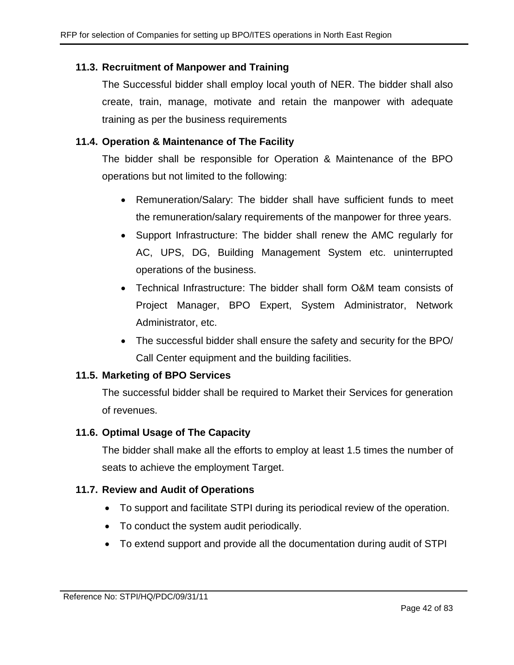# **11.3. Recruitment of Manpower and Training**

The Successful bidder shall employ local youth of NER. The bidder shall also create, train, manage, motivate and retain the manpower with adequate training as per the business requirements

# **11.4. Operation & Maintenance of The Facility**

The bidder shall be responsible for Operation & Maintenance of the BPO operations but not limited to the following:

- Remuneration/Salary: The bidder shall have sufficient funds to meet the remuneration/salary requirements of the manpower for three years.
- Support Infrastructure: The bidder shall renew the AMC regularly for AC, UPS, DG, Building Management System etc. uninterrupted operations of the business.
- Technical Infrastructure: The bidder shall form O&M team consists of Project Manager, BPO Expert, System Administrator, Network Administrator, etc.
- The successful bidder shall ensure the safety and security for the BPO/ Call Center equipment and the building facilities.

# **11.5. Marketing of BPO Services**

The successful bidder shall be required to Market their Services for generation of revenues.

# **11.6. Optimal Usage of The Capacity**

The bidder shall make all the efforts to employ at least 1.5 times the number of seats to achieve the employment Target.

# **11.7. Review and Audit of Operations**

- To support and facilitate STPI during its periodical review of the operation.
- To conduct the system audit periodically.
- To extend support and provide all the documentation during audit of STPI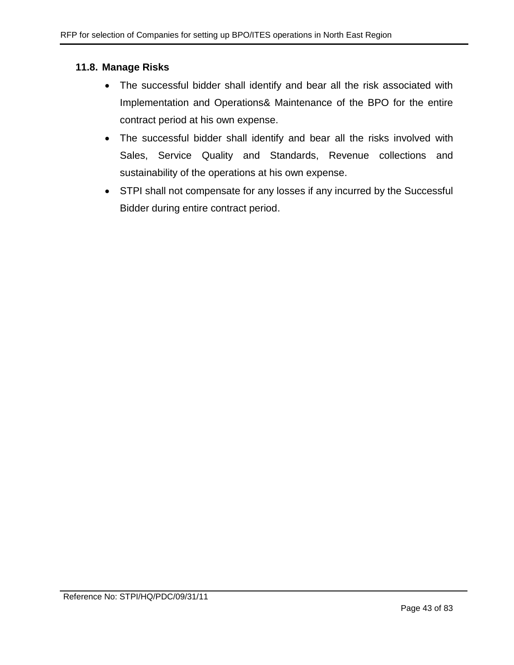## **11.8. Manage Risks**

- The successful bidder shall identify and bear all the risk associated with Implementation and Operations& Maintenance of the BPO for the entire contract period at his own expense.
- The successful bidder shall identify and bear all the risks involved with Sales, Service Quality and Standards, Revenue collections and sustainability of the operations at his own expense.
- STPI shall not compensate for any losses if any incurred by the Successful Bidder during entire contract period.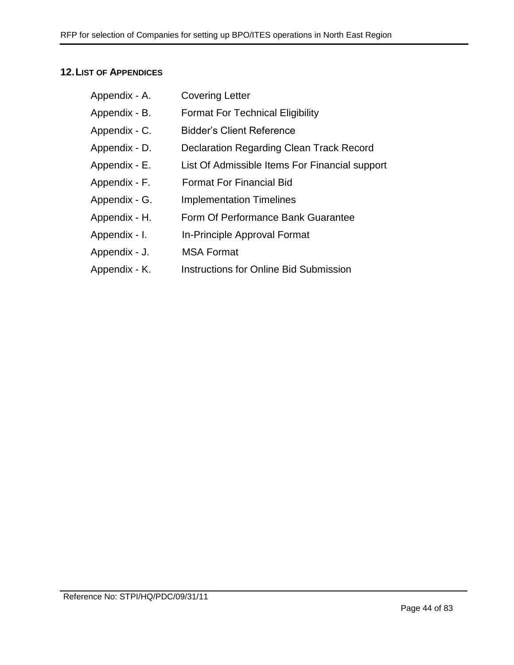# **12.LIST OF APPENDICES**

| Appendix - A. | <b>Covering Letter</b>                          |
|---------------|-------------------------------------------------|
| Appendix - B. | <b>Format For Technical Eligibility</b>         |
| Appendix - C. | <b>Bidder's Client Reference</b>                |
| Appendix - D. | <b>Declaration Regarding Clean Track Record</b> |
| Appendix - E. | List Of Admissible Items For Financial support  |
| Appendix - F. | <b>Format For Financial Bid</b>                 |
| Appendix - G. | <b>Implementation Timelines</b>                 |
| Appendix - H. | Form Of Performance Bank Guarantee              |
| Appendix - I. | In-Principle Approval Format                    |
| Appendix - J. | <b>MSA Format</b>                               |
| Appendix - K. | <b>Instructions for Online Bid Submission</b>   |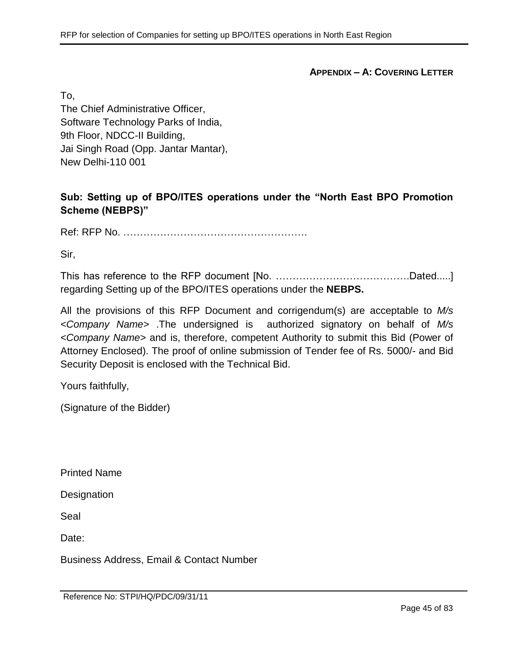**APPENDIX – A: COVERING LETTER**

To,

The Chief Administrative Officer, Software Technology Parks of India, 9th Floor, NDCC-II Building, Jai Singh Road (Opp. Jantar Mantar), New Delhi-110 001

**Sub: Setting up of BPO/ITES operations under the "North East BPO Promotion Scheme (NEBPS)"**

Ref: RFP No. ……………………………………………….

Sir,

This has reference to the RFP document [No. ………………………………….Dated.....] regarding Setting up of the BPO/ITES operations under the **NEBPS.**

All the provisions of this RFP Document and corrigendum(s) are acceptable to *M/s <Company Name>* .The undersigned is authorized signatory on behalf of *M/s <Company Name>* and is, therefore, competent Authority to submit this Bid (Power of Attorney Enclosed). The proof of online submission of Tender fee of Rs. 5000/- and Bid Security Deposit is enclosed with the Technical Bid.

Yours faithfully,

(Signature of the Bidder)

Printed Name

**Designation** 

Seal

Date:

Business Address, Email & Contact Number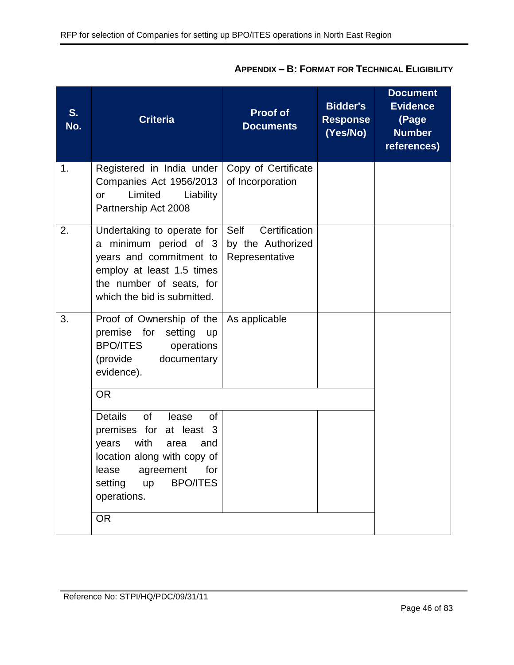| S.<br>No. | <b>Criteria</b>                                                                                                                                                                                                                                 | <b>Proof of</b><br><b>Documents</b>                          | <b>Bidder's</b><br><b>Response</b><br>(Yes/No) | <b>Document</b><br><b>Evidence</b><br>(Page<br><b>Number</b><br>references) |
|-----------|-------------------------------------------------------------------------------------------------------------------------------------------------------------------------------------------------------------------------------------------------|--------------------------------------------------------------|------------------------------------------------|-----------------------------------------------------------------------------|
| 1.        | Registered in India under<br>Companies Act 1956/2013<br>Limited<br>Liability<br><b>or</b><br>Partnership Act 2008                                                                                                                               | Copy of Certificate<br>of Incorporation                      |                                                |                                                                             |
| 2.        | Undertaking to operate for<br>a minimum period of 3<br>years and commitment to<br>employ at least 1.5 times<br>the number of seats, for<br>which the bid is submitted.                                                                          | Certification<br>Self<br>by the Authorized<br>Representative |                                                |                                                                             |
| 3.        | Proof of Ownership of the<br>premise for<br>setting<br><b>up</b><br><b>BPO/ITES</b><br>operations<br>(provide<br>documentary<br>evidence).                                                                                                      | As applicable                                                |                                                |                                                                             |
|           | <b>OR</b><br><b>Details</b><br><b>of</b><br>lease<br><b>of</b><br>premises for<br>at least 3<br>with<br>years<br>area<br>and<br>location along with copy of<br>lease agreement for<br><b>BPO/ITES</b><br>setting up<br>operations.<br><b>OR</b> |                                                              |                                                |                                                                             |

# **APPENDIX – B: FORMAT FOR TECHNICAL ELIGIBILITY**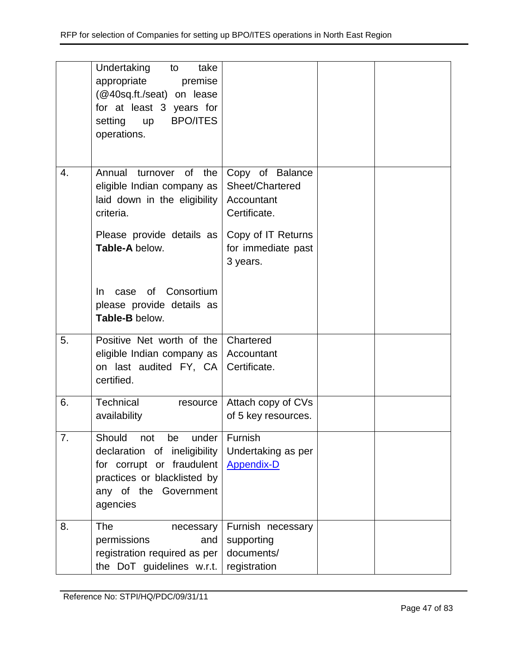|    | Undertaking<br>take<br>to<br>appropriate<br>premise<br>(@40sq.ft./seat) on lease<br>for at least 3 years for<br><b>BPO/ITES</b><br>setting<br><b>up</b><br>operations. |                                                                                                                          |  |
|----|------------------------------------------------------------------------------------------------------------------------------------------------------------------------|--------------------------------------------------------------------------------------------------------------------------|--|
| 4. | Annual turnover of the<br>eligible Indian company as<br>laid down in the eligibility<br>criteria.<br>Please provide details as<br>Table-A below.                       | Copy of Balance<br>Sheet/Chartered<br>Accountant<br>Certificate.<br>Copy of IT Returns<br>for immediate past<br>3 years. |  |
|    | of Consortium<br>In.<br>case<br>please provide details as<br>Table-B below.                                                                                            |                                                                                                                          |  |
| 5. | Positive Net worth of the<br>eligible Indian company as<br>on last audited FY, CA<br>certified.                                                                        | Chartered<br>Accountant<br>Certificate.                                                                                  |  |
| 6. | Technical<br>resource<br>availability                                                                                                                                  | Attach copy of CVs<br>of 5 key resources.                                                                                |  |
| 7. | Should<br>under<br>not<br>be<br>declaration of ineligibility<br>for corrupt or fraudulent<br>practices or blacklisted by<br>any of the Government<br>agencies          | Furnish<br>Undertaking as per<br><b>Appendix-D</b>                                                                       |  |
| 8. | <b>The</b><br>necessary<br>permissions<br>and<br>registration required as per<br>the DoT guidelines w.r.t.                                                             | Furnish necessary<br>supporting<br>documents/<br>registration                                                            |  |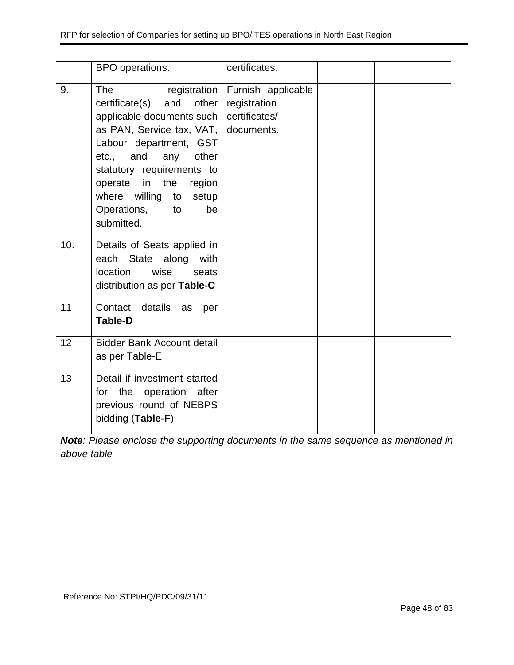|     | BPO operations.                                                                                                                                                                                                                                                                             | certificates.                                                      |  |
|-----|---------------------------------------------------------------------------------------------------------------------------------------------------------------------------------------------------------------------------------------------------------------------------------------------|--------------------------------------------------------------------|--|
| 9.  | <b>The</b><br>and<br>other<br>certificate(s)<br>applicable documents such<br>as PAN, Service tax, VAT, documents.<br>Labour department, GST<br>etc., and any other<br>statutory requirements to<br>operate in the region<br>where willing to setup<br>Operations,<br>to<br>be<br>submitted. | registration   Furnish applicable<br>registration<br>certificates/ |  |
| 10. | Details of Seats applied in<br>each State along with<br>location<br>wise<br>seats<br>distribution as per Table-C                                                                                                                                                                            |                                                                    |  |
| 11  | Contact details<br>as<br>per<br><b>Table-D</b>                                                                                                                                                                                                                                              |                                                                    |  |
| 12  | <b>Bidder Bank Account detail</b><br>as per Table-E                                                                                                                                                                                                                                         |                                                                    |  |
| 13  | Detail if investment started<br>for the operation after<br>previous round of NEBPS<br>bidding (Table-F)                                                                                                                                                                                     |                                                                    |  |

*Note: Please enclose the supporting documents in the same sequence as mentioned in above table*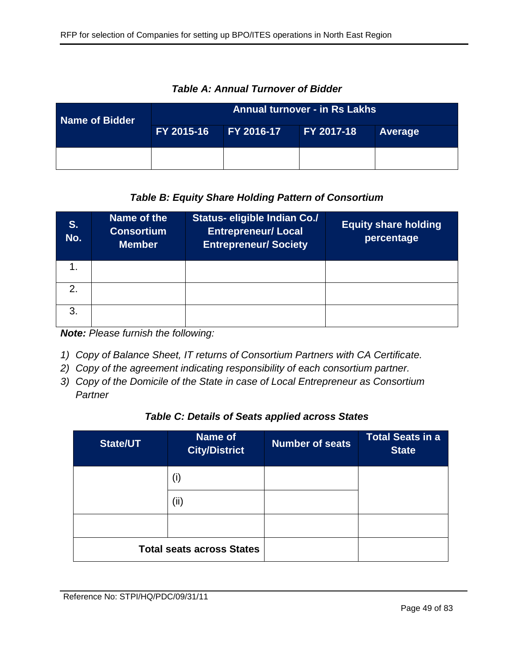| Name of Bidder | <b>Annual turnover - in Rs Lakhs</b> |                   |            |         |  |
|----------------|--------------------------------------|-------------------|------------|---------|--|
|                | FY 2015-16                           | <b>FY 2016-17</b> | FY 2017-18 | Average |  |
|                |                                      |                   |            |         |  |

*Table A: Annual Turnover of Bidder*

# *Table B: Equity Share Holding Pattern of Consortium*

| S.<br>No.     | Name of the<br><b>Consortium</b><br><b>Member</b> | <b>Status- eligible Indian Co./</b><br><b>Entrepreneur/ Local</b><br><b>Entrepreneur/Society</b> | <b>Equity share holding</b><br>percentage |
|---------------|---------------------------------------------------|--------------------------------------------------------------------------------------------------|-------------------------------------------|
|               |                                                   |                                                                                                  |                                           |
| $\mathcal{P}$ |                                                   |                                                                                                  |                                           |
| $\mathbf{3}$  |                                                   |                                                                                                  |                                           |

*Note: Please furnish the following:*

- *1) Copy of Balance Sheet, IT returns of Consortium Partners with CA Certificate.*
- *2) Copy of the agreement indicating responsibility of each consortium partner.*
- *3) Copy of the Domicile of the State in case of Local Entrepreneur as Consortium Partner*

## *Table C: Details of Seats applied across States*

| <b>State/UT</b>                  | Name of<br><b>City/District</b> | <b>Number of seats</b> | <b>Total Seats in a</b><br><b>State</b> |
|----------------------------------|---------------------------------|------------------------|-----------------------------------------|
|                                  | (i)                             |                        |                                         |
|                                  | (ii)                            |                        |                                         |
|                                  |                                 |                        |                                         |
| <b>Total seats across States</b> |                                 |                        |                                         |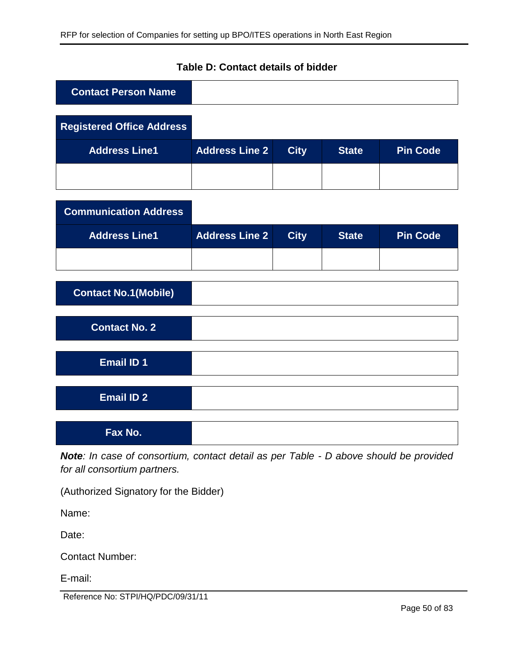| <b>Contact Person Name</b>       |                       |             |              |                 |
|----------------------------------|-----------------------|-------------|--------------|-----------------|
| <b>Registered Office Address</b> |                       |             |              |                 |
| <b>Address Line1</b>             | <b>Address Line 2</b> | <b>City</b> | <b>State</b> | <b>Pin Code</b> |
|                                  |                       |             |              |                 |
| <b>Communication Address</b>     |                       |             |              |                 |
| <b>Address Line1</b>             | <b>Address Line 2</b> | <b>City</b> | <b>State</b> | <b>Pin Code</b> |
|                                  |                       |             |              |                 |
| <b>Contact No.1(Mobile)</b>      |                       |             |              |                 |
| <b>Contact No. 2</b>             |                       |             |              |                 |
| <b>Email ID 1</b>                |                       |             |              |                 |
| <b>Email ID 2</b>                |                       |             |              |                 |
| Fax No.                          |                       |             |              |                 |

# **Table D: Contact details of bidder**

*Note: In case of consortium, contact detail as per Table - D above should be provided for all consortium partners.*

(Authorized Signatory for the Bidder)

Name:

Date:

Contact Number:

E-mail:

Reference No: STPI/HQ/PDC/09/31/11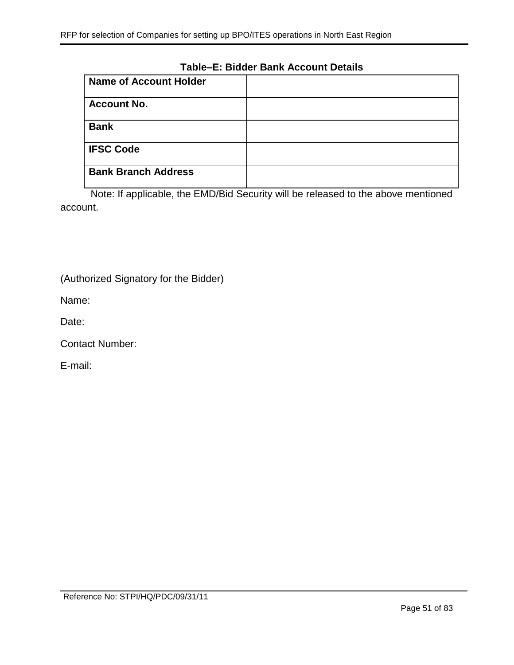### **Table–E: Bidder Bank Account Details**

| <b>Name of Account Holder</b> |  |
|-------------------------------|--|
| <b>Account No.</b>            |  |
| <b>Bank</b>                   |  |
| <b>IFSC Code</b>              |  |
| <b>Bank Branch Address</b>    |  |

Note: If applicable, the EMD/Bid Security will be released to the above mentioned account.

(Authorized Signatory for the Bidder)

Name:

Date:

Contact Number:

E-mail: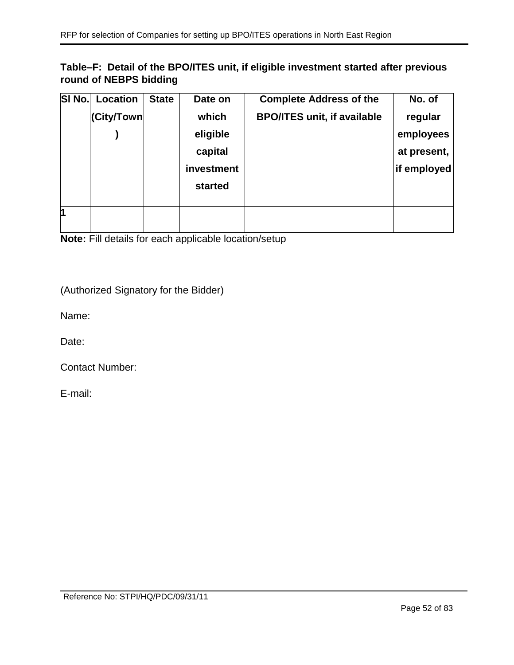# **Table–F: Detail of the BPO/ITES unit, if eligible investment started after previous round of NEBPS bidding**

| SI No. | Location   | <b>State</b> | Date on    | <b>Complete Address of the</b>     | No. of      |
|--------|------------|--------------|------------|------------------------------------|-------------|
|        | (City/Town |              | which      | <b>BPO/ITES unit, if available</b> | regular     |
|        |            |              | eligible   |                                    | employees   |
|        |            |              | capital    |                                    | at present, |
|        |            |              | investment |                                    | if employed |
|        |            |              | started    |                                    |             |
|        |            |              |            |                                    |             |
| 1      |            |              |            |                                    |             |
|        |            |              |            |                                    |             |

**Note:** Fill details for each applicable location/setup

(Authorized Signatory for the Bidder)

Name:

Date:

Contact Number:

E-mail: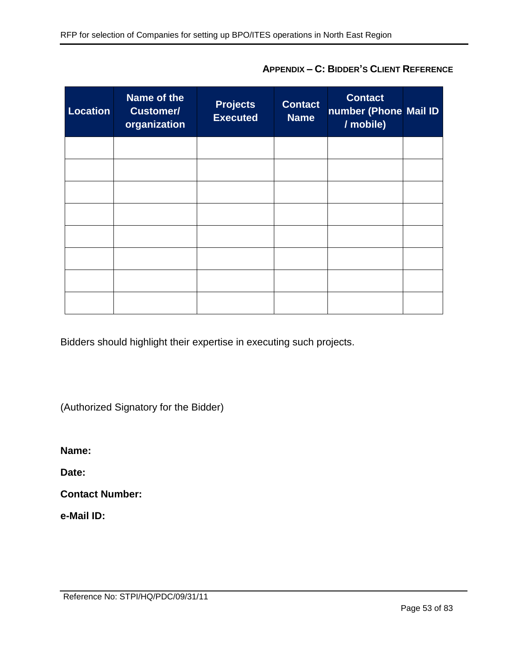| <b>Location</b> | Name of the<br><b>Customer/</b><br>organization | <b>Projects</b><br><b>Executed</b> | <b>Contact</b><br><b>Name</b> | <b>Contact</b><br>number (Phone Mail ID<br>/ mobile) |  |
|-----------------|-------------------------------------------------|------------------------------------|-------------------------------|------------------------------------------------------|--|
|                 |                                                 |                                    |                               |                                                      |  |
|                 |                                                 |                                    |                               |                                                      |  |
|                 |                                                 |                                    |                               |                                                      |  |
|                 |                                                 |                                    |                               |                                                      |  |
|                 |                                                 |                                    |                               |                                                      |  |
|                 |                                                 |                                    |                               |                                                      |  |
|                 |                                                 |                                    |                               |                                                      |  |
|                 |                                                 |                                    |                               |                                                      |  |

**APPENDIX – C: BIDDER'S CLIENT REFERENCE**

Bidders should highlight their expertise in executing such projects.

(Authorized Signatory for the Bidder)

**Name:** 

**Date:** 

**Contact Number:** 

**e-Mail ID:**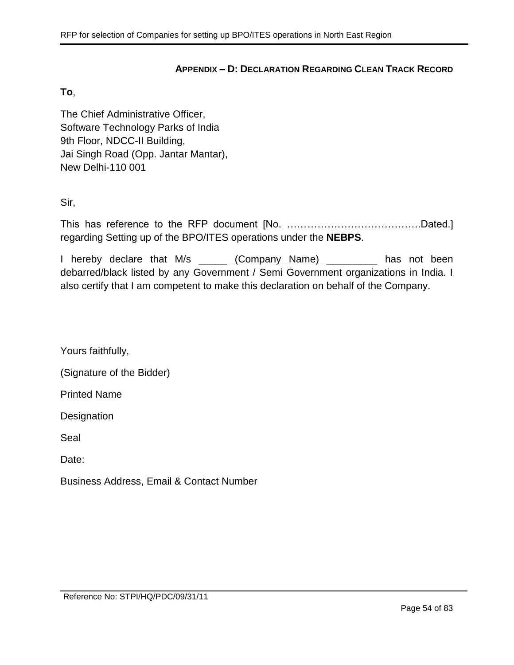### **APPENDIX – D: DECLARATION REGARDING CLEAN TRACK RECORD**

#### <span id="page-53-0"></span>**To**,

The Chief Administrative Officer, Software Technology Parks of India 9th Floor, NDCC-II Building, Jai Singh Road (Opp. Jantar Mantar), New Delhi-110 001

Sir,

This has reference to the RFP document [No. ………………………………….Dated.] regarding Setting up of the BPO/ITES operations under the **NEBPS**.

I hereby declare that M/s (Company Name) and has not been debarred/black listed by any Government / Semi Government organizations in India. I also certify that I am competent to make this declaration on behalf of the Company.

Yours faithfully,

(Signature of the Bidder)

Printed Name

**Designation** 

Seal

Date:

Business Address, Email & Contact Number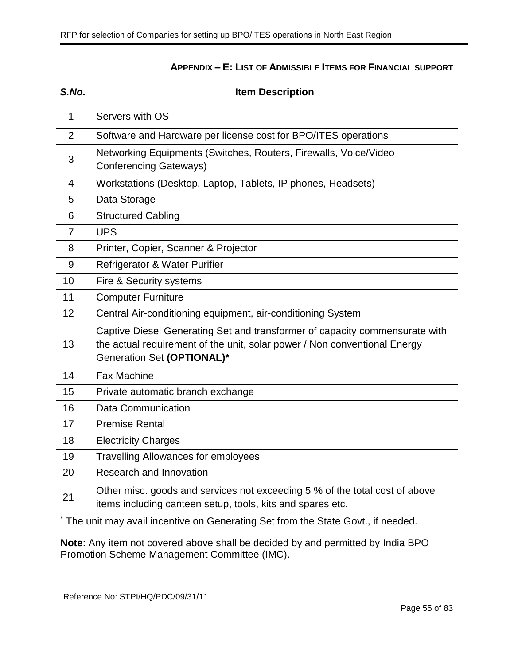<span id="page-54-0"></span>

| S.No. | <b>Item Description</b>                                                                                                                                                                |  |  |
|-------|----------------------------------------------------------------------------------------------------------------------------------------------------------------------------------------|--|--|
| 1     | Servers with OS                                                                                                                                                                        |  |  |
| 2     | Software and Hardware per license cost for BPO/ITES operations                                                                                                                         |  |  |
| 3     | Networking Equipments (Switches, Routers, Firewalls, Voice/Video<br><b>Conferencing Gateways)</b>                                                                                      |  |  |
| 4     | Workstations (Desktop, Laptop, Tablets, IP phones, Headsets)                                                                                                                           |  |  |
| 5     | Data Storage                                                                                                                                                                           |  |  |
| 6     | <b>Structured Cabling</b>                                                                                                                                                              |  |  |
| 7     | <b>UPS</b>                                                                                                                                                                             |  |  |
| 8     | Printer, Copier, Scanner & Projector                                                                                                                                                   |  |  |
| 9     | Refrigerator & Water Purifier                                                                                                                                                          |  |  |
| 10    | Fire & Security systems                                                                                                                                                                |  |  |
| 11    | <b>Computer Furniture</b>                                                                                                                                                              |  |  |
| 12    | Central Air-conditioning equipment, air-conditioning System                                                                                                                            |  |  |
| 13    | Captive Diesel Generating Set and transformer of capacity commensurate with<br>the actual requirement of the unit, solar power / Non conventional Energy<br>Generation Set (OPTIONAL)* |  |  |
| 14    | <b>Fax Machine</b>                                                                                                                                                                     |  |  |
| 15    | Private automatic branch exchange                                                                                                                                                      |  |  |
| 16    | <b>Data Communication</b>                                                                                                                                                              |  |  |
| 17    | <b>Premise Rental</b>                                                                                                                                                                  |  |  |
| 18    | <b>Electricity Charges</b>                                                                                                                                                             |  |  |
| 19    | <b>Travelling Allowances for employees</b>                                                                                                                                             |  |  |
| 20    | Research and Innovation                                                                                                                                                                |  |  |
| 21    | Other misc. goods and services not exceeding 5 % of the total cost of above<br>items including canteen setup, tools, kits and spares etc.                                              |  |  |

## **APPENDIX – E: LIST OF ADMISSIBLE ITEMS FOR FINANCIAL SUPPORT**

\* The unit may avail incentive on Generating Set from the State Govt., if needed.

**Note**: Any item not covered above shall be decided by and permitted by India BPO Promotion Scheme Management Committee (IMC).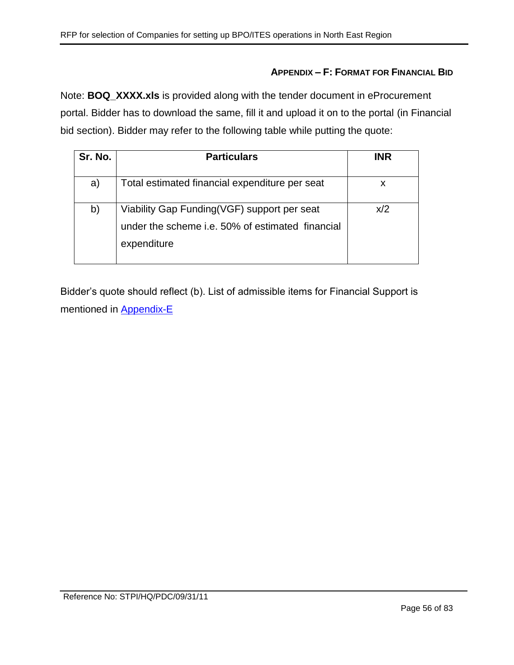### **APPENDIX – F: FORMAT FOR FINANCIAL BID**

Note: **BOQ\_XXXX.xls** is provided along with the tender document in eProcurement portal. Bidder has to download the same, fill it and upload it on to the portal (in Financial bid section). Bidder may refer to the following table while putting the quote:

| Sr. No. | <b>Particulars</b>                                                                                             | <b>INR</b> |
|---------|----------------------------------------------------------------------------------------------------------------|------------|
| a)      | Total estimated financial expenditure per seat                                                                 | X          |
| b)      | Viability Gap Funding(VGF) support per seat<br>under the scheme i.e. 50% of estimated financial<br>expenditure | x/2        |

Bidder's quote should reflect (b). List of admissible items for Financial Support is mentioned in [Appendix-E](#page-54-0)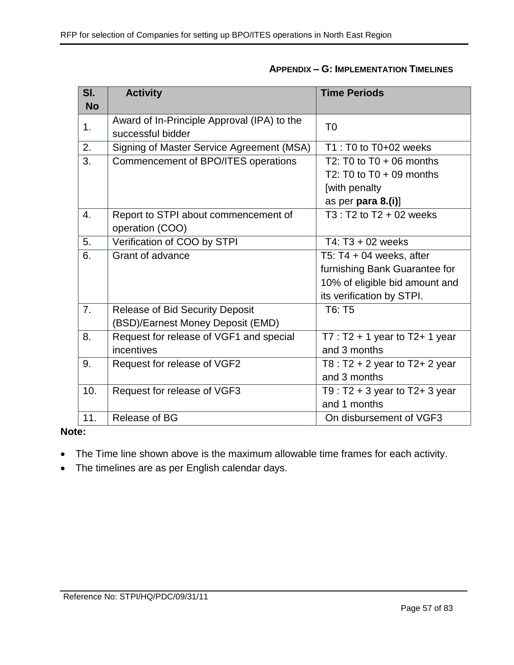| SI.            | <b>Activity</b>                             | <b>Time Periods</b>                 |
|----------------|---------------------------------------------|-------------------------------------|
| <b>No</b>      |                                             |                                     |
| 1.             | Award of In-Principle Approval (IPA) to the | T <sub>0</sub>                      |
|                | successful bidder                           |                                     |
| 2.             | Signing of Master Service Agreement (MSA)   | T1 : T0 to T0+02 weeks              |
| 3.             | Commencement of BPO/ITES operations         | T2: T0 to $T0 + 06$ months          |
|                |                                             | T2: T0 to $T0 + 09$ months          |
|                |                                             | [with penalty                       |
|                |                                             | as per para $8.(i)$ ]               |
| 4.             | Report to STPI about commencement of        | $T3: T2$ to $T2 + 02$ weeks         |
|                | operation (COO)                             |                                     |
| 5.             | Verification of COO by STPI                 | T4: $T3 + 02$ weeks                 |
| 6.             | Grant of advance                            | T5: $T4 + 04$ weeks, after          |
|                |                                             | furnishing Bank Guarantee for       |
|                |                                             | 10% of eligible bid amount and      |
|                |                                             | its verification by STPI.           |
| 7 <sub>1</sub> | <b>Release of Bid Security Deposit</b>      | T6: T5                              |
|                | (BSD)/Earnest Money Deposit (EMD)           |                                     |
| 8.             | Request for release of VGF1 and special     | $T7: T2 + 1$ year to T2+ 1 year     |
|                | incentives                                  | and 3 months                        |
| 9.             | Request for release of VGF2                 | T8 : $T2 + 2$ year to $T2 + 2$ year |
|                |                                             | and 3 months                        |
| 10.            | Request for release of VGF3                 | T9 : $T2 + 3$ year to $T2 + 3$ year |
|                |                                             | and 1 months                        |
| 11.            | Release of BG                               | On disbursement of VGF3             |

## **Note:**

- The Time line shown above is the maximum allowable time frames for each activity.
- The timelines are as per English calendar days.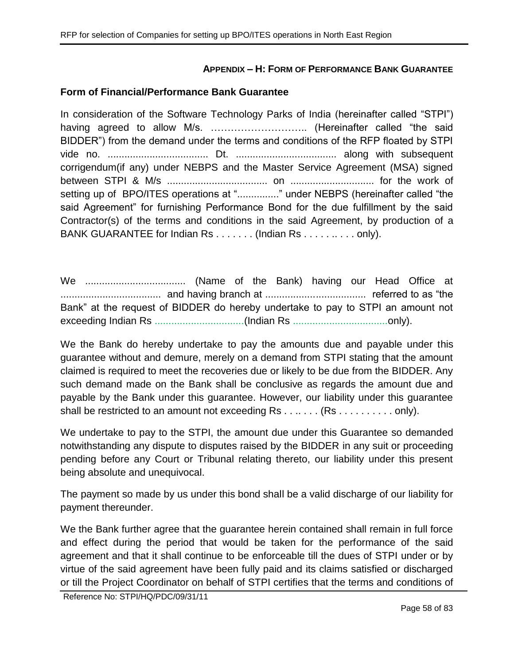## **APPENDIX – H: FORM OF PERFORMANCE BANK GUARANTEE**

### **Form of Financial/Performance Bank Guarantee**

In consideration of the Software Technology Parks of India (hereinafter called "STPI") having agreed to allow M/s. ……………………….. (Hereinafter called "the said BIDDER") from the demand under the terms and conditions of the RFP floated by STPI vide no. .................................... Dt. .................................... along with subsequent corrigendum(if any) under NEBPS and the Master Service Agreement (MSA) signed between STPI & M/s .................................... on .............................. for the work of setting up of BPO/ITES operations at "................" under NEBPS (hereinafter called "the said Agreement" for furnishing Performance Bond for the due fulfillment by the said Contractor(s) of the terms and conditions in the said Agreement, by production of a BANK GUARANTEE for Indian Rs . . . . . . . (Indian Rs . . . . . . . . . . only).

We .................................... (Name of the Bank) having our Head Office at .................................... and having branch at .................................... referred to as "the Bank" at the request of BIDDER do hereby undertake to pay to STPI an amount not exceeding Indian Rs ................................(Indian Rs ..................................only).

We the Bank do hereby undertake to pay the amounts due and payable under this guarantee without and demure, merely on a demand from STPI stating that the amount claimed is required to meet the recoveries due or likely to be due from the BIDDER. Any such demand made on the Bank shall be conclusive as regards the amount due and payable by the Bank under this guarantee. However, our liability under this guarantee shall be restricted to an amount not exceeding Rs . . . . . . . (Rs . . . . . . . . . . only).

We undertake to pay to the STPI, the amount due under this Guarantee so demanded notwithstanding any dispute to disputes raised by the BIDDER in any suit or proceeding pending before any Court or Tribunal relating thereto, our liability under this present being absolute and unequivocal.

The payment so made by us under this bond shall be a valid discharge of our liability for payment thereunder.

We the Bank further agree that the guarantee herein contained shall remain in full force and effect during the period that would be taken for the performance of the said agreement and that it shall continue to be enforceable till the dues of STPI under or by virtue of the said agreement have been fully paid and its claims satisfied or discharged or till the Project Coordinator on behalf of STPI certifies that the terms and conditions of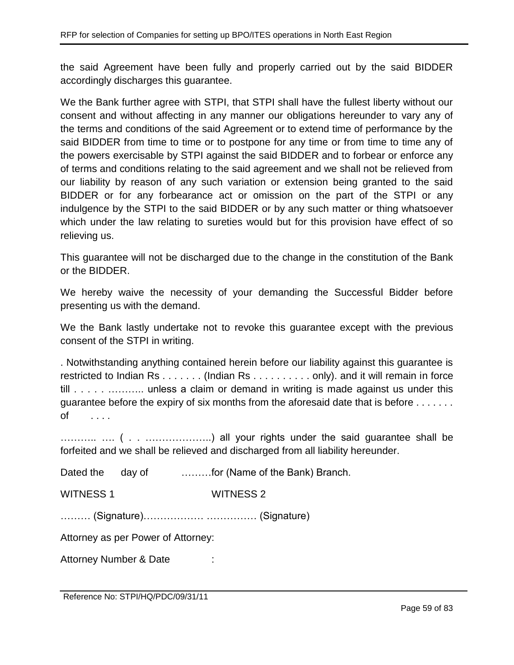the said Agreement have been fully and properly carried out by the said BIDDER accordingly discharges this guarantee.

We the Bank further agree with STPI, that STPI shall have the fullest liberty without our consent and without affecting in any manner our obligations hereunder to vary any of the terms and conditions of the said Agreement or to extend time of performance by the said BIDDER from time to time or to postpone for any time or from time to time any of the powers exercisable by STPI against the said BIDDER and to forbear or enforce any of terms and conditions relating to the said agreement and we shall not be relieved from our liability by reason of any such variation or extension being granted to the said BIDDER or for any forbearance act or omission on the part of the STPI or any indulgence by the STPI to the said BIDDER or by any such matter or thing whatsoever which under the law relating to sureties would but for this provision have effect of so relieving us.

This guarantee will not be discharged due to the change in the constitution of the Bank or the BIDDER.

We hereby waive the necessity of your demanding the Successful Bidder before presenting us with the demand.

We the Bank lastly undertake not to revoke this guarantee except with the previous consent of the STPI in writing.

. Notwithstanding anything contained herein before our liability against this guarantee is restricted to Indian Rs . . . . . . . (Indian Rs . . . . . . . . . . only). and it will remain in force till . . . . . . . . . . . . . . . . unless a claim or demand in writing is made against us under this guarantee before the expiry of six months from the aforesaid date that is before . . . . . . . of . . . .

……….. …. ( . . ………………..) all your rights under the said guarantee shall be forfeited and we shall be relieved and discharged from all liability hereunder.

Dated the day of ………for (Name of the Bank) Branch.

WITNESS 1 WITNESS 2

……… (Signature)……………… …………… (Signature)

Attorney as per Power of Attorney:

Attorney Number & Date :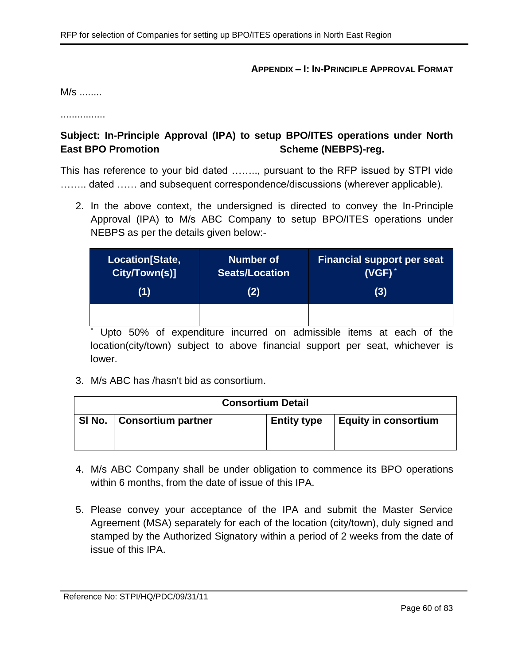#### **APPENDIX – I: IN-PRINCIPLE APPROVAL FORMAT**

M/s ........

................

# **Subject: In-Principle Approval (IPA) to setup BPO/ITES operations under North East BPO Promotion Contract Scheme (NEBPS)-reg.**

This has reference to your bid dated …….., pursuant to the RFP issued by STPI vide ........ dated ...... and subsequent correspondence/discussions (wherever applicable).

2. In the above context, the undersigned is directed to convey the In-Principle Approval (IPA) to M/s ABC Company to setup BPO/ITES operations under NEBPS as per the details given below:-

| Location[State, | <b>Number of</b>      | <b>Financial support per seat</b> |
|-----------------|-----------------------|-----------------------------------|
| City/Town(s)]   | <b>Seats/Location</b> | $(VGF)^*$                         |
| (1)             | (2)                   | (3)                               |
|                 |                       |                                   |

\* Upto 50% of expenditure incurred on admissible items at each of the location(city/town) subject to above financial support per seat, whichever is lower.

3. M/s ABC has /hasn't bid as consortium.

| <b>Consortium Detail</b> |                             |                    |                             |  |
|--------------------------|-----------------------------|--------------------|-----------------------------|--|
|                          | SI No.   Consortium partner | <b>Entity type</b> | <b>Equity in consortium</b> |  |
|                          |                             |                    |                             |  |

- 4. M/s ABC Company shall be under obligation to commence its BPO operations within 6 months, from the date of issue of this IPA.
- 5. Please convey your acceptance of the IPA and submit the Master Service Agreement (MSA) separately for each of the location (city/town), duly signed and stamped by the Authorized Signatory within a period of 2 weeks from the date of issue of this IPA.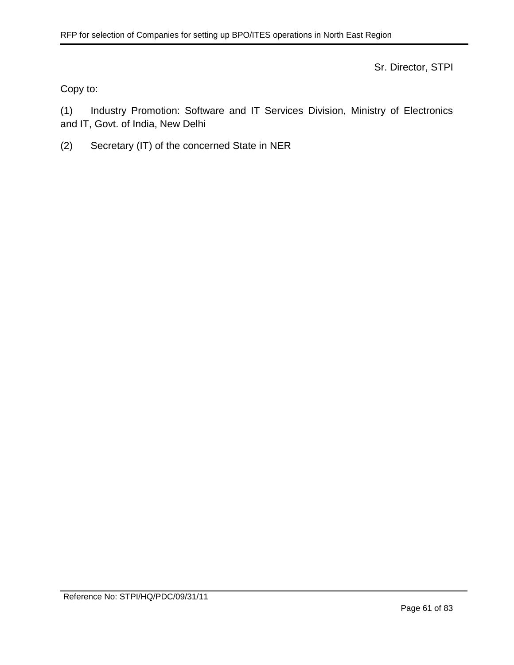Sr. Director, STPI

Copy to:

(1) Industry Promotion: Software and IT Services Division, Ministry of Electronics and IT, Govt. of India, New Delhi

(2) Secretary (IT) of the concerned State in NER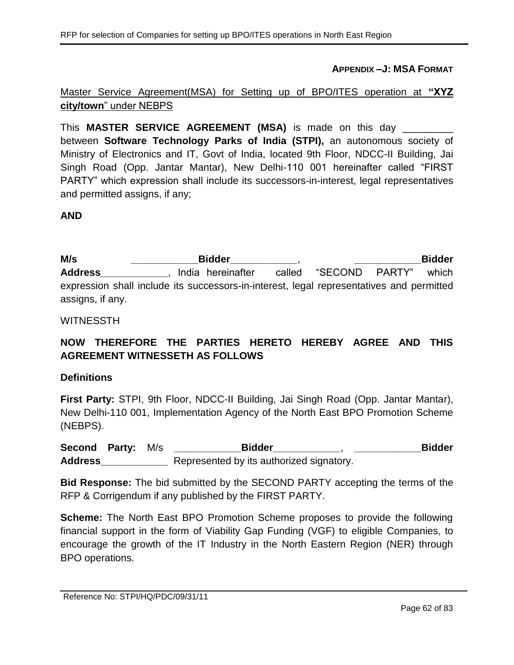**APPENDIX –J: MSA FORMAT**

# Master Service Agreement(MSA) for Setting up of BPO/ITES operation at **"XYZ city/town**" under NEBPS

This **MASTER SERVICE AGREEMENT (MSA)** is made on this day \_\_\_\_\_\_\_\_\_ between **Software Technology Parks of India (STPI),** an autonomous society of Ministry of Electronics and IT, Govt of India, located 9th Floor, NDCC-II Building, Jai Singh Road (Opp. Jantar Mantar), New Delhi-110 001 hereinafter called "FIRST PARTY" which expression shall include its successors-in-interest, legal representatives and permitted assigns, if any;

## **AND**

**M/s \_\_\_\_\_\_\_\_\_\_\_\_Bidder\_\_\_\_\_\_\_\_\_\_\_\_**, **\_\_\_\_\_\_\_\_\_\_\_\_Bidder**  Address **Address** , India hereinafter called "SECOND PARTY" which expression shall include its successors-in-interest, legal representatives and permitted assigns, if any.

### WITNESSTH

# **NOW THEREFORE THE PARTIES HERETO HEREBY AGREE AND THIS AGREEMENT WITNESSETH AS FOLLOWS**

#### **Definitions**

**First Party:** STPI, 9th Floor, NDCC-II Building, Jai Singh Road (Opp. Jantar Mantar), New Delhi-110 001, Implementation Agency of the North East BPO Promotion Scheme (NEBPS).

**Second Party:** M/s **\_\_\_\_\_\_\_\_\_\_\_\_Bidder\_\_\_\_\_\_\_\_\_\_\_\_**, **\_\_\_\_\_\_\_\_\_\_\_\_Bidder Address\_\_\_\_\_\_\_\_\_\_\_\_** Represented by its authorized signatory.

**Bid Response:** The bid submitted by the SECOND PARTY accepting the terms of the RFP & Corrigendum if any published by the FIRST PARTY.

**Scheme:** The North East BPO Promotion Scheme proposes to provide the following financial support in the form of Viability Gap Funding (VGF) to eligible Companies, to encourage the growth of the IT Industry in the North Eastern Region (NER) through BPO operations.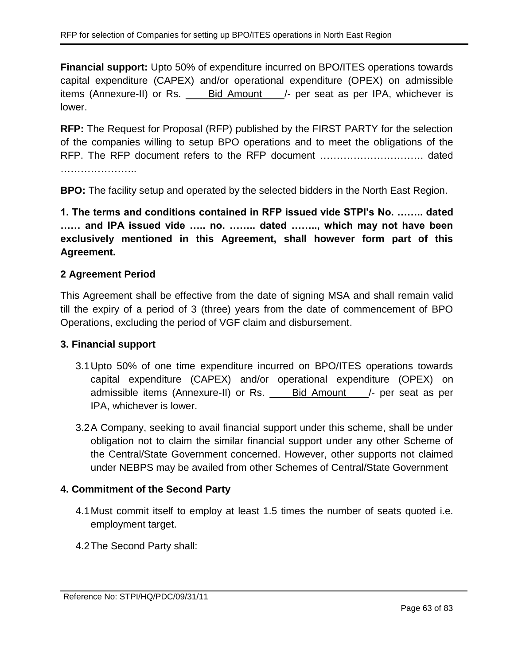**Financial support:** Upto 50% of expenditure incurred on BPO/ITES operations towards capital expenditure (CAPEX) and/or operational expenditure (OPEX) on admissible items (Annexure-II) or Rs. \_\_\_\_Bid Amount\_\_\_\_/- per seat as per IPA, whichever is lower.

**RFP:** The Request for Proposal (RFP) published by the FIRST PARTY for the selection of the companies willing to setup BPO operations and to meet the obligations of the RFP. The RFP document refers to the RFP document …………………………. dated ………………………

**BPO:** The facility setup and operated by the selected bidders in the North East Region.

**1. The terms and conditions contained in RFP issued vide STPI's No. …….. dated …… and IPA issued vide ….. no. …….. dated …….., which may not have been exclusively mentioned in this Agreement, shall however form part of this Agreement.**

# **2 Agreement Period**

This Agreement shall be effective from the date of signing MSA and shall remain valid till the expiry of a period of 3 (three) years from the date of commencement of BPO Operations, excluding the period of VGF claim and disbursement.

## **3. Financial support**

- 3.1Upto 50% of one time expenditure incurred on BPO/ITES operations towards capital expenditure (CAPEX) and/or operational expenditure (OPEX) on admissible items (Annexure-II) or Rs. \_\_\_\_\_Bid Amount \_\_\_/- per seat as per IPA, whichever is lower.
- 3.2A Company, seeking to avail financial support under this scheme, shall be under obligation not to claim the similar financial support under any other Scheme of the Central/State Government concerned. However, other supports not claimed under NEBPS may be availed from other Schemes of Central/State Government

# **4. Commitment of the Second Party**

- 4.1Must commit itself to employ at least 1.5 times the number of seats quoted i.e. employment target.
- 4.2The Second Party shall: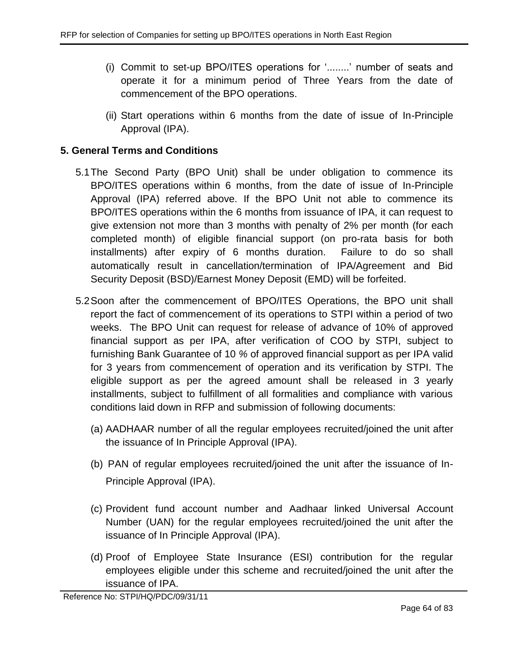- (i) Commit to set-up BPO/ITES operations for '........' number of seats and operate it for a minimum period of Three Years from the date of commencement of the BPO operations.
- (ii) Start operations within 6 months from the date of issue of In-Principle Approval (IPA).

# **5. General Terms and Conditions**

- 5.1The Second Party (BPO Unit) shall be under obligation to commence its BPO/ITES operations within 6 months, from the date of issue of In-Principle Approval (IPA) referred above. If the BPO Unit not able to commence its BPO/ITES operations within the 6 months from issuance of IPA, it can request to give extension not more than 3 months with penalty of 2% per month (for each completed month) of eligible financial support (on pro-rata basis for both installments) after expiry of 6 months duration. Failure to do so shall automatically result in cancellation/termination of IPA/Agreement and Bid Security Deposit (BSD)/Earnest Money Deposit (EMD) will be forfeited.
- <span id="page-63-0"></span>5.2Soon after the commencement of BPO/ITES Operations, the BPO unit shall report the fact of commencement of its operations to STPI within a period of two weeks. The BPO Unit can request for release of advance of 10% of approved financial support as per IPA, after verification of COO by STPI, subject to furnishing Bank Guarantee of 10 *%* of approved financial support as per IPA valid for 3 years from commencement of operation and its verification by STPI. The eligible support as per the agreed amount shall be released in 3 yearly installments, subject to fulfillment of all formalities and compliance with various conditions laid down in RFP and submission of following documents:
	- (a) AADHAAR number of all the regular employees recruited/joined the unit after the issuance of In Principle Approval (IPA).
	- (b) PAN of regular employees recruited/joined the unit after the issuance of In-Principle Approval (IPA).
	- (c) Provident fund account number and Aadhaar linked Universal Account Number (UAN) for the regular employees recruited/joined the unit after the issuance of In Principle Approval (IPA).
	- (d) Proof of Employee State Insurance (ESI) contribution for the regular employees eligible under this scheme and recruited/joined the unit after the issuance of IPA.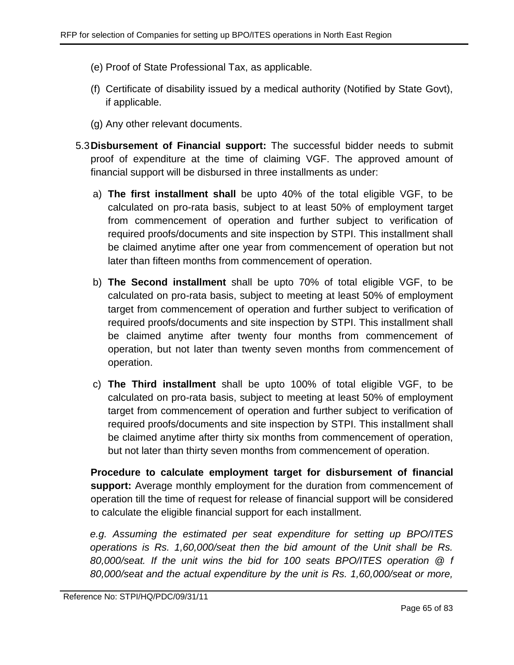- (e) Proof of State Professional Tax, as applicable.
- (f) Certificate of disability issued by a medical authority (Notified by State Govt), if applicable.
- (g) Any other relevant documents.
- 5.3**Disbursement of Financial support:** The successful bidder needs to submit proof of expenditure at the time of claiming VGF. The approved amount of financial support will be disbursed in three installments as under:
	- a) **The first installment shall** be upto 40% of the total eligible VGF, to be calculated on pro-rata basis, subject to at least 50% of employment target from commencement of operation and further subject to verification of required proofs/documents and site inspection by STPI. This installment shall be claimed anytime after one year from commencement of operation but not later than fifteen months from commencement of operation.
	- b) **The Second installment** shall be upto 70% of total eligible VGF, to be calculated on pro-rata basis, subject to meeting at least 50% of employment target from commencement of operation and further subject to verification of required proofs/documents and site inspection by STPI. This installment shall be claimed anytime after twenty four months from commencement of operation, but not later than twenty seven months from commencement of operation.
	- c) **The Third installment** shall be upto 100% of total eligible VGF, to be calculated on pro-rata basis, subject to meeting at least 50% of employment target from commencement of operation and further subject to verification of required proofs/documents and site inspection by STPI. This installment shall be claimed anytime after thirty six months from commencement of operation, but not later than thirty seven months from commencement of operation.

**Procedure to calculate employment target for disbursement of financial support:** Average monthly employment for the duration from commencement of operation till the time of request for release of financial support will be considered to calculate the eligible financial support for each installment.

*e.g. Assuming the estimated per seat expenditure for setting up BPO/ITES operations is Rs. 1,60,000/seat then the bid amount of the Unit shall be Rs. 80,000/seat. If the unit wins the bid for 100 seats BPO/ITES operation @ f 80,000/seat and the actual expenditure by the unit is Rs. 1,60,000/seat or more,*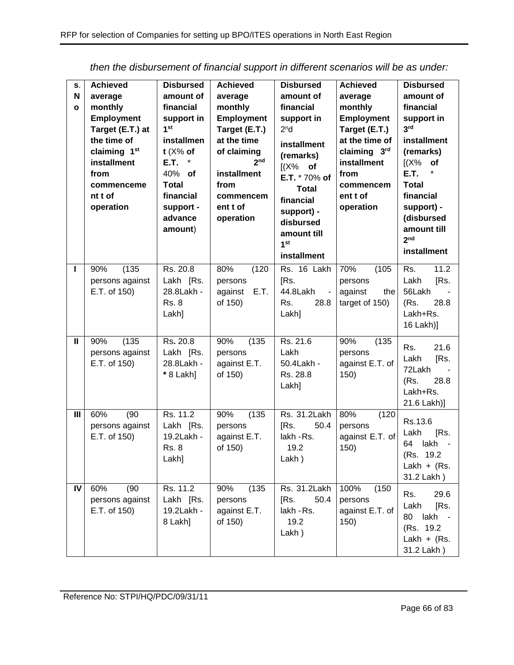| S.<br>N<br>$\mathbf{o}$ | <b>Achieved</b><br>average<br>monthly<br><b>Employment</b><br>Target (E.T.) at<br>the time of<br>claiming 1 <sup>st</sup><br>installment<br>from<br>commenceme<br>nt t of<br>operation | <b>Disbursed</b><br>amount of<br>financial<br>support in<br>1 <sup>st</sup><br>installmen<br>t $(X\%$ of<br>E.T.<br>40% of<br>Total<br>financial<br>support -<br>advance<br>amount) | <b>Achieved</b><br>average<br>monthly<br>Employment<br>Target (E.T.)<br>at the time<br>of claiming<br>2 <sub>nd</sub><br>installment<br>from<br>commencem<br>ent t of<br>operation | <b>Disbursed</b><br>amount of<br>financial<br>support in<br>2 <sup>n</sup> d<br>installment<br>(remarks)<br>$[(X\%$ of<br>E.T. * 70% of<br><b>Total</b><br>financial<br>support) -<br>disbursed<br>amount till<br>1 <sup>st</sup><br>installment | <b>Achieved</b><br>average<br>monthly<br><b>Employment</b><br>Target (E.T.)<br>at the time of<br>claiming 3rd<br>installment<br>from<br>commencem<br>ent t of<br>operation | <b>Disbursed</b><br>amount of<br>financial<br>support in<br>3 <sup>rd</sup><br>installment<br>(remarks)<br>$[(X\%$ of<br><b>E.T.</b><br><b>Total</b><br>financial<br>support) -<br>(disbursed<br>amount till<br>2 <sub>nd</sub><br>installment |
|-------------------------|----------------------------------------------------------------------------------------------------------------------------------------------------------------------------------------|-------------------------------------------------------------------------------------------------------------------------------------------------------------------------------------|------------------------------------------------------------------------------------------------------------------------------------------------------------------------------------|--------------------------------------------------------------------------------------------------------------------------------------------------------------------------------------------------------------------------------------------------|----------------------------------------------------------------------------------------------------------------------------------------------------------------------------|------------------------------------------------------------------------------------------------------------------------------------------------------------------------------------------------------------------------------------------------|
| ı                       | (135)<br>90%<br>persons against<br>E.T. of 150)                                                                                                                                        | Rs. 20.8<br>Lakh [Rs.<br>28.8Lakh -<br><b>Rs. 8</b><br>Lakh]                                                                                                                        | 80%<br>(120)<br>persons<br>against<br>E.T.<br>of 150)                                                                                                                              | Rs. 16 Lakh<br>[Rs.<br>44.8Lakh<br>$\blacksquare$<br>28.8<br>Rs.<br>Lakh]                                                                                                                                                                        | 70%<br>(105)<br>persons<br>against<br>the<br>target of 150)                                                                                                                | 11.2<br>Rs.<br>Lakh<br>[Rs.<br>56Lakh<br>(Rs.<br>28.8<br>Lakh+Rs.<br>16 Lakh)]                                                                                                                                                                 |
| Ш                       | (135)<br>90%<br>persons against<br>E.T. of 150)                                                                                                                                        | Rs. 20.8<br>Lakh [Rs.<br>28.8Lakh -<br>* 8 Lakh]                                                                                                                                    | 90%<br>(135)<br>persons<br>against E.T.<br>of 150)                                                                                                                                 | Rs. 21.6<br>Lakh<br>50.4Lakh -<br>Rs. 28.8<br>Lakh]                                                                                                                                                                                              | 90%<br>(135)<br>persons<br>against E.T. of<br>150)                                                                                                                         | 21.6<br>Rs.<br>Lakh<br>[Rs.<br>72Lakh<br>28.8<br>(Rs.<br>Lakh+Rs.<br>21.6 Lakh)]                                                                                                                                                               |
| III                     | (90)<br>60%<br>persons against<br>E.T. of 150)                                                                                                                                         | Rs. 11.2<br>Lakh [Rs.<br>19.2Lakh -<br><b>Rs. 8</b><br>Lakh]                                                                                                                        | 90%<br>(135)<br>persons<br>against E.T.<br>of 150)                                                                                                                                 | Rs. 31.2Lakh<br>50.4<br>[Rs.<br>lakh - Rs.<br>19.2<br>Lakh)                                                                                                                                                                                      | 80%<br>(120)<br>persons<br>against E.T. of<br>150)                                                                                                                         | Rs.13.6<br>Lakh<br>[Rs.<br>lakh<br>64<br>(Rs. 19.2)<br>Lakh + $(Rs.$<br>31.2 Lakh)                                                                                                                                                             |
| IV                      | 60%<br>(90)<br>persons against<br>E.T. of 150)                                                                                                                                         | Rs. 11.2<br>Lakh [Rs.<br>19.2Lakh -<br>8 Lakh]                                                                                                                                      | (135)<br>90%<br>persons<br>against E.T.<br>of 150)                                                                                                                                 | Rs. 31.2Lakh<br>50.4<br>[Rs.<br>lakh - Rs.<br>19.2<br>Lakh)                                                                                                                                                                                      | 100%<br>(150)<br>persons<br>against E.T. of<br>150)                                                                                                                        | 29.6<br>Rs.<br>Lakh<br>[Rs.<br>80<br>lakh<br>(Rs. 19.2)<br>Lakh + $(Rs.$<br>31.2 Lakh)                                                                                                                                                         |

*then the disbursement of financial support in different scenarios will be as under:*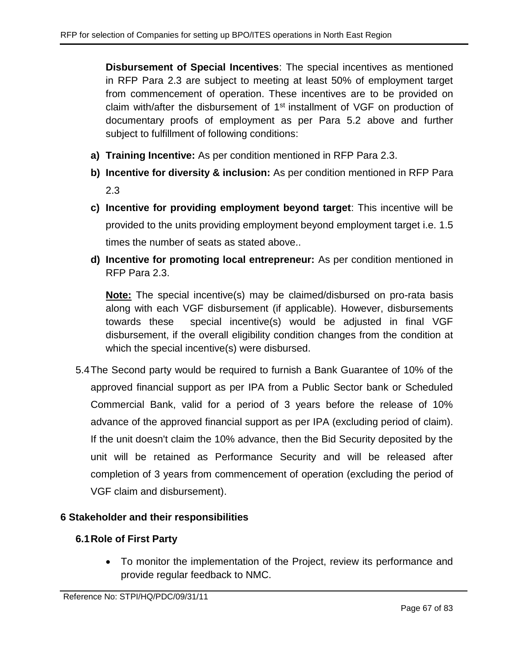**Disbursement of Special Incentives**: The special incentives as mentioned in RFP Para [2.3](#page-6-0) are subject to meeting at least 50% of employment target from commencement of operation. These incentives are to be provided on claim with/after the disbursement of 1<sup>st</sup> installment of VGF on production of documentary proofs of employment as per Para [5.2](#page-63-0) above and further subject to fulfillment of following conditions:

- **a) Training Incentive:** As per condition mentioned in RFP Para [2.3.](#page-6-0)
- **b) Incentive for diversity & inclusion:** As per condition mentioned in RFP Para [2.3](#page-6-0)
- **c) Incentive for providing employment beyond target**: This incentive will be provided to the units providing employment beyond employment target i.e. 1.5 times the number of seats as stated above..
- **d) Incentive for promoting local entrepreneur:** As per condition mentioned in RFP Para [2.3.](#page-6-0)

**Note:** The special incentive(s) may be claimed/disbursed on pro-rata basis along with each VGF disbursement (if applicable). However, disbursements towards these special incentive(s) would be adjusted in final VGF disbursement, if the overall eligibility condition changes from the condition at which the special incentive(s) were disbursed.

5.4The Second party would be required to furnish a Bank Guarantee of 10% of the approved financial support as per IPA from a Public Sector bank or Scheduled Commercial Bank, valid for a period of 3 years before the release of 10% advance of the approved financial support as per IPA (excluding period of claim). If the unit doesn't claim the 10% advance, then the Bid Security deposited by the unit will be retained as Performance Security and will be released after completion of 3 years from commencement of operation (excluding the period of VGF claim and disbursement).

# **6 Stakeholder and their responsibilities**

# **6.1Role of First Party**

• To monitor the implementation of the Project, review its performance and provide regular feedback to NMC.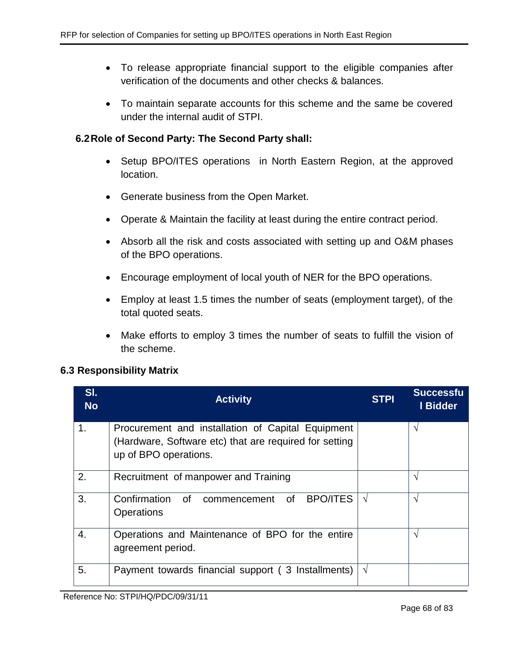- To release appropriate financial support to the eligible companies after verification of the documents and other checks & balances.
- To maintain separate accounts for this scheme and the same be covered under the internal audit of STPI.

## **6.2Role of Second Party: The Second Party shall:**

- Setup BPO/ITES operations in North Eastern Region, at the approved location.
- Generate business from the Open Market.
- Operate & Maintain the facility at least during the entire contract period.
- Absorb all the risk and costs associated with setting up and O&M phases of the BPO operations.
- Encourage employment of local youth of NER for the BPO operations.
- Employ at least 1.5 times the number of seats (employment target), of the total quoted seats.
- Make efforts to employ 3 times the number of seats to fulfill the vision of the scheme.

## **6.3 Responsibility Matrix**

| SI.<br><b>No</b> | <b>Activity</b>                                                                                                                      | <b>STPI</b> | <b>Successfu</b><br>I Bidder |
|------------------|--------------------------------------------------------------------------------------------------------------------------------------|-------------|------------------------------|
| 1.               | Procurement and installation of Capital Equipment<br>(Hardware, Software etc) that are required for setting<br>up of BPO operations. |             | ٦                            |
| 2.               | Recruitment of manpower and Training                                                                                                 |             | ٦                            |
| 3.               | <b>BPO/ITES</b><br>Confirmation of commencement of<br><b>Operations</b>                                                              | $\sqrt{ }$  | ٦                            |
| 4.               | Operations and Maintenance of BPO for the entire<br>agreement period.                                                                |             | V                            |
| 5.               | Payment towards financial support (3 Installments)                                                                                   | V           |                              |

Reference No: STPI/HQ/PDC/09/31/11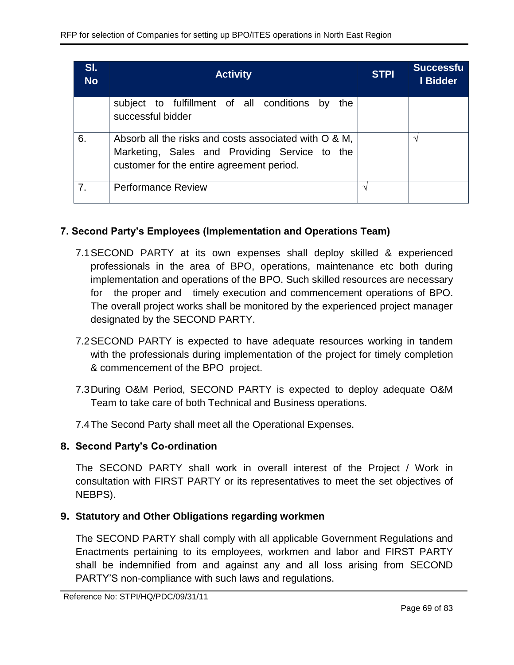| SI.<br><b>No</b> | <b>Activity</b>                                                                                                                                     | <b>STPI</b> | <b>Successfu</b><br>I Bidder |
|------------------|-----------------------------------------------------------------------------------------------------------------------------------------------------|-------------|------------------------------|
|                  | subject to fulfillment of all conditions by<br>the<br>successful bidder                                                                             |             |                              |
| 6.               | Absorb all the risks and costs associated with O & M,<br>Marketing, Sales and Providing Service to the<br>customer for the entire agreement period. |             | ٦                            |
| 7.               | <b>Performance Review</b>                                                                                                                           |             |                              |

# **7. Second Party's Employees (Implementation and Operations Team)**

- 7.1SECOND PARTY at its own expenses shall deploy skilled & experienced professionals in the area of BPO, operations, maintenance etc both during implementation and operations of the BPO. Such skilled resources are necessary for the proper and timely execution and commencement operations of BPO. The overall project works shall be monitored by the experienced project manager designated by the SECOND PARTY.
- 7.2SECOND PARTY is expected to have adequate resources working in tandem with the professionals during implementation of the project for timely completion & commencement of the BPO project.
- 7.3During O&M Period, SECOND PARTY is expected to deploy adequate O&M Team to take care of both Technical and Business operations.
- 7.4The Second Party shall meet all the Operational Expenses.

# **8. Second Party's Co-ordination**

The SECOND PARTY shall work in overall interest of the Project / Work in consultation with FIRST PARTY or its representatives to meet the set objectives of NEBPS).

# **9. Statutory and Other Obligations regarding workmen**

The SECOND PARTY shall comply with all applicable Government Regulations and Enactments pertaining to its employees, workmen and labor and FIRST PARTY shall be indemnified from and against any and all loss arising from SECOND PARTY'S non-compliance with such laws and regulations.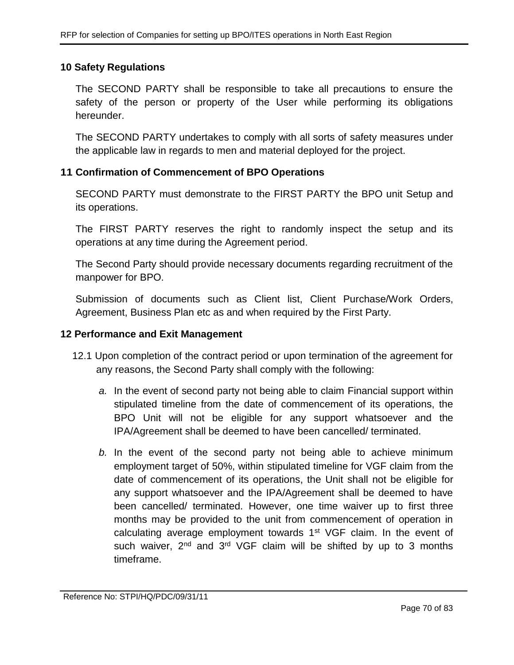## **10 Safety Regulations**

The SECOND PARTY shall be responsible to take all precautions to ensure the safety of the person or property of the User while performing its obligations hereunder.

The SECOND PARTY undertakes to comply with all sorts of safety measures under the applicable law in regards to men and material deployed for the project.

## **11 Confirmation of Commencement of BPO Operations**

SECOND PARTY must demonstrate to the FIRST PARTY the BPO unit Setup and its operations.

The FIRST PARTY reserves the right to randomly inspect the setup and its operations at any time during the Agreement period.

The Second Party should provide necessary documents regarding recruitment of the manpower for BPO.

Submission of documents such as Client list, Client Purchase/Work Orders, Agreement, Business Plan etc as and when required by the First Party.

## **12 Performance and Exit Management**

- 12.1 Upon completion of the contract period or upon termination of the agreement for any reasons, the Second Party shall comply with the following:
	- *a.* In the event of second party not being able to claim Financial support within stipulated timeline from the date of commencement of its operations, the BPO Unit will not be eligible for any support whatsoever and the IPA/Agreement shall be deemed to have been cancelled/ terminated.
	- *b.* In the event of the second party not being able to achieve minimum employment target of 50%, within stipulated timeline for VGF claim from the date of commencement of its operations, the Unit shall not be eligible for any support whatsoever and the IPA/Agreement shall be deemed to have been cancelled/ terminated. However, one time waiver up to first three months may be provided to the unit from commencement of operation in calculating average employment towards 1<sup>st</sup> VGF claim. In the event of such waiver, 2<sup>nd</sup> and 3<sup>rd</sup> VGF claim will be shifted by up to 3 months timeframe.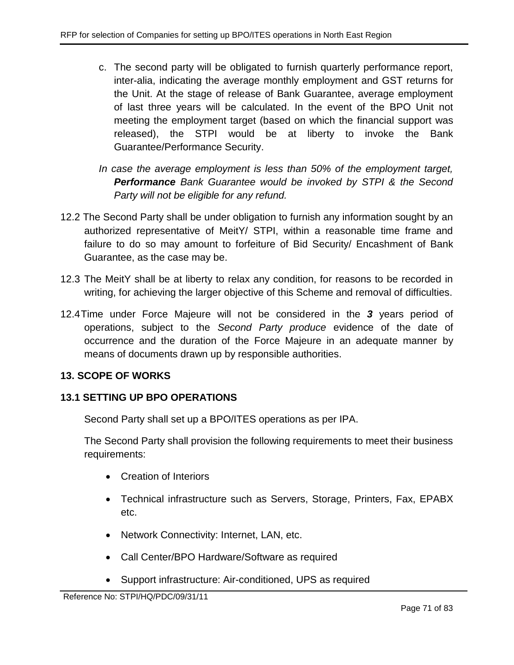- c. The second party will be obligated to furnish quarterly performance report, inter-alia, indicating the average monthly employment and GST returns for the Unit. At the stage of release of Bank Guarantee, average employment of last three years will be calculated. In the event of the BPO Unit not meeting the employment target (based on which the financial support was released), the STPI would be at liberty to invoke the Bank Guarantee/Performance Security.
- *In case the average employment is less than 50% of the employment target, Performance Bank Guarantee would be invoked by STPI & the Second Party will not be eligible for any refund.*
- 12.2 The Second Party shall be under obligation to furnish any information sought by an authorized representative of MeitY/ STPI, within a reasonable time frame and failure to do so may amount to forfeiture of Bid Security/ Encashment of Bank Guarantee, as the case may be.
- 12.3 The MeitY shall be at liberty to relax any condition, for reasons to be recorded in writing, for achieving the larger objective of this Scheme and removal of difficulties.
- 12.4Time under Force Majeure will not be considered in the *3* years period of operations, subject to the *Second Party produce* evidence of the date of occurrence and the duration of the Force Majeure in an adequate manner by means of documents drawn up by responsible authorities.

# **13. SCOPE OF WORKS**

# **13.1 SETTING UP BPO OPERATIONS**

Second Party shall set up a BPO/ITES operations as per IPA.

The Second Party shall provision the following requirements to meet their business requirements:

- Creation of Interiors
- Technical infrastructure such as Servers, Storage, Printers, Fax, EPABX etc.
- Network Connectivity: Internet, LAN, etc.
- Call Center/BPO Hardware/Software as required
- Support infrastructure: Air-conditioned, UPS as required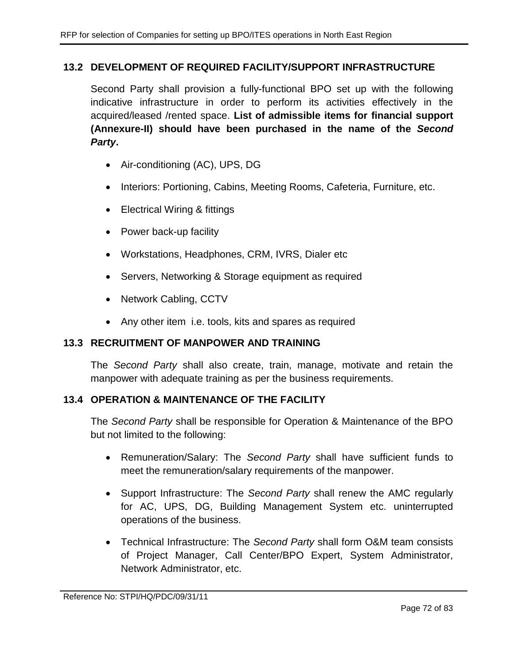# **13.2 DEVELOPMENT OF REQUIRED FACILITY/SUPPORT INFRASTRUCTURE**

Second Party shall provision a fully-functional BPO set up with the following indicative infrastructure in order to perform its activities effectively in the acquired/leased /rented space. **List of admissible items for financial support (Annexure-II) should have been purchased in the name of the** *Second Party***.**

- Air-conditioning (AC), UPS, DG
- Interiors: Portioning, Cabins, Meeting Rooms, Cafeteria, Furniture, etc.
- Electrical Wiring & fittings
- Power back-up facility
- Workstations, Headphones, CRM, IVRS, Dialer etc
- Servers, Networking & Storage equipment as required
- Network Cabling, CCTV
- Any other item i.e. tools, kits and spares as required

## **13.3 RECRUITMENT OF MANPOWER AND TRAINING**

The *Second Party* shall also create, train, manage, motivate and retain the manpower with adequate training as per the business requirements.

# **13.4 OPERATION & MAINTENANCE OF THE FACILITY**

The *Second Party* shall be responsible for Operation & Maintenance of the BPO but not limited to the following:

- Remuneration/Salary: The *Second Party* shall have sufficient funds to meet the remuneration/salary requirements of the manpower.
- Support Infrastructure: The *Second Party* shall renew the AMC regularly for AC, UPS, DG, Building Management System etc. uninterrupted operations of the business.
- Technical Infrastructure: The *Second Party* shall form O&M team consists of Project Manager, Call Center/BPO Expert, System Administrator, Network Administrator, etc.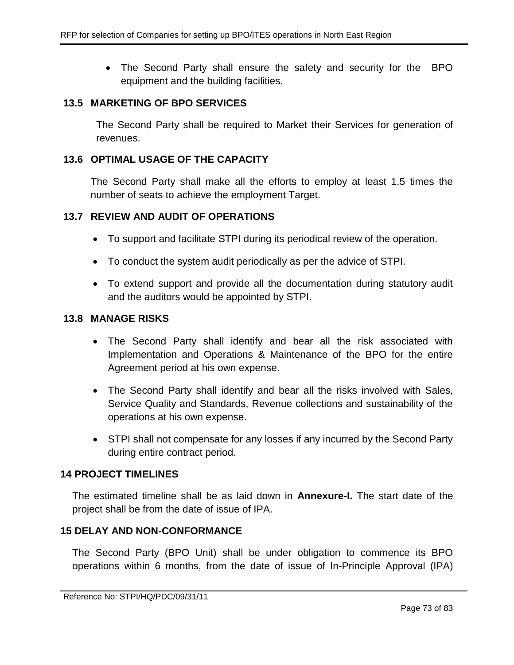• The Second Party shall ensure the safety and security for the BPO equipment and the building facilities.

#### **13.5 MARKETING OF BPO SERVICES**

The Second Party shall be required to Market their Services for generation of revenues.

#### **13.6 OPTIMAL USAGE OF THE CAPACITY**

The Second Party shall make all the efforts to employ at least 1.5 times the number of seats to achieve the employment Target.

#### **13.7 REVIEW AND AUDIT OF OPERATIONS**

- To support and facilitate STPI during its periodical review of the operation.
- To conduct the system audit periodically as per the advice of STPI.
- To extend support and provide all the documentation during statutory audit and the auditors would be appointed by STPI.

#### **13.8 MANAGE RISKS**

- The Second Party shall identify and bear all the risk associated with Implementation and Operations & Maintenance of the BPO for the entire Agreement period at his own expense.
- The Second Party shall identify and bear all the risks involved with Sales, Service Quality and Standards, Revenue collections and sustainability of the operations at his own expense.
- STPI shall not compensate for any losses if any incurred by the Second Party during entire contract period.

#### **14 PROJECT TIMELINES**

The estimated timeline shall be as laid down in **Annexure-I.** The start date of the project shall be from the date of issue of IPA.

#### **15 DELAY AND NON-CONFORMANCE**

The Second Party (BPO Unit) shall be under obligation to commence its BPO operations within 6 months, from the date of issue of In-Principle Approval (IPA)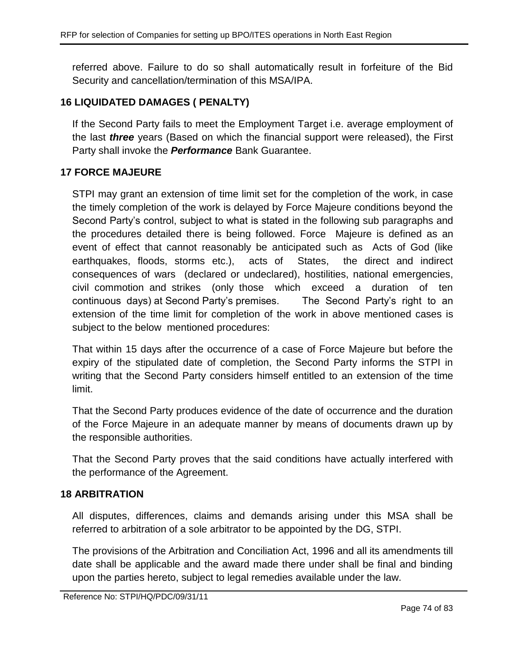referred above. Failure to do so shall automatically result in forfeiture of the Bid Security and cancellation/termination of this MSA/IPA.

# **16 LIQUIDATED DAMAGES ( PENALTY)**

If the Second Party fails to meet the Employment Target i.e. average employment of the last *three* years (Based on which the financial support were released), the First Party shall invoke the *Performance* Bank Guarantee.

# **17 FORCE MAJEURE**

STPI may grant an extension of time limit set for the completion of the work, in case the timely completion of the work is delayed by Force Majeure conditions beyond the Second Party's control, subject to what is stated in the following sub paragraphs and the procedures detailed there is being followed. Force Majeure is defined as an event of effect that cannot reasonably be anticipated such as Acts of God (like earthquakes, floods, storms etc.), acts of States, the direct and indirect consequences of wars (declared or undeclared), hostilities, national emergencies, civil commotion and strikes (only those which exceed a duration of ten continuous days) at Second Party's premises. The Second Party's right to an extension of the time limit for completion of the work in above mentioned cases is subject to the below mentioned procedures:

That within 15 days after the occurrence of a case of Force Majeure but before the expiry of the stipulated date of completion, the Second Party informs the STPI in writing that the Second Party considers himself entitled to an extension of the time limit.

That the Second Party produces evidence of the date of occurrence and the duration of the Force Majeure in an adequate manner by means of documents drawn up by the responsible authorities.

That the Second Party proves that the said conditions have actually interfered with the performance of the Agreement.

# **18 ARBITRATION**

All disputes, differences, claims and demands arising under this MSA shall be referred to arbitration of a sole arbitrator to be appointed by the DG, STPI.

The provisions of the Arbitration and Conciliation Act, 1996 and all its amendments till date shall be applicable and the award made there under shall be final and binding upon the parties hereto, subject to legal remedies available under the law.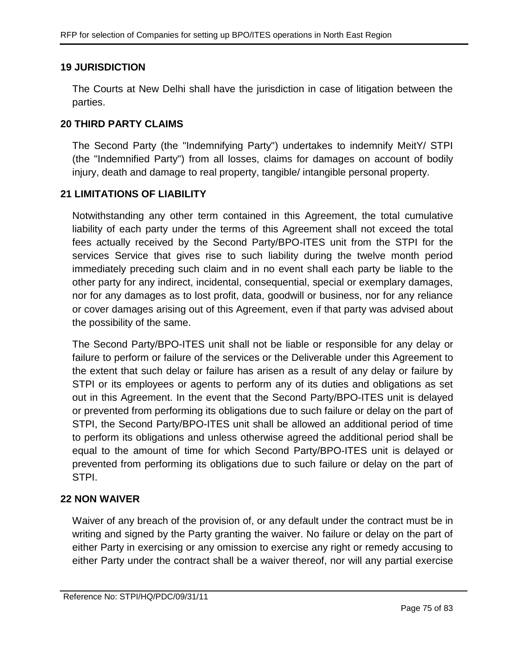# **19 JURISDICTION**

The Courts at New Delhi shall have the jurisdiction in case of litigation between the parties.

### **20 THIRD PARTY CLAIMS**

The Second Party (the "Indemnifying Party") undertakes to indemnify MeitY/ STPI (the "Indemnified Party") from all losses, claims for damages on account of bodily injury, death and damage to real property, tangible/ intangible personal property.

### **21 LIMITATIONS OF LIABILITY**

Notwithstanding any other term contained in this Agreement, the total cumulative liability of each party under the terms of this Agreement shall not exceed the total fees actually received by the Second Party/BPO-ITES unit from the STPI for the services Service that gives rise to such liability during the twelve month period immediately preceding such claim and in no event shall each party be liable to the other party for any indirect, incidental, consequential, special or exemplary damages, nor for any damages as to lost profit, data, goodwill or business, nor for any reliance or cover damages arising out of this Agreement, even if that party was advised about the possibility of the same.

The Second Party/BPO-ITES unit shall not be liable or responsible for any delay or failure to perform or failure of the services or the Deliverable under this Agreement to the extent that such delay or failure has arisen as a result of any delay or failure by STPI or its employees or agents to perform any of its duties and obligations as set out in this Agreement. In the event that the Second Party/BPO-ITES unit is delayed or prevented from performing its obligations due to such failure or delay on the part of STPI, the Second Party/BPO-ITES unit shall be allowed an additional period of time to perform its obligations and unless otherwise agreed the additional period shall be equal to the amount of time for which Second Party/BPO-ITES unit is delayed or prevented from performing its obligations due to such failure or delay on the part of STPI.

# **22 NON WAIVER**

Waiver of any breach of the provision of, or any default under the contract must be in writing and signed by the Party granting the waiver. No failure or delay on the part of either Party in exercising or any omission to exercise any right or remedy accusing to either Party under the contract shall be a waiver thereof, nor will any partial exercise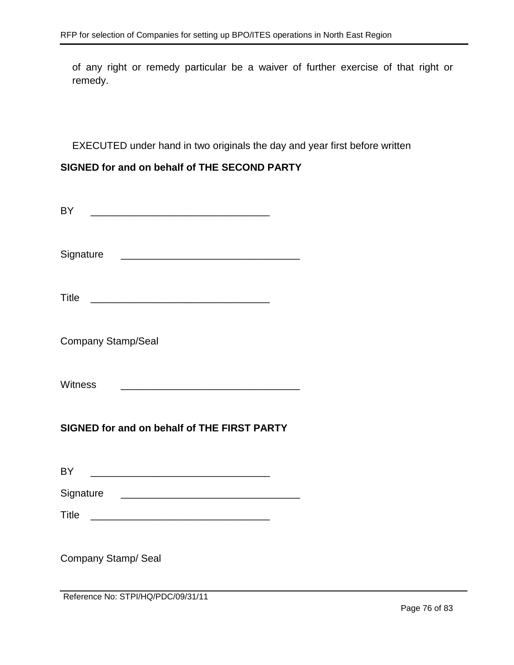of any right or remedy particular be a waiver of further exercise of that right or remedy.

EXECUTED under hand in two originals the day and year first before written

# **SIGNED for and on behalf of THE SECOND PARTY**

| BY                                                                                                                     |  |  |  |
|------------------------------------------------------------------------------------------------------------------------|--|--|--|
| Signature<br><u> 2002 - Johann John Stone, mars et al. (2003)</u>                                                      |  |  |  |
| Title                                                                                                                  |  |  |  |
| <b>Company Stamp/Seal</b>                                                                                              |  |  |  |
| <b>Witness</b>                                                                                                         |  |  |  |
| SIGNED for and on behalf of THE FIRST PARTY                                                                            |  |  |  |
|                                                                                                                        |  |  |  |
| BY                                                                                                                     |  |  |  |
| Signature <u>expression and the set of the set of the set of the set of the set of the set of the set of the set o</u> |  |  |  |
| Title                                                                                                                  |  |  |  |
| Company Stamp/ Seal<br>Reference No: STPI/HQ/PDC/09/31/11                                                              |  |  |  |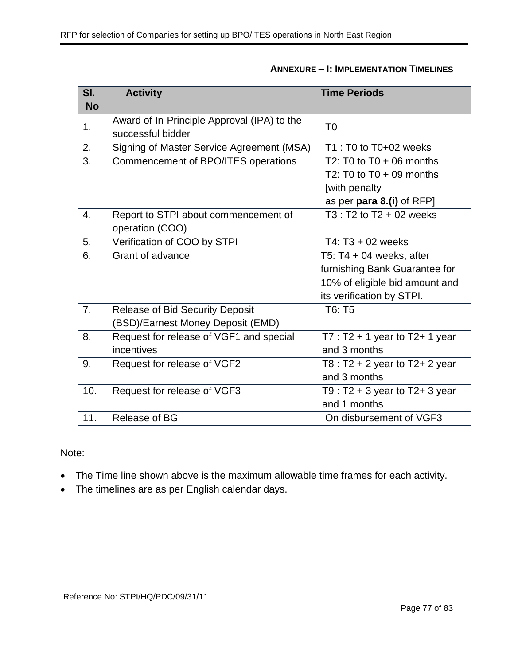| SI.              | <b>Activity</b>                             | <b>Time Periods</b>                 |
|------------------|---------------------------------------------|-------------------------------------|
| <b>No</b>        |                                             |                                     |
| 1.               | Award of In-Principle Approval (IPA) to the | T <sub>0</sub>                      |
|                  | successful bidder                           |                                     |
| 2.               | Signing of Master Service Agreement (MSA)   | $T1: T0$ to $T0+02$ weeks           |
| 3.               | Commencement of BPO/ITES operations         | T2: T0 to $T0 + 06$ months          |
|                  |                                             | T2: T0 to $T0 + 09$ months          |
|                  |                                             | [with penalty                       |
|                  |                                             | as per para 8.(i) of RFP]           |
| 4.               | Report to STPI about commencement of        | T3 : T2 to T2 + 02 weeks            |
|                  | operation (COO)                             |                                     |
| 5.               | Verification of COO by STPI                 | T4: $T3 + 02$ weeks                 |
| 6.               | Grant of advance                            | T5: T4 + 04 weeks, after            |
|                  |                                             | furnishing Bank Guarantee for       |
|                  |                                             | 10% of eligible bid amount and      |
|                  |                                             | its verification by STPI.           |
| $\overline{7}$ . | <b>Release of Bid Security Deposit</b>      | T6: T5                              |
|                  | (BSD)/Earnest Money Deposit (EMD)           |                                     |
| $\overline{8}$ . | Request for release of VGF1 and special     | $T7: T2 + 1$ year to T2+ 1 year     |
|                  | incentives                                  | and 3 months                        |
| 9.               | Request for release of VGF2                 | T8 : T2 + 2 year to T2+ 2 year      |
|                  |                                             | and 3 months                        |
| 10.              | Request for release of VGF3                 | T9 : $T2 + 3$ year to $T2 + 3$ year |
|                  |                                             | and 1 months                        |
| 11.              | Release of BG                               | On disbursement of VGF3             |

# **ANNEXURE – I: IMPLEMENTATION TIMELINES**

Note:

- The Time line shown above is the maximum allowable time frames for each activity.
- The timelines are as per English calendar days.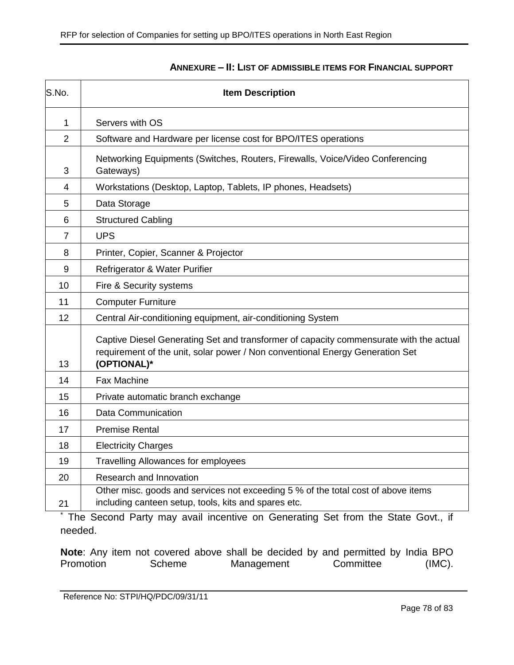| S.No.          | <b>Item Description</b>                                                                                                                                                                                   |  |
|----------------|-----------------------------------------------------------------------------------------------------------------------------------------------------------------------------------------------------------|--|
| 1              | Servers with OS                                                                                                                                                                                           |  |
| $\overline{2}$ | Software and Hardware per license cost for BPO/ITES operations                                                                                                                                            |  |
| 3              | Networking Equipments (Switches, Routers, Firewalls, Voice/Video Conferencing<br>Gateways)                                                                                                                |  |
| 4              | Workstations (Desktop, Laptop, Tablets, IP phones, Headsets)                                                                                                                                              |  |
| 5              | Data Storage                                                                                                                                                                                              |  |
| 6              | <b>Structured Cabling</b>                                                                                                                                                                                 |  |
| 7              | <b>UPS</b>                                                                                                                                                                                                |  |
| 8              | Printer, Copier, Scanner & Projector                                                                                                                                                                      |  |
| 9              | Refrigerator & Water Purifier                                                                                                                                                                             |  |
| 10             | Fire & Security systems                                                                                                                                                                                   |  |
| 11             | <b>Computer Furniture</b>                                                                                                                                                                                 |  |
| 12             | Central Air-conditioning equipment, air-conditioning System                                                                                                                                               |  |
| 13             | Captive Diesel Generating Set and transformer of capacity commensurate with the actual<br>requirement of the unit, solar power / Non conventional Energy Generation Set<br>(OPTIONAL)*                    |  |
| 14             | Fax Machine                                                                                                                                                                                               |  |
| 15             | Private automatic branch exchange                                                                                                                                                                         |  |
| 16             | Data Communication                                                                                                                                                                                        |  |
| 17             | <b>Premise Rental</b>                                                                                                                                                                                     |  |
| 18             | <b>Electricity Charges</b>                                                                                                                                                                                |  |
| 19             | <b>Travelling Allowances for employees</b>                                                                                                                                                                |  |
| 20             | Research and Innovation                                                                                                                                                                                   |  |
| 21             | Other misc. goods and services not exceeding 5 % of the total cost of above items<br>including canteen setup, tools, kits and spares etc.<br>the control of the control of the<br>$\mathbf{r}$<br>$\cdot$ |  |

#### **ANNEXURE – II: LIST OF ADMISSIBLE ITEMS FOR FINANCIAL SUPPORT**

The Second Party may avail incentive on Generating Set from the State Govt., if needed.

**Note**: Any item not covered above shall be decided by and permitted by India BPO Promotion Scheme Management Committee (IMC).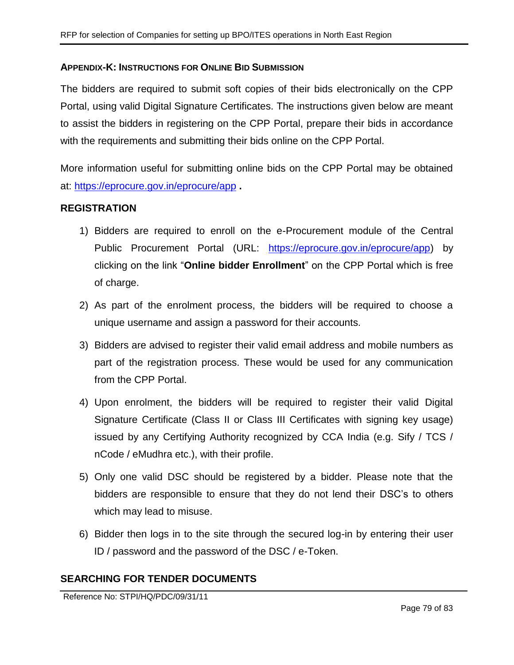#### **APPENDIX-K: INSTRUCTIONS FOR ONLINE BID SUBMISSION**

The bidders are required to submit soft copies of their bids electronically on the CPP Portal, using valid Digital Signature Certificates. The instructions given below are meant to assist the bidders in registering on the CPP Portal, prepare their bids in accordance with the requirements and submitting their bids online on the CPP Portal.

More information useful for submitting online bids on the CPP Portal may be obtained at:<https://eprocure.gov.in/eprocure/app> **.**

#### **REGISTRATION**

- 1) Bidders are required to enroll on the e-Procurement module of the Central Public Procurement Portal (URL: [https://eprocure.gov.in/eprocure/app\)](https://eprocure.gov.in/eprocure/app) by clicking on the link "**Online bidder Enrollment**" on the CPP Portal which is free of charge.
- 2) As part of the enrolment process, the bidders will be required to choose a unique username and assign a password for their accounts.
- 3) Bidders are advised to register their valid email address and mobile numbers as part of the registration process. These would be used for any communication from the CPP Portal.
- 4) Upon enrolment, the bidders will be required to register their valid Digital Signature Certificate (Class II or Class III Certificates with signing key usage) issued by any Certifying Authority recognized by CCA India (e.g. Sify / TCS / nCode / eMudhra etc.), with their profile.
- 5) Only one valid DSC should be registered by a bidder. Please note that the bidders are responsible to ensure that they do not lend their DSC's to others which may lead to misuse.
- 6) Bidder then logs in to the site through the secured log-in by entering their user ID / password and the password of the DSC / e-Token.

# **SEARCHING FOR TENDER DOCUMENTS**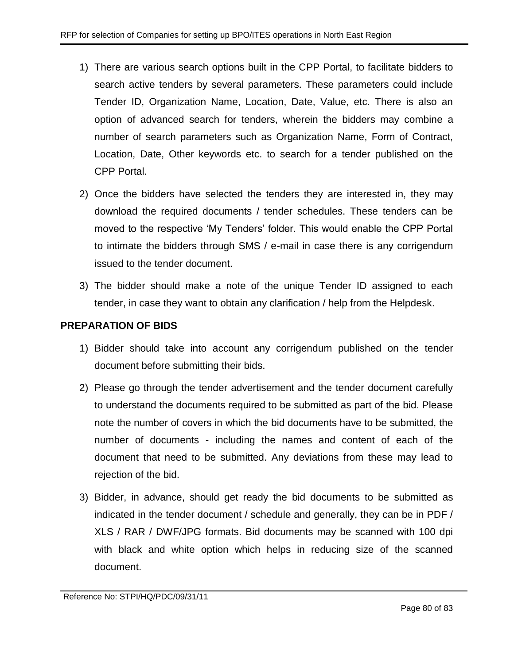- 1) There are various search options built in the CPP Portal, to facilitate bidders to search active tenders by several parameters. These parameters could include Tender ID, Organization Name, Location, Date, Value, etc. There is also an option of advanced search for tenders, wherein the bidders may combine a number of search parameters such as Organization Name, Form of Contract, Location, Date, Other keywords etc. to search for a tender published on the CPP Portal.
- 2) Once the bidders have selected the tenders they are interested in, they may download the required documents / tender schedules. These tenders can be moved to the respective 'My Tenders' folder. This would enable the CPP Portal to intimate the bidders through SMS / e-mail in case there is any corrigendum issued to the tender document.
- 3) The bidder should make a note of the unique Tender ID assigned to each tender, in case they want to obtain any clarification / help from the Helpdesk.

# **PREPARATION OF BIDS**

- 1) Bidder should take into account any corrigendum published on the tender document before submitting their bids.
- 2) Please go through the tender advertisement and the tender document carefully to understand the documents required to be submitted as part of the bid. Please note the number of covers in which the bid documents have to be submitted, the number of documents - including the names and content of each of the document that need to be submitted. Any deviations from these may lead to rejection of the bid.
- 3) Bidder, in advance, should get ready the bid documents to be submitted as indicated in the tender document / schedule and generally, they can be in PDF / XLS / RAR / DWF/JPG formats. Bid documents may be scanned with 100 dpi with black and white option which helps in reducing size of the scanned document.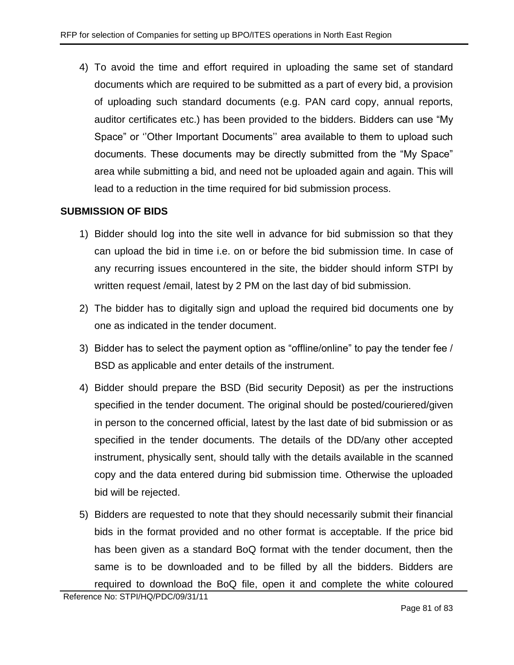4) To avoid the time and effort required in uploading the same set of standard documents which are required to be submitted as a part of every bid, a provision of uploading such standard documents (e.g. PAN card copy, annual reports, auditor certificates etc.) has been provided to the bidders. Bidders can use "My Space" or ''Other Important Documents'' area available to them to upload such documents. These documents may be directly submitted from the "My Space" area while submitting a bid, and need not be uploaded again and again. This will lead to a reduction in the time required for bid submission process.

# **SUBMISSION OF BIDS**

- 1) Bidder should log into the site well in advance for bid submission so that they can upload the bid in time i.e. on or before the bid submission time. In case of any recurring issues encountered in the site, the bidder should inform STPI by written request /email, latest by 2 PM on the last day of bid submission.
- 2) The bidder has to digitally sign and upload the required bid documents one by one as indicated in the tender document.
- 3) Bidder has to select the payment option as "offline/online" to pay the tender fee / BSD as applicable and enter details of the instrument.
- 4) Bidder should prepare the BSD (Bid security Deposit) as per the instructions specified in the tender document. The original should be posted/couriered/given in person to the concerned official, latest by the last date of bid submission or as specified in the tender documents. The details of the DD/any other accepted instrument, physically sent, should tally with the details available in the scanned copy and the data entered during bid submission time. Otherwise the uploaded bid will be rejected.
- 5) Bidders are requested to note that they should necessarily submit their financial bids in the format provided and no other format is acceptable. If the price bid has been given as a standard BoQ format with the tender document, then the same is to be downloaded and to be filled by all the bidders. Bidders are required to download the BoQ file, open it and complete the white coloured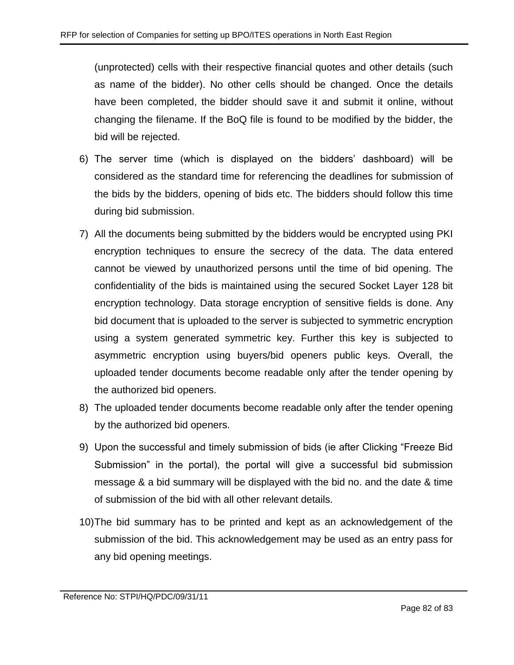(unprotected) cells with their respective financial quotes and other details (such as name of the bidder). No other cells should be changed. Once the details have been completed, the bidder should save it and submit it online, without changing the filename. If the BoQ file is found to be modified by the bidder, the bid will be rejected.

- 6) The server time (which is displayed on the bidders' dashboard) will be considered as the standard time for referencing the deadlines for submission of the bids by the bidders, opening of bids etc. The bidders should follow this time during bid submission.
- 7) All the documents being submitted by the bidders would be encrypted using PKI encryption techniques to ensure the secrecy of the data. The data entered cannot be viewed by unauthorized persons until the time of bid opening. The confidentiality of the bids is maintained using the secured Socket Layer 128 bit encryption technology. Data storage encryption of sensitive fields is done. Any bid document that is uploaded to the server is subjected to symmetric encryption using a system generated symmetric key. Further this key is subjected to asymmetric encryption using buyers/bid openers public keys. Overall, the uploaded tender documents become readable only after the tender opening by the authorized bid openers.
- 8) The uploaded tender documents become readable only after the tender opening by the authorized bid openers.
- 9) Upon the successful and timely submission of bids (ie after Clicking "Freeze Bid Submission" in the portal), the portal will give a successful bid submission message & a bid summary will be displayed with the bid no. and the date & time of submission of the bid with all other relevant details.
- 10)The bid summary has to be printed and kept as an acknowledgement of the submission of the bid. This acknowledgement may be used as an entry pass for any bid opening meetings.